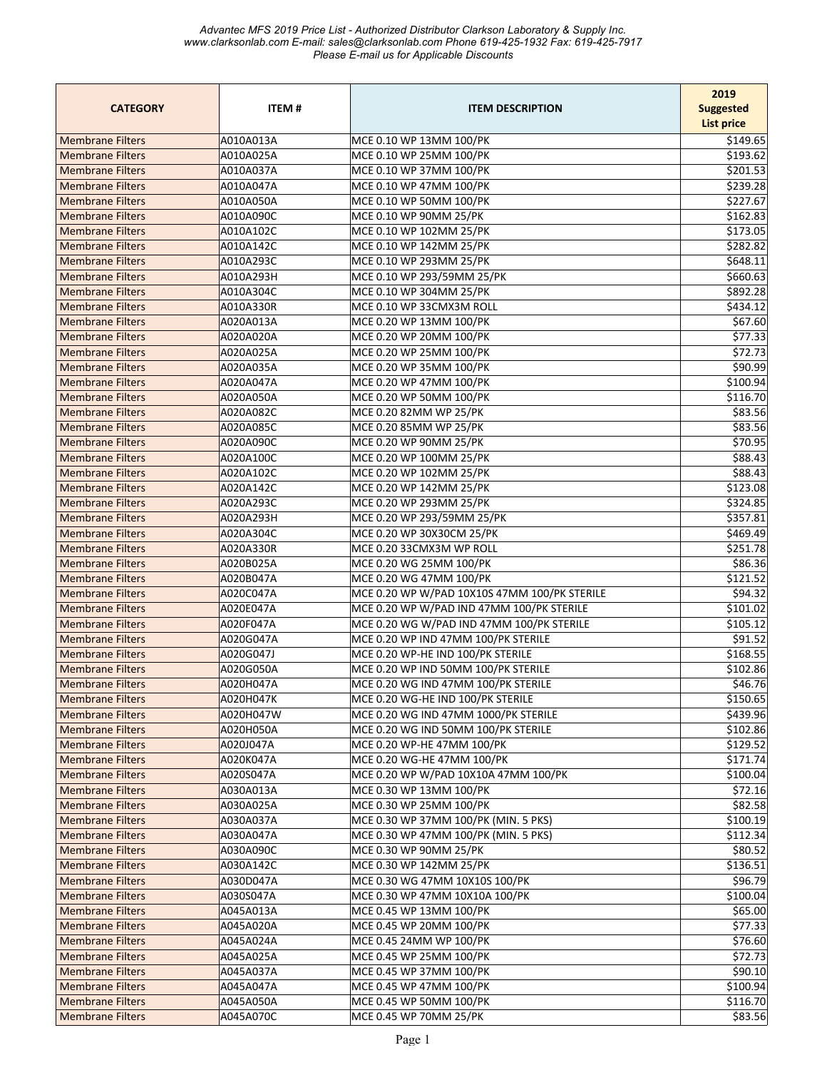| <b>CATEGORY</b>         | <b>ITEM#</b> | <b>ITEM DESCRIPTION</b>                      | 2019<br><b>Suggested</b><br><b>List price</b> |
|-------------------------|--------------|----------------------------------------------|-----------------------------------------------|
| <b>Membrane Filters</b> | A010A013A    | MCE 0.10 WP 13MM 100/PK                      | \$149.65                                      |
| <b>Membrane Filters</b> | A010A025A    | MCE 0.10 WP 25MM 100/PK                      | \$193.62                                      |
| <b>Membrane Filters</b> | A010A037A    | MCE 0.10 WP 37MM 100/PK                      | \$201.53                                      |
| <b>Membrane Filters</b> | A010A047A    | MCE 0.10 WP 47MM 100/PK                      | \$239.28                                      |
| <b>Membrane Filters</b> | A010A050A    | MCE 0.10 WP 50MM 100/PK                      | \$227.67                                      |
| <b>Membrane Filters</b> | A010A090C    | MCE 0.10 WP 90MM 25/PK                       | \$162.83                                      |
| <b>Membrane Filters</b> | A010A102C    | MCE 0.10 WP 102MM 25/PK                      | \$173.05                                      |
| <b>Membrane Filters</b> | A010A142C    | MCE 0.10 WP 142MM 25/PK                      | \$282.82                                      |
| <b>Membrane Filters</b> | A010A293C    | MCE 0.10 WP 293MM 25/PK                      | \$648.11                                      |
| <b>Membrane Filters</b> | A010A293H    | MCE 0.10 WP 293/59MM 25/PK                   | \$660.63                                      |
| <b>Membrane Filters</b> | A010A304C    | MCE 0.10 WP 304MM 25/PK                      | \$892.28                                      |
| <b>Membrane Filters</b> | A010A330R    | MCE 0.10 WP 33CMX3M ROLL                     | \$434.12                                      |
| <b>Membrane Filters</b> | A020A013A    | MCE 0.20 WP 13MM 100/PK                      | \$67.60                                       |
| <b>Membrane Filters</b> | A020A020A    | MCE 0.20 WP 20MM 100/PK                      | \$77.33                                       |
| <b>Membrane Filters</b> | A020A025A    | MCE 0.20 WP 25MM 100/PK                      | \$72.73                                       |
| <b>Membrane Filters</b> | A020A035A    | MCE 0.20 WP 35MM 100/PK                      | \$90.99                                       |
| <b>Membrane Filters</b> | A020A047A    | MCE 0.20 WP 47MM 100/PK                      | \$100.94                                      |
| <b>Membrane Filters</b> | A020A050A    | MCE 0.20 WP 50MM 100/PK                      | \$116.70                                      |
| <b>Membrane Filters</b> | A020A082C    | MCE 0.20 82MM WP 25/PK                       | \$83.56                                       |
| <b>Membrane Filters</b> | A020A085C    | MCE 0.20 85MM WP 25/PK                       | \$83.56                                       |
| <b>Membrane Filters</b> | A020A090C    | MCE 0.20 WP 90MM 25/PK                       | \$70.95                                       |
| <b>Membrane Filters</b> | A020A100C    | MCE 0.20 WP 100MM 25/PK                      | \$88.43                                       |
| <b>Membrane Filters</b> | A020A102C    | MCE 0.20 WP 102MM 25/PK                      | \$88.43                                       |
| <b>Membrane Filters</b> | A020A142C    | MCE 0.20 WP 142MM 25/PK                      | \$123.08                                      |
| <b>Membrane Filters</b> | A020A293C    | MCE 0.20 WP 293MM 25/PK                      | \$324.85                                      |
| <b>Membrane Filters</b> | A020A293H    | MCE 0.20 WP 293/59MM 25/PK                   | \$357.81                                      |
| <b>Membrane Filters</b> | A020A304C    | MCE 0.20 WP 30X30CM 25/PK                    | \$469.49                                      |
| <b>Membrane Filters</b> | A020A330R    | MCE 0.20 33CMX3M WP ROLL                     | \$251.78                                      |
| <b>Membrane Filters</b> | A020B025A    | MCE 0.20 WG 25MM 100/PK                      | \$86.36                                       |
| <b>Membrane Filters</b> | A020B047A    | MCE 0.20 WG 47MM 100/PK                      | \$121.52                                      |
| <b>Membrane Filters</b> | A020C047A    | MCE 0.20 WP W/PAD 10X10S 47MM 100/PK STERILE | \$94.32                                       |
| <b>Membrane Filters</b> | A020E047A    | MCE 0.20 WP W/PAD IND 47MM 100/PK STERILE    | \$101.02                                      |
| <b>Membrane Filters</b> | A020F047A    | MCE 0.20 WG W/PAD IND 47MM 100/PK STERILE    | \$105.12                                      |
| <b>Membrane Filters</b> | A020G047A    | MCE 0.20 WP IND 47MM 100/PK STERILE          | \$91.52                                       |
| <b>Membrane Filters</b> | A020G047J    | MCE 0.20 WP-HE IND 100/PK STERILE            | \$168.55                                      |
| <b>Membrane Filters</b> | A020G050A    | MCE 0.20 WP IND 50MM 100/PK STERILE          | \$102.86                                      |
| <b>Membrane Filters</b> | A020H047A    | MCE 0.20 WG IND 47MM 100/PK STERILE          | \$46.76                                       |
| <b>Membrane Filters</b> | A020H047K    | MCE 0.20 WG-HE IND 100/PK STERILE            | \$150.65                                      |
| <b>Membrane Filters</b> | A020H047W    | MCE 0.20 WG IND 47MM 1000/PK STERILE         | \$439.96                                      |
| <b>Membrane Filters</b> | A020H050A    | MCE 0.20 WG IND 50MM 100/PK STERILE          | \$102.86                                      |
| <b>Membrane Filters</b> | A020J047A    | MCE 0.20 WP-HE 47MM 100/PK                   | \$129.52                                      |
| <b>Membrane Filters</b> | A020K047A    | MCE 0.20 WG-HE 47MM 100/PK                   | \$171.74                                      |
| <b>Membrane Filters</b> | A020S047A    | MCE 0.20 WP W/PAD 10X10A 47MM 100/PK         | \$100.04                                      |
| <b>Membrane Filters</b> | A030A013A    | MCE 0.30 WP 13MM 100/PK                      | \$72.16                                       |
| <b>Membrane Filters</b> | A030A025A    | MCE 0.30 WP 25MM 100/PK                      | \$82.58                                       |
| <b>Membrane Filters</b> | A030A037A    | MCE 0.30 WP 37MM 100/PK (MIN. 5 PKS)         | \$100.19                                      |
| <b>Membrane Filters</b> | A030A047A    | MCE 0.30 WP 47MM 100/PK (MIN. 5 PKS)         | \$112.34                                      |
| <b>Membrane Filters</b> | A030A090C    | MCE 0.30 WP 90MM 25/PK                       | \$80.52                                       |
| <b>Membrane Filters</b> | A030A142C    | MCE 0.30 WP 142MM 25/PK                      | \$136.51                                      |
| <b>Membrane Filters</b> | A030D047A    | MCE 0.30 WG 47MM 10X10S 100/PK               | \$96.79                                       |
| <b>Membrane Filters</b> | A030S047A    | MCE 0.30 WP 47MM 10X10A 100/PK               | \$100.04                                      |
| <b>Membrane Filters</b> | A045A013A    | MCE 0.45 WP 13MM 100/PK                      | \$65.00                                       |
| <b>Membrane Filters</b> | A045A020A    | MCE 0.45 WP 20MM 100/PK                      | \$77.33                                       |
| <b>Membrane Filters</b> | A045A024A    | MCE 0.45 24MM WP 100/PK                      | \$76.60                                       |
| <b>Membrane Filters</b> | A045A025A    | MCE 0.45 WP 25MM 100/PK                      | \$72.73                                       |
| <b>Membrane Filters</b> | A045A037A    | MCE 0.45 WP 37MM 100/PK                      | \$90.10                                       |
| <b>Membrane Filters</b> | A045A047A    | MCE 0.45 WP 47MM 100/PK                      | \$100.94                                      |
| <b>Membrane Filters</b> | A045A050A    | MCE 0.45 WP 50MM 100/PK                      | \$116.70                                      |
| <b>Membrane Filters</b> | A045A070C    | MCE 0.45 WP 70MM 25/PK                       | \$83.56                                       |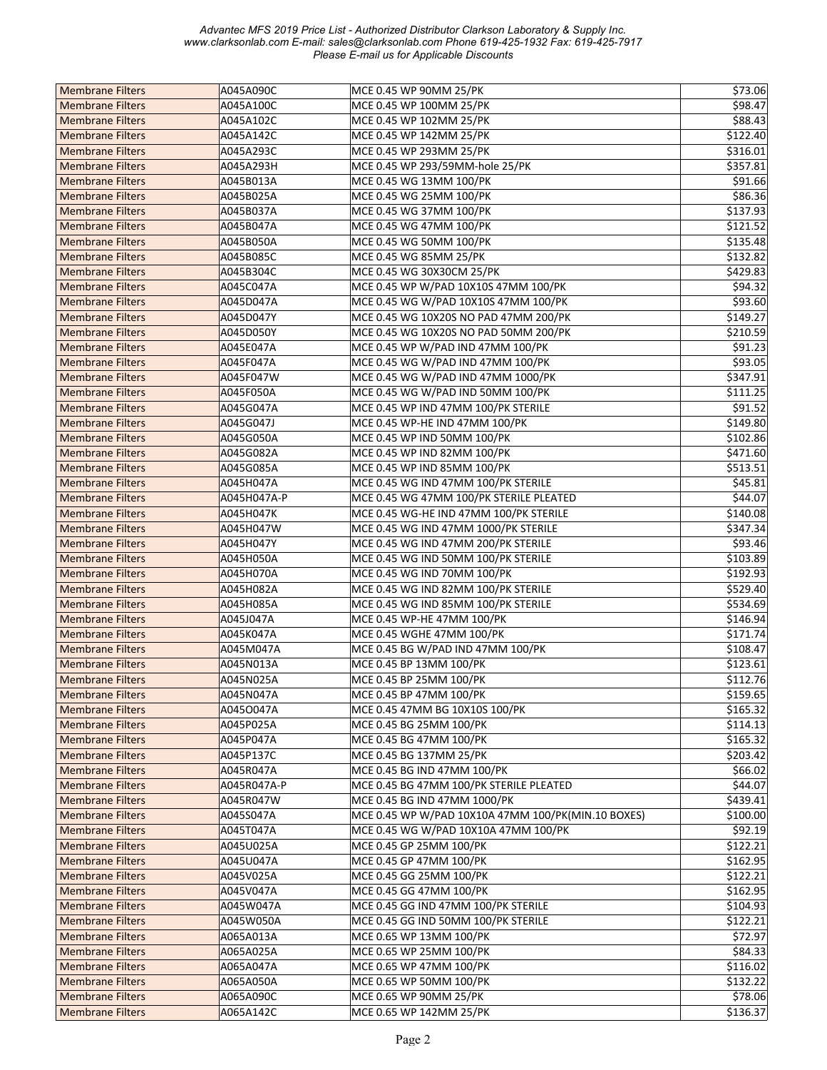| <b>Membrane Filters</b> | A045A090C   | MCE 0.45 WP 90MM 25/PK                             | \$73.06   |
|-------------------------|-------------|----------------------------------------------------|-----------|
| <b>Membrane Filters</b> | A045A100C   | MCE 0.45 WP 100MM 25/PK                            | \$98.47   |
| <b>Membrane Filters</b> | A045A102C   | MCE 0.45 WP 102MM 25/PK                            | \$88.43   |
| <b>Membrane Filters</b> | A045A142C   | MCE 0.45 WP 142MM 25/PK                            | \$122.40  |
| <b>Membrane Filters</b> | A045A293C   | MCE 0.45 WP 293MM 25/PK                            | \$316.01  |
| <b>Membrane Filters</b> | A045A293H   | MCE 0.45 WP 293/59MM-hole 25/PK                    | \$357.81  |
| <b>Membrane Filters</b> | A045B013A   | MCE 0.45 WG 13MM 100/PK                            | \$91.66   |
| <b>Membrane Filters</b> | A045B025A   | MCE 0.45 WG 25MM 100/PK                            | \$86.36   |
| <b>Membrane Filters</b> | A045B037A   | MCE 0.45 WG 37MM 100/PK                            | \$137.93  |
| <b>Membrane Filters</b> | A045B047A   | MCE 0.45 WG 47MM 100/PK                            | \$121.52  |
|                         |             |                                                    |           |
| <b>Membrane Filters</b> | A045B050A   | MCE 0.45 WG 50MM 100/PK<br>MCE 0.45 WG 85MM 25/PK  | \$135.48  |
| <b>Membrane Filters</b> | A045B085C   |                                                    | \$132.82  |
| <b>Membrane Filters</b> | A045B304C   | MCE 0.45 WG 30X30CM 25/PK                          | \$429.83  |
| <b>Membrane Filters</b> | A045C047A   | MCE 0.45 WP W/PAD 10X10S 47MM 100/PK               | \$94.32   |
| <b>Membrane Filters</b> | A045D047A   | MCE 0.45 WG W/PAD 10X10S 47MM 100/PK               | \$93.60   |
| <b>Membrane Filters</b> | A045D047Y   | MCE 0.45 WG 10X20S NO PAD 47MM 200/PK              | \$149.27  |
| <b>Membrane Filters</b> | A045D050Y   | MCE 0.45 WG 10X20S NO PAD 50MM 200/PK              | \$210.59  |
| <b>Membrane Filters</b> | A045E047A   | MCE 0.45 WP W/PAD IND 47MM 100/PK                  | \$91.23   |
| <b>Membrane Filters</b> | A045F047A   | MCE 0.45 WG W/PAD IND 47MM 100/PK                  | \$93.05   |
| <b>Membrane Filters</b> | A045F047W   | MCE 0.45 WG W/PAD IND 47MM 1000/PK                 | \$347.91  |
| <b>Membrane Filters</b> | A045F050A   | MCE 0.45 WG W/PAD IND 50MM 100/PK                  | \$111.25  |
| <b>Membrane Filters</b> | A045G047A   | MCE 0.45 WP IND 47MM 100/PK STERILE                | \$91.52   |
| <b>Membrane Filters</b> | A045G047J   | MCE 0.45 WP-HE IND 47MM 100/PK                     | \$149.80  |
| <b>Membrane Filters</b> | A045G050A   | MCE 0.45 WP IND 50MM 100/PK                        | \$102.86  |
| <b>Membrane Filters</b> | A045G082A   | MCE 0.45 WP IND 82MM 100/PK                        | \$471.60  |
| <b>Membrane Filters</b> | A045G085A   | MCE 0.45 WP IND 85MM 100/PK                        | \$513.51  |
| <b>Membrane Filters</b> | A045H047A   | MCE 0.45 WG IND 47MM 100/PK STERILE                | \$45.81   |
| <b>Membrane Filters</b> | A045H047A-P | MCE 0.45 WG 47MM 100/PK STERILE PLEATED            | \$44.07   |
| <b>Membrane Filters</b> | A045H047K   | MCE 0.45 WG-HE IND 47MM 100/PK STERILE             | \$140.08  |
| <b>Membrane Filters</b> | A045H047W   | MCE 0.45 WG IND 47MM 1000/PK STERILE               | \$347.34  |
| <b>Membrane Filters</b> | A045H047Y   | MCE 0.45 WG IND 47MM 200/PK STERILE                | \$93.46   |
| <b>Membrane Filters</b> | A045H050A   | MCE 0.45 WG IND 50MM 100/PK STERILE                | \$103.89  |
| <b>Membrane Filters</b> | A045H070A   | MCE 0.45 WG IND 70MM 100/PK                        | \$192.93  |
| <b>Membrane Filters</b> | A045H082A   | MCE 0.45 WG IND 82MM 100/PK STERILE                | \$529.40  |
| <b>Membrane Filters</b> | A045H085A   | MCE 0.45 WG IND 85MM 100/PK STERILE                | \$534.69  |
| <b>Membrane Filters</b> | A045J047A   | MCE 0.45 WP-HE 47MM 100/PK                         | \$146.94  |
| <b>Membrane Filters</b> | A045K047A   | MCE 0.45 WGHE 47MM 100/PK                          | \$171.74  |
| <b>Membrane Filters</b> | A045M047A   | MCE 0.45 BG W/PAD IND 47MM 100/PK                  | \$108.47  |
| <b>Membrane Filters</b> | A045N013A   | MCE 0.45 BP 13MM 100/PK                            | \$123.61  |
| <b>Membrane Filters</b> | A045N025A   | MCE 0.45 BP 25MM 100/PK                            | \$112.76  |
| <b>Membrane Filters</b> | A045N047A   | MCE 0.45 BP 47MM 100/PK                            | \$159.65  |
| <b>Membrane Filters</b> | A045O047A   | MCE 0.45 47MM BG 10X10S 100/PK                     | \$165.32  |
| <b>Membrane Filters</b> | A045P025A   | MCE 0.45 BG 25MM 100/PK                            | \$114.13  |
| <b>Membrane Filters</b> | A045P047A   | MCE 0.45 BG 47MM 100/PK                            | \$165.32  |
| <b>Membrane Filters</b> | A045P137C   | MCE 0.45 BG 137MM 25/PK                            | \$203.42] |
| <b>Membrane Filters</b> | A045R047A   | MCE 0.45 BG IND 47MM 100/PK                        | \$66.02   |
| <b>Membrane Filters</b> | A045R047A-P | MCE 0.45 BG 47MM 100/PK STERILE PLEATED            | \$44.07   |
| <b>Membrane Filters</b> | A045R047W   | MCE 0.45 BG IND 47MM 1000/PK                       | \$439.41  |
| <b>Membrane Filters</b> | A045S047A   | MCE 0.45 WP W/PAD 10X10A 47MM 100/PK(MIN.10 BOXES) | \$100.00  |
| <b>Membrane Filters</b> | A045T047A   | MCE 0.45 WG W/PAD 10X10A 47MM 100/PK               | 592.19    |
| <b>Membrane Filters</b> | A045U025A   | MCE 0.45 GP 25MM 100/PK                            | \$122.21  |
| <b>Membrane Filters</b> | A045U047A   | MCE 0.45 GP 47MM 100/PK                            | \$162.95  |
| <b>Membrane Filters</b> | A045V025A   | MCE 0.45 GG 25MM 100/PK                            | \$122.21  |
| <b>Membrane Filters</b> | A045V047A   | MCE 0.45 GG 47MM 100/PK                            | \$162.95  |
|                         |             |                                                    |           |
| <b>Membrane Filters</b> | A045W047A   | MCE 0.45 GG IND 47MM 100/PK STERILE                | \$104.93  |
| <b>Membrane Filters</b> | A045W050A   | MCE 0.45 GG IND 50MM 100/PK STERILE                | \$122.21  |
| <b>Membrane Filters</b> | A065A013A   | MCE 0.65 WP 13MM 100/PK                            | \$72.97   |
| <b>Membrane Filters</b> | A065A025A   | MCE 0.65 WP 25MM 100/PK                            | \$84.33   |
| <b>Membrane Filters</b> | A065A047A   | MCE 0.65 WP 47MM 100/PK                            | \$116.02  |
| <b>Membrane Filters</b> | A065A050A   | MCE 0.65 WP 50MM 100/PK                            | \$132.22  |
| <b>Membrane Filters</b> | A065A090C   | MCE 0.65 WP 90MM 25/PK                             | \$78.06   |
| <b>Membrane Filters</b> | A065A142C   | MCE 0.65 WP 142MM 25/PK                            | \$136.37  |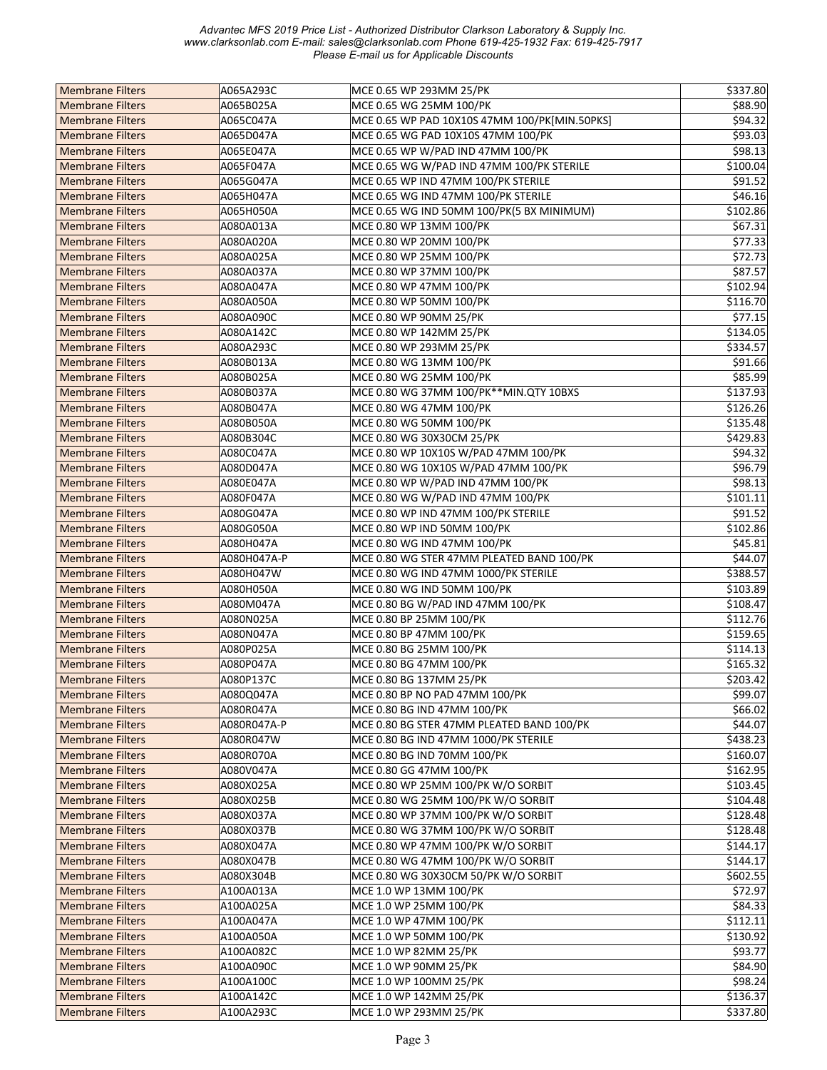| <b>Membrane Filters</b> | A065A293C   | MCE 0.65 WP 293MM 25/PK                       | \$337.80 |
|-------------------------|-------------|-----------------------------------------------|----------|
| <b>Membrane Filters</b> | A065B025A   | MCE 0.65 WG 25MM 100/PK                       | \$88.90  |
| <b>Membrane Filters</b> | A065C047A   | MCE 0.65 WP PAD 10X10S 47MM 100/PK[MIN.50PKS] | \$94.32  |
| <b>Membrane Filters</b> | A065D047A   | MCE 0.65 WG PAD 10X10S 47MM 100/PK            | \$93.03  |
| <b>Membrane Filters</b> | A065E047A   | MCE 0.65 WP W/PAD IND 47MM 100/PK             | \$98.13  |
| <b>Membrane Filters</b> | A065F047A   | MCE 0.65 WG W/PAD IND 47MM 100/PK STERILE     | \$100.04 |
| <b>Membrane Filters</b> | A065G047A   | MCE 0.65 WP IND 47MM 100/PK STERILE           | 591.52   |
| <b>Membrane Filters</b> | A065H047A   | MCE 0.65 WG IND 47MM 100/PK STERILE           | \$46.16  |
| <b>Membrane Filters</b> | A065H050A   | MCE 0.65 WG IND 50MM 100/PK(5 BX MINIMUM)     | \$102.86 |
| <b>Membrane Filters</b> | A080A013A   | MCE 0.80 WP 13MM 100/PK                       | \$67.31  |
| <b>Membrane Filters</b> | A080A020A   | MCE 0.80 WP 20MM 100/PK                       | \$77.33  |
| <b>Membrane Filters</b> | A080A025A   | MCE 0.80 WP 25MM 100/PK                       | \$72.73  |
| <b>Membrane Filters</b> | A080A037A   | MCE 0.80 WP 37MM 100/PK                       | \$87.57  |
| <b>Membrane Filters</b> | A080A047A   | MCE 0.80 WP 47MM 100/PK                       | \$102.94 |
| <b>Membrane Filters</b> | A080A050A   | MCE 0.80 WP 50MM 100/PK                       | \$116.70 |
| <b>Membrane Filters</b> | A080A090C   | MCE 0.80 WP 90MM 25/PK                        | \$77.15  |
| <b>Membrane Filters</b> | A080A142C   | MCE 0.80 WP 142MM 25/PK                       | \$134.05 |
|                         |             |                                               |          |
| <b>Membrane Filters</b> | A080A293C   | MCE 0.80 WP 293MM 25/PK                       | \$334.57 |
| <b>Membrane Filters</b> | A080B013A   | MCE 0.80 WG 13MM 100/PK                       | \$91.66  |
| <b>Membrane Filters</b> | A080B025A   | MCE 0.80 WG 25MM 100/PK                       | \$85.99  |
| <b>Membrane Filters</b> | A080B037A   | MCE 0.80 WG 37MM 100/PK**MIN.QTY 10BXS        | \$137.93 |
| <b>Membrane Filters</b> | A080B047A   | MCE 0.80 WG 47MM 100/PK                       | \$126.26 |
| <b>Membrane Filters</b> | A080B050A   | MCE 0.80 WG 50MM 100/PK                       | \$135.48 |
| <b>Membrane Filters</b> | A080B304C   | MCE 0.80 WG 30X30CM 25/PK                     | \$429.83 |
| <b>Membrane Filters</b> | A080C047A   | MCE 0.80 WP 10X10S W/PAD 47MM 100/PK          | \$94.32  |
| <b>Membrane Filters</b> | A080D047A   | MCE 0.80 WG 10X10S W/PAD 47MM 100/PK          | \$96.79  |
| <b>Membrane Filters</b> | A080E047A   | MCE 0.80 WP W/PAD IND 47MM 100/PK             | \$98.13  |
| <b>Membrane Filters</b> | A080F047A   | MCE 0.80 WG W/PAD IND 47MM 100/PK             | \$101.11 |
| <b>Membrane Filters</b> | A080G047A   | MCE 0.80 WP IND 47MM 100/PK STERILE           | \$91.52  |
| <b>Membrane Filters</b> | A080G050A   | MCE 0.80 WP IND 50MM 100/PK                   | \$102.86 |
| <b>Membrane Filters</b> | A080H047A   | MCE 0.80 WG IND 47MM 100/PK                   | \$45.81  |
| <b>Membrane Filters</b> | A080H047A-P | MCE 0.80 WG STER 47MM PLEATED BAND 100/PK     | \$44.07  |
| <b>Membrane Filters</b> | A080H047W   | MCE 0.80 WG IND 47MM 1000/PK STERILE          | \$388.57 |
| <b>Membrane Filters</b> | A080H050A   | MCE 0.80 WG IND 50MM 100/PK                   | \$103.89 |
| <b>Membrane Filters</b> | A080M047A   | MCE 0.80 BG W/PAD IND 47MM 100/PK             | \$108.47 |
| <b>Membrane Filters</b> | A080N025A   | MCE 0.80 BP 25MM 100/PK                       | \$112.76 |
| <b>Membrane Filters</b> | A080N047A   | MCE 0.80 BP 47MM 100/PK                       | \$159.65 |
| <b>Membrane Filters</b> | A080P025A   | MCE 0.80 BG 25MM 100/PK                       | \$114.13 |
| <b>Membrane Filters</b> | A080P047A   | MCE 0.80 BG 47MM 100/PK                       | \$165.32 |
| <b>Membrane Filters</b> | A080P137C   | MCE 0.80 BG 137MM 25/PK                       | \$203.42 |
| <b>Membrane Filters</b> | A080Q047A   | MCE 0.80 BP NO PAD 47MM 100/PK                | \$99.07  |
| <b>Membrane Filters</b> | A080R047A   | MCE 0.80 BG IND 47MM 100/PK                   | \$66.02  |
| <b>Membrane Filters</b> | A080R047A-P | MCE 0.80 BG STER 47MM PLEATED BAND 100/PK     | \$44.07  |
| <b>Membrane Filters</b> | A080R047W   | MCE 0.80 BG IND 47MM 1000/PK STERILE          | \$438.23 |
| <b>Membrane Filters</b> | A080R070A   | MCE 0.80 BG IND 70MM 100/PK                   | \$160.07 |
| <b>Membrane Filters</b> | A080V047A   | MCE 0.80 GG 47MM 100/PK                       | \$162.95 |
| <b>Membrane Filters</b> | A080X025A   | MCE 0.80 WP 25MM 100/PK W/O SORBIT            | \$103.45 |
| <b>Membrane Filters</b> | A080X025B   | MCE 0.80 WG 25MM 100/PK W/O SORBIT            | \$104.48 |
| <b>Membrane Filters</b> | A080X037A   | MCE 0.80 WP 37MM 100/PK W/O SORBIT            | \$128.48 |
| <b>Membrane Filters</b> | A080X037B   | MCE 0.80 WG 37MM 100/PK W/O SORBIT            | \$128.48 |
| <b>Membrane Filters</b> | A080X047A   | MCE 0.80 WP 47MM 100/PK W/O SORBIT            | \$144.17 |
| <b>Membrane Filters</b> | A080X047B   | MCE 0.80 WG 47MM 100/PK W/O SORBIT            | \$144.17 |
| <b>Membrane Filters</b> | A080X304B   | MCE 0.80 WG 30X30CM 50/PK W/O SORBIT          | \$602.55 |
| <b>Membrane Filters</b> | A100A013A   | MCE 1.0 WP 13MM 100/PK                        | \$72.97  |
| <b>Membrane Filters</b> | A100A025A   | MCE 1.0 WP 25MM 100/PK                        | \$84.33  |
| <b>Membrane Filters</b> | A100A047A   | MCE 1.0 WP 47MM 100/PK                        | \$112.11 |
| <b>Membrane Filters</b> | A100A050A   | MCE 1.0 WP 50MM 100/PK                        | \$130.92 |
| <b>Membrane Filters</b> | A100A082C   | MCE 1.0 WP 82MM 25/PK                         | \$93.77  |
| <b>Membrane Filters</b> | A100A090C   | MCE 1.0 WP 90MM 25/PK                         | \$84.90  |
| <b>Membrane Filters</b> | A100A100C   | MCE 1.0 WP 100MM 25/PK                        | \$98.24  |
| <b>Membrane Filters</b> | A100A142C   | MCE 1.0 WP 142MM 25/PK                        | \$136.37 |
|                         |             |                                               |          |
| <b>Membrane Filters</b> | A100A293C   | MCE 1.0 WP 293MM 25/PK                        | \$337.80 |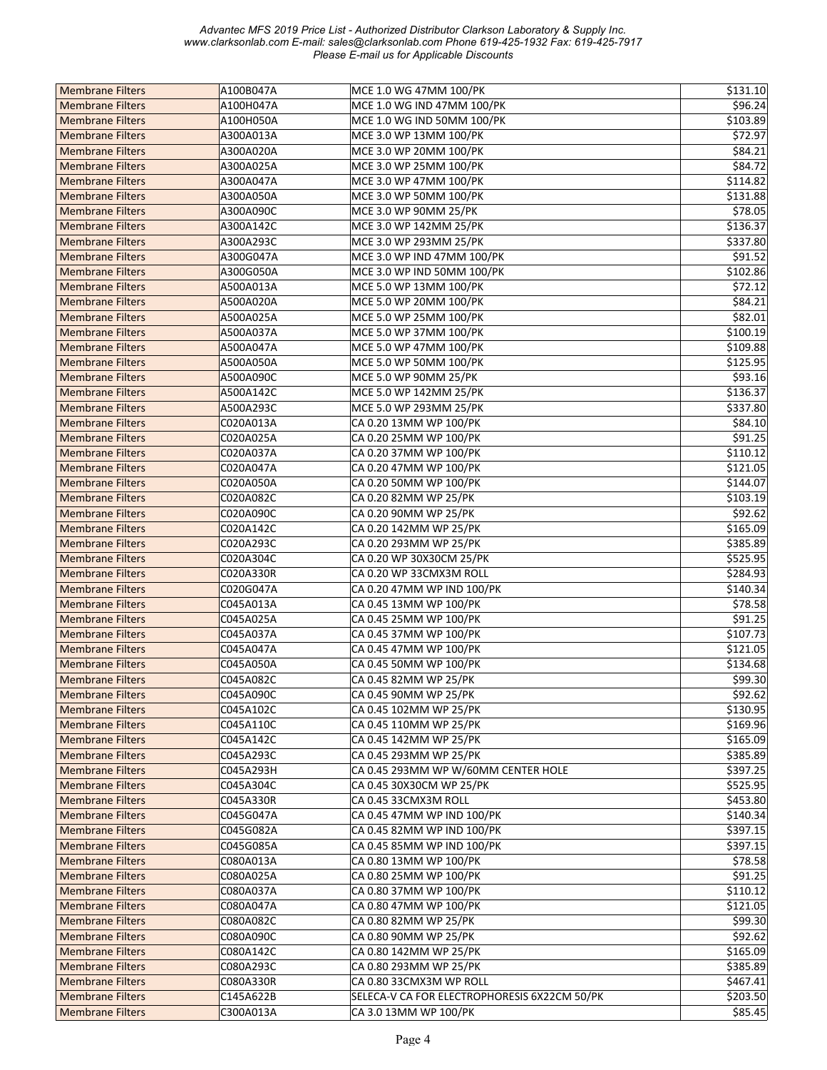| <b>Membrane Filters</b> | A100B047A | MCE 1.0 WG 47MM 100/PK                       | \$131.10 |
|-------------------------|-----------|----------------------------------------------|----------|
| <b>Membrane Filters</b> | A100H047A | MCE 1.0 WG IND 47MM 100/PK                   | \$96.24  |
| <b>Membrane Filters</b> | A100H050A | MCE 1.0 WG IND 50MM 100/PK                   | \$103.89 |
| <b>Membrane Filters</b> | A300A013A | MCE 3.0 WP 13MM 100/PK                       | \$72.97  |
| <b>Membrane Filters</b> | A300A020A | MCE 3.0 WP 20MM 100/PK                       | 584.21   |
| <b>Membrane Filters</b> | A300A025A | MCE 3.0 WP 25MM 100/PK                       | \$84.72  |
| <b>Membrane Filters</b> | A300A047A | MCE 3.0 WP 47MM 100/PK                       | \$114.82 |
| <b>Membrane Filters</b> | A300A050A | MCE 3.0 WP 50MM 100/PK                       | \$131.88 |
| <b>Membrane Filters</b> | A300A090C | MCE 3.0 WP 90MM 25/PK                        | \$78.05  |
|                         |           |                                              |          |
| <b>Membrane Filters</b> | A300A142C | MCE 3.0 WP 142MM 25/PK                       | \$136.37 |
| <b>Membrane Filters</b> | A300A293C | MCE 3.0 WP 293MM 25/PK                       | \$337.80 |
| <b>Membrane Filters</b> | A300G047A | MCE 3.0 WP IND 47MM 100/PK                   | \$91.52  |
| <b>Membrane Filters</b> | A300G050A | MCE 3.0 WP IND 50MM 100/PK                   | \$102.86 |
| <b>Membrane Filters</b> | A500A013A | MCE 5.0 WP 13MM 100/PK                       | \$72.12  |
| <b>Membrane Filters</b> | A500A020A | MCE 5.0 WP 20MM 100/PK                       | \$84.21  |
| <b>Membrane Filters</b> | A500A025A | MCE 5.0 WP 25MM 100/PK                       | \$82.01  |
| <b>Membrane Filters</b> | A500A037A | MCE 5.0 WP 37MM 100/PK                       | \$100.19 |
| <b>Membrane Filters</b> | A500A047A | MCE 5.0 WP 47MM 100/PK                       | \$109.88 |
| <b>Membrane Filters</b> | A500A050A | MCE 5.0 WP 50MM 100/PK                       | \$125.95 |
| <b>Membrane Filters</b> | A500A090C | MCE 5.0 WP 90MM 25/PK                        | \$93.16  |
| <b>Membrane Filters</b> | A500A142C | MCE 5.0 WP 142MM 25/PK                       | \$136.37 |
| <b>Membrane Filters</b> | A500A293C | MCE 5.0 WP 293MM 25/PK                       | \$337.80 |
| <b>Membrane Filters</b> | C020A013A | CA 0.20 13MM WP 100/PK                       | \$84.10  |
| <b>Membrane Filters</b> | C020A025A | CA 0.20 25MM WP 100/PK                       | \$91.25  |
| <b>Membrane Filters</b> | C020A037A | CA 0.20 37MM WP 100/PK                       | \$110.12 |
| <b>Membrane Filters</b> | C020A047A | CA 0.20 47MM WP 100/PK                       | \$121.05 |
| <b>Membrane Filters</b> | C020A050A | CA 0.20 50MM WP 100/PK                       | \$144.07 |
| <b>Membrane Filters</b> | C020A082C | CA 0.20 82MM WP 25/PK                        | \$103.19 |
| <b>Membrane Filters</b> | C020A090C | CA 0.20 90MM WP 25/PK                        | \$92.62  |
|                         |           |                                              |          |
| <b>Membrane Filters</b> | C020A142C | CA 0.20 142MM WP 25/PK                       | \$165.09 |
| <b>Membrane Filters</b> | C020A293C | CA 0.20 293MM WP 25/PK                       | \$385.89 |
| <b>Membrane Filters</b> | C020A304C | CA 0.20 WP 30X30CM 25/PK                     | \$525.95 |
| <b>Membrane Filters</b> | C020A330R | CA 0.20 WP 33CMX3M ROLL                      | \$284.93 |
| <b>Membrane Filters</b> | C020G047A | CA 0.20 47MM WP IND 100/PK                   | \$140.34 |
| <b>Membrane Filters</b> | C045A013A | CA 0.45 13MM WP 100/PK                       | \$78.58  |
| <b>Membrane Filters</b> | C045A025A | CA 0.45 25MM WP 100/PK                       | \$91.25  |
| <b>Membrane Filters</b> | C045A037A | CA 0.45 37MM WP 100/PK                       | \$107.73 |
| <b>Membrane Filters</b> | C045A047A | CA 0.45 47MM WP 100/PK                       | \$121.05 |
| <b>Membrane Filters</b> | C045A050A | CA 0.45 50MM WP 100/PK                       | \$134.68 |
| <b>Membrane Filters</b> | C045A082C | CA 0.45 82MM WP 25/PK                        | \$99.30  |
| <b>Membrane Filters</b> | C045A090C | CA 0.45 90MM WP 25/PK                        | \$92.62  |
| <b>Membrane Filters</b> | C045A102C | CA 0.45 102MM WP 25/PK                       | \$130.95 |
| <b>Membrane Filters</b> | C045A110C | CA 0.45 110MM WP 25/PK                       | \$169.96 |
| <b>Membrane Filters</b> | C045A142C | CA 0.45 142MM WP 25/PK                       | \$165.09 |
| <b>Membrane Filters</b> | C045A293C | CA 0.45 293MM WP 25/PK                       | \$385.89 |
| <b>Membrane Filters</b> | C045A293H | CA 0.45 293MM WP W/60MM CENTER HOLE          | \$397.25 |
| <b>Membrane Filters</b> | C045A304C | CA 0.45 30X30CM WP 25/PK                     | \$525.95 |
| <b>Membrane Filters</b> | C045A330R | CA 0.45 33CMX3M ROLL                         | \$453.80 |
| <b>Membrane Filters</b> | C045G047A | CA 0.45 47MM WP IND 100/PK                   | \$140.34 |
| <b>Membrane Filters</b> | C045G082A | CA 0.45 82MM WP IND 100/PK                   | \$397.15 |
| <b>Membrane Filters</b> | C045G085A | CA 0.45 85MM WP IND 100/PK                   | \$397.15 |
| <b>Membrane Filters</b> | C080A013A | CA 0.80 13MM WP 100/PK                       | \$78.58  |
| <b>Membrane Filters</b> | C080A025A | CA 0.80 25MM WP 100/PK                       | \$91.25  |
| <b>Membrane Filters</b> | C080A037A | CA 0.80 37MM WP 100/PK                       | \$110.12 |
| <b>Membrane Filters</b> | C080A047A | CA 0.80 47MM WP 100/PK                       | \$121.05 |
| <b>Membrane Filters</b> | C080A082C | CA 0.80 82MM WP 25/PK                        | \$99.30  |
|                         |           |                                              |          |
| <b>Membrane Filters</b> | C080A090C | CA 0.80 90MM WP 25/PK                        | \$92.62  |
| <b>Membrane Filters</b> | C080A142C | CA 0.80 142MM WP 25/PK                       | \$165.09 |
| <b>Membrane Filters</b> | C080A293C | CA 0.80 293MM WP 25/PK                       | \$385.89 |
| <b>Membrane Filters</b> | C080A330R | CA 0.80 33CMX3M WP ROLL                      | \$467.41 |
| <b>Membrane Filters</b> | C145A622B | SELECA-V CA FOR ELECTROPHORESIS 6X22CM 50/PK | \$203.50 |
| <b>Membrane Filters</b> | C300A013A | CA 3.0 13MM WP 100/PK                        | \$85.45  |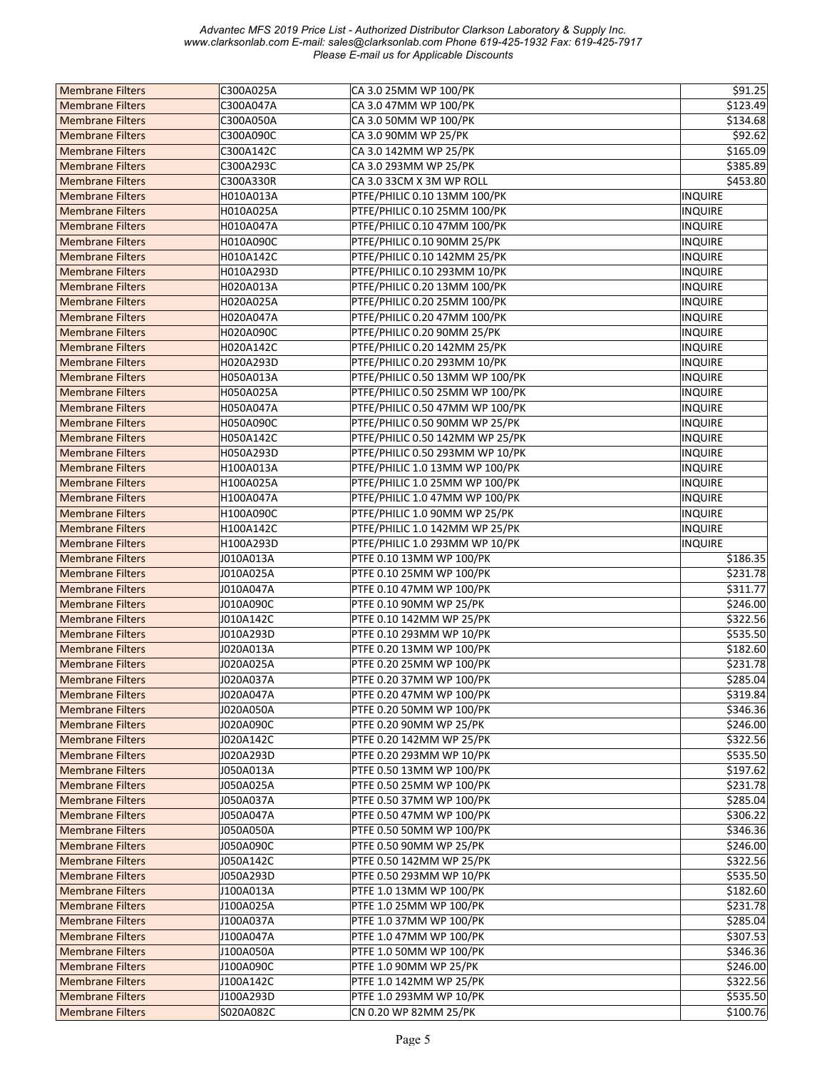| <b>Membrane Filters</b> | C300A025A | CA 3.0 25MM WP 100/PK           | \$91.25        |
|-------------------------|-----------|---------------------------------|----------------|
| <b>Membrane Filters</b> | C300A047A | CA 3.0 47MM WP 100/PK           | \$123.49       |
| <b>Membrane Filters</b> | C300A050A | CA 3.0 50MM WP 100/PK           | 5134.68        |
| <b>Membrane Filters</b> | C300A090C | CA 3.0 90MM WP 25/PK            | \$92.62        |
| <b>Membrane Filters</b> | C300A142C | CA 3.0 142MM WP 25/PK           | \$165.09       |
| <b>Membrane Filters</b> | C300A293C | CA 3.0 293MM WP 25/PK           | \$385.89       |
| <b>Membrane Filters</b> | C300A330R | CA 3.0 33CM X 3M WP ROLL        | \$453.80       |
| <b>Membrane Filters</b> | H010A013A | PTFE/PHILIC 0.10 13MM 100/PK    | <b>INQUIRE</b> |
| <b>Membrane Filters</b> | H010A025A | PTFE/PHILIC 0.10 25MM 100/PK    | <b>INQUIRE</b> |
|                         | H010A047A |                                 |                |
| <b>Membrane Filters</b> |           | PTFE/PHILIC 0.10 47MM 100/PK    | <b>INQUIRE</b> |
| <b>Membrane Filters</b> | H010A090C | PTFE/PHILIC 0.10 90MM 25/PK     | <b>INQUIRE</b> |
| <b>Membrane Filters</b> | H010A142C | PTFE/PHILIC 0.10 142MM 25/PK    | <b>INQUIRE</b> |
| <b>Membrane Filters</b> | H010A293D | PTFE/PHILIC 0.10 293MM 10/PK    | <b>INQUIRE</b> |
| <b>Membrane Filters</b> | H020A013A | PTFE/PHILIC 0.20 13MM 100/PK    | <b>INQUIRE</b> |
| <b>Membrane Filters</b> | H020A025A | PTFE/PHILIC 0.20 25MM 100/PK    | <b>INQUIRE</b> |
| <b>Membrane Filters</b> | H020A047A | PTFE/PHILIC 0.20 47MM 100/PK    | <b>INQUIRE</b> |
| <b>Membrane Filters</b> | H020A090C | PTFE/PHILIC 0.20 90MM 25/PK     | <b>INQUIRE</b> |
| <b>Membrane Filters</b> | H020A142C | PTFE/PHILIC 0.20 142MM 25/PK    | <b>INQUIRE</b> |
| <b>Membrane Filters</b> | H020A293D | PTFE/PHILIC 0.20 293MM 10/PK    | <b>INQUIRE</b> |
| <b>Membrane Filters</b> | H050A013A | PTFE/PHILIC 0.50 13MM WP 100/PK | <b>INQUIRE</b> |
| <b>Membrane Filters</b> | H050A025A | PTFE/PHILIC 0.50 25MM WP 100/PK | <b>INQUIRE</b> |
| <b>Membrane Filters</b> | H050A047A | PTFE/PHILIC 0.50 47MM WP 100/PK | <b>INQUIRE</b> |
| <b>Membrane Filters</b> | H050A090C | PTFE/PHILIC 0.50 90MM WP 25/PK  | <b>INQUIRE</b> |
| <b>Membrane Filters</b> | H050A142C | PTFE/PHILIC 0.50 142MM WP 25/PK | <b>INQUIRE</b> |
| <b>Membrane Filters</b> | H050A293D | PTFE/PHILIC 0.50 293MM WP 10/PK | <b>INQUIRE</b> |
| <b>Membrane Filters</b> | H100A013A | PTFE/PHILIC 1.0 13MM WP 100/PK  | <b>INQUIRE</b> |
| <b>Membrane Filters</b> | H100A025A | PTFE/PHILIC 1.0 25MM WP 100/PK  | <b>INQUIRE</b> |
| <b>Membrane Filters</b> | H100A047A | PTFE/PHILIC 1.0 47MM WP 100/PK  | <b>INQUIRE</b> |
| <b>Membrane Filters</b> | H100A090C | PTFE/PHILIC 1.0 90MM WP 25/PK   | <b>INQUIRE</b> |
| <b>Membrane Filters</b> | H100A142C | PTFE/PHILIC 1.0 142MM WP 25/PK  | <b>INQUIRE</b> |
| <b>Membrane Filters</b> | H100A293D | PTFE/PHILIC 1.0 293MM WP 10/PK  | <b>INQUIRE</b> |
| <b>Membrane Filters</b> | J010A013A | PTFE 0.10 13MM WP 100/PK        | \$186.35       |
| <b>Membrane Filters</b> | J010A025A | PTFE 0.10 25MM WP 100/PK        | \$231.78       |
| <b>Membrane Filters</b> | J010A047A | PTFE 0.10 47MM WP 100/PK        | \$311.77       |
| <b>Membrane Filters</b> | J010A090C | PTFE 0.10 90MM WP 25/PK         | \$246.00       |
| <b>Membrane Filters</b> | J010A142C | PTFE 0.10 142MM WP 25/PK        | \$322.56       |
| <b>Membrane Filters</b> | J010A293D | PTFE 0.10 293MM WP 10/PK        | \$535.50       |
| <b>Membrane Filters</b> | J020A013A | PTFE 0.20 13MM WP 100/PK        | \$182.60       |
| <b>Membrane Filters</b> | J020A025A | PTFE 0.20 25MM WP 100/PK        | \$231.78       |
| <b>Membrane Filters</b> | J020A037A | PTFE 0.20 37MM WP 100/PK        | \$285.04       |
| <b>Membrane Filters</b> | J020A047A | PTFE 0.20 47MM WP 100/PK        | \$319.84       |
| <b>Membrane Filters</b> | J020A050A | PTFE 0.20 50MM WP 100/PK        | \$346.36       |
| <b>Membrane Filters</b> | J020A090C | PTFE 0.20 90MM WP 25/PK         | \$246.00       |
| <b>Membrane Filters</b> | J020A142C | PTFE 0.20 142MM WP 25/PK        | \$322.56       |
| <b>Membrane Filters</b> | J020A293D | PTFE 0.20 293MM WP 10/PK        | \$535.50       |
| <b>Membrane Filters</b> | J050A013A | PTFE 0.50 13MM WP 100/PK        | \$197.62       |
|                         | J050A025A | PTFE 0.50 25MM WP 100/PK        |                |
| <b>Membrane Filters</b> |           |                                 | \$231.78       |
| <b>Membrane Filters</b> | J050A037A | PTFE 0.50 37MM WP 100/PK        | \$285.04       |
| <b>Membrane Filters</b> | J050A047A | PTFE 0.50 47MM WP 100/PK        | \$306.22       |
| <b>Membrane Filters</b> | J050A050A | PTFE 0.50 50MM WP 100/PK        | \$346.36       |
| <b>Membrane Filters</b> | J050A090C | PTFE 0.50 90MM WP 25/PK         | \$246.00       |
| <b>Membrane Filters</b> | J050A142C | PTFE 0.50 142MM WP 25/PK        | \$322.56       |
| <b>Membrane Filters</b> | J050A293D | PTFE 0.50 293MM WP 10/PK        | \$535.50       |
| <b>Membrane Filters</b> | J100A013A | PTFE 1.0 13MM WP 100/PK         | \$182.60       |
| <b>Membrane Filters</b> | J100A025A | PTFE 1.0 25MM WP 100/PK         | \$231.78       |
| <b>Membrane Filters</b> | J100A037A | PTFE 1.0 37MM WP 100/PK         | \$285.04       |
| <b>Membrane Filters</b> | J100A047A | PTFE 1.0 47MM WP 100/PK         | \$307.53       |
| <b>Membrane Filters</b> | J100A050A | PTFE 1.0 50MM WP 100/PK         | \$346.36       |
| <b>Membrane Filters</b> | J100A090C | PTFE 1.0 90MM WP 25/PK          | \$246.00       |
| <b>Membrane Filters</b> | J100A142C | PTFE 1.0 142MM WP 25/PK         | \$322.56       |
| <b>Membrane Filters</b> | J100A293D | PTFE 1.0 293MM WP 10/PK         | \$535.50       |
| <b>Membrane Filters</b> | S020A082C | CN 0.20 WP 82MM 25/PK           | \$100.76       |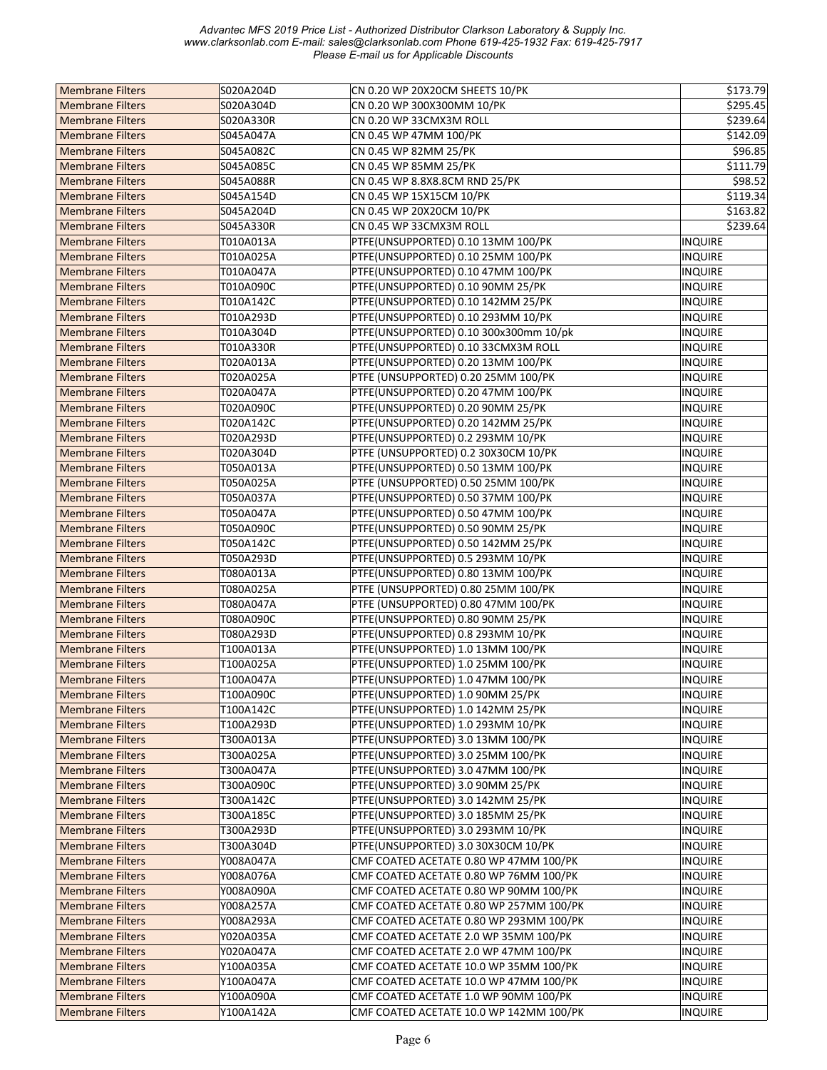| <b>Membrane Filters</b> | S020A204D | CN 0.20 WP 20X20CM SHEETS 10/PK         | \$173.79       |
|-------------------------|-----------|-----------------------------------------|----------------|
| <b>Membrane Filters</b> | S020A304D | CN 0.20 WP 300X300MM 10/PK              | \$295.45       |
| <b>Membrane Filters</b> | S020A330R | CN 0.20 WP 33CMX3M ROLL                 | \$239.64       |
| <b>Membrane Filters</b> | S045A047A | CN 0.45 WP 47MM 100/PK                  | \$142.09       |
| <b>Membrane Filters</b> | S045A082C | CN 0.45 WP 82MM 25/PK                   | \$96.85        |
| <b>Membrane Filters</b> | S045A085C | CN 0.45 WP 85MM 25/PK                   | \$111.79       |
| <b>Membrane Filters</b> | S045A088R | CN 0.45 WP 8.8X8.8CM RND 25/PK          | \$98.52        |
| <b>Membrane Filters</b> | S045A154D | CN 0.45 WP 15X15CM 10/PK                | \$119.34       |
| <b>Membrane Filters</b> | S045A204D | CN 0.45 WP 20X20CM 10/PK                | \$163.82       |
| <b>Membrane Filters</b> | S045A330R | CN 0.45 WP 33CMX3M ROLL                 | \$239.64       |
| <b>Membrane Filters</b> | T010A013A | PTFE(UNSUPPORTED) 0.10 13MM 100/PK      | INQUIRE        |
| <b>Membrane Filters</b> | T010A025A | PTFE(UNSUPPORTED) 0.10 25MM 100/PK      | <b>INQUIRE</b> |
| <b>Membrane Filters</b> | T010A047A | PTFE(UNSUPPORTED) 0.10 47MM 100/PK      | INQUIRE        |
|                         |           |                                         |                |
| <b>Membrane Filters</b> | T010A090C | PTFE(UNSUPPORTED) 0.10 90MM 25/PK       | <b>INQUIRE</b> |
| <b>Membrane Filters</b> | T010A142C | PTFE(UNSUPPORTED) 0.10 142MM 25/PK      | INQUIRE        |
| <b>Membrane Filters</b> | T010A293D | PTFE(UNSUPPORTED) 0.10 293MM 10/PK      | <b>INQUIRE</b> |
| <b>Membrane Filters</b> | T010A304D | PTFE(UNSUPPORTED) 0.10 300x300mm 10/pk  | <b>INQUIRE</b> |
| <b>Membrane Filters</b> | T010A330R | PTFE(UNSUPPORTED) 0.10 33CMX3M ROLL     | <b>INQUIRE</b> |
| <b>Membrane Filters</b> | T020A013A | PTFE(UNSUPPORTED) 0.20 13MM 100/PK      | <b>INQUIRE</b> |
| <b>Membrane Filters</b> | T020A025A | PTFE (UNSUPPORTED) 0.20 25MM 100/PK     | <b>INQUIRE</b> |
| <b>Membrane Filters</b> | T020A047A | PTFE(UNSUPPORTED) 0.20 47MM 100/PK      | <b>INQUIRE</b> |
| <b>Membrane Filters</b> | T020A090C | PTFE(UNSUPPORTED) 0.20 90MM 25/PK       | INQUIRE        |
| <b>Membrane Filters</b> | T020A142C | PTFE(UNSUPPORTED) 0.20 142MM 25/PK      | <b>INQUIRE</b> |
| <b>Membrane Filters</b> | T020A293D | PTFE(UNSUPPORTED) 0.2 293MM 10/PK       | <b>INQUIRE</b> |
| <b>Membrane Filters</b> | T020A304D | PTFE (UNSUPPORTED) 0.2 30X30CM 10/PK    | <b>INQUIRE</b> |
| <b>Membrane Filters</b> | T050A013A | PTFE(UNSUPPORTED) 0.50 13MM 100/PK      | <b>INQUIRE</b> |
| <b>Membrane Filters</b> | T050A025A | PTFE (UNSUPPORTED) 0.50 25MM 100/PK     | <b>INQUIRE</b> |
| <b>Membrane Filters</b> | T050A037A | PTFE(UNSUPPORTED) 0.50 37MM 100/PK      | <b>INQUIRE</b> |
| <b>Membrane Filters</b> | T050A047A | PTFE(UNSUPPORTED) 0.50 47MM 100/PK      | <b>INQUIRE</b> |
| <b>Membrane Filters</b> | T050A090C | PTFE(UNSUPPORTED) 0.50 90MM 25/PK       | <b>INQUIRE</b> |
| <b>Membrane Filters</b> | T050A142C | PTFE(UNSUPPORTED) 0.50 142MM 25/PK      | <b>INQUIRE</b> |
| <b>Membrane Filters</b> | T050A293D | PTFE(UNSUPPORTED) 0.5 293MM 10/PK       | <b>INQUIRE</b> |
| <b>Membrane Filters</b> | T080A013A | PTFE(UNSUPPORTED) 0.80 13MM 100/PK      | <b>INQUIRE</b> |
| <b>Membrane Filters</b> | T080A025A | PTFE (UNSUPPORTED) 0.80 25MM 100/PK     | <b>INQUIRE</b> |
| <b>Membrane Filters</b> | T080A047A | PTFE (UNSUPPORTED) 0.80 47MM 100/PK     | <b>INQUIRE</b> |
|                         |           |                                         |                |
| <b>Membrane Filters</b> | T080A090C | PTFE(UNSUPPORTED) 0.80 90MM 25/PK       | <b>INQUIRE</b> |
| <b>Membrane Filters</b> | T080A293D | PTFE(UNSUPPORTED) 0.8 293MM 10/PK       | <b>INQUIRE</b> |
| <b>Membrane Filters</b> | T100A013A | PTFE(UNSUPPORTED) 1.0 13MM 100/PK       | <b>INQUIRE</b> |
| <b>Membrane Filters</b> | T100A025A | PTFE(UNSUPPORTED) 1.0 25MM 100/PK       | <b>INQUIRE</b> |
| <b>Membrane Filters</b> | T100A047A | PTFE(UNSUPPORTED) 1.0 47MM 100/PK       | <b>INQUIRE</b> |
| <b>Membrane Filters</b> | T100A090C | PTFE(UNSUPPORTED) 1.0 90MM 25/PK        | <b>INQUIRE</b> |
| <b>Membrane Filters</b> | T100A142C | PTFE(UNSUPPORTED) 1.0 142MM 25/PK       | <b>INQUIRE</b> |
| <b>Membrane Filters</b> | T100A293D | PTFE(UNSUPPORTED) 1.0 293MM 10/PK       | <b>INQUIRE</b> |
| <b>Membrane Filters</b> | T300A013A | PTFE(UNSUPPORTED) 3.0 13MM 100/PK       | INQUIRE        |
| <b>Membrane Filters</b> | T300A025A | PTFE(UNSUPPORTED) 3.0 25MM 100/PK       | <b>INQUIRE</b> |
| <b>Membrane Filters</b> | T300A047A | PTFE(UNSUPPORTED) 3.0 47MM 100/PK       | <b>INQUIRE</b> |
| <b>Membrane Filters</b> | T300A090C | PTFE(UNSUPPORTED) 3.0 90MM 25/PK        | <b>INQUIRE</b> |
| <b>Membrane Filters</b> | T300A142C | PTFE(UNSUPPORTED) 3.0 142MM 25/PK       | <b>INQUIRE</b> |
| <b>Membrane Filters</b> | T300A185C | PTFE(UNSUPPORTED) 3.0 185MM 25/PK       | <b>INQUIRE</b> |
| <b>Membrane Filters</b> | T300A293D | PTFE(UNSUPPORTED) 3.0 293MM 10/PK       | <b>INQUIRE</b> |
| <b>Membrane Filters</b> | T300A304D | PTFE(UNSUPPORTED) 3.0 30X30CM 10/PK     | <b>INQUIRE</b> |
| <b>Membrane Filters</b> | Y008A047A | CMF COATED ACETATE 0.80 WP 47MM 100/PK  | <b>INQUIRE</b> |
| <b>Membrane Filters</b> | Y008A076A | CMF COATED ACETATE 0.80 WP 76MM 100/PK  | <b>INQUIRE</b> |
| <b>Membrane Filters</b> | Y008A090A | CMF COATED ACETATE 0.80 WP 90MM 100/PK  | <b>INQUIRE</b> |
| <b>Membrane Filters</b> | Y008A257A | CMF COATED ACETATE 0.80 WP 257MM 100/PK | <b>INQUIRE</b> |
| <b>Membrane Filters</b> | Y008A293A | CMF COATED ACETATE 0.80 WP 293MM 100/PK | <b>INQUIRE</b> |
| <b>Membrane Filters</b> | Y020A035A | CMF COATED ACETATE 2.0 WP 35MM 100/PK   | <b>INQUIRE</b> |
| <b>Membrane Filters</b> | Y020A047A | CMF COATED ACETATE 2.0 WP 47MM 100/PK   | <b>INQUIRE</b> |
| <b>Membrane Filters</b> | Y100A035A | CMF COATED ACETATE 10.0 WP 35MM 100/PK  | <b>INQUIRE</b> |
| <b>Membrane Filters</b> | Y100A047A | CMF COATED ACETATE 10.0 WP 47MM 100/PK  | <b>INQUIRE</b> |
| <b>Membrane Filters</b> | Y100A090A | CMF COATED ACETATE 1.0 WP 90MM 100/PK   | <b>INQUIRE</b> |
| <b>Membrane Filters</b> | Y100A142A | CMF COATED ACETATE 10.0 WP 142MM 100/PK | <b>INQUIRE</b> |
|                         |           |                                         |                |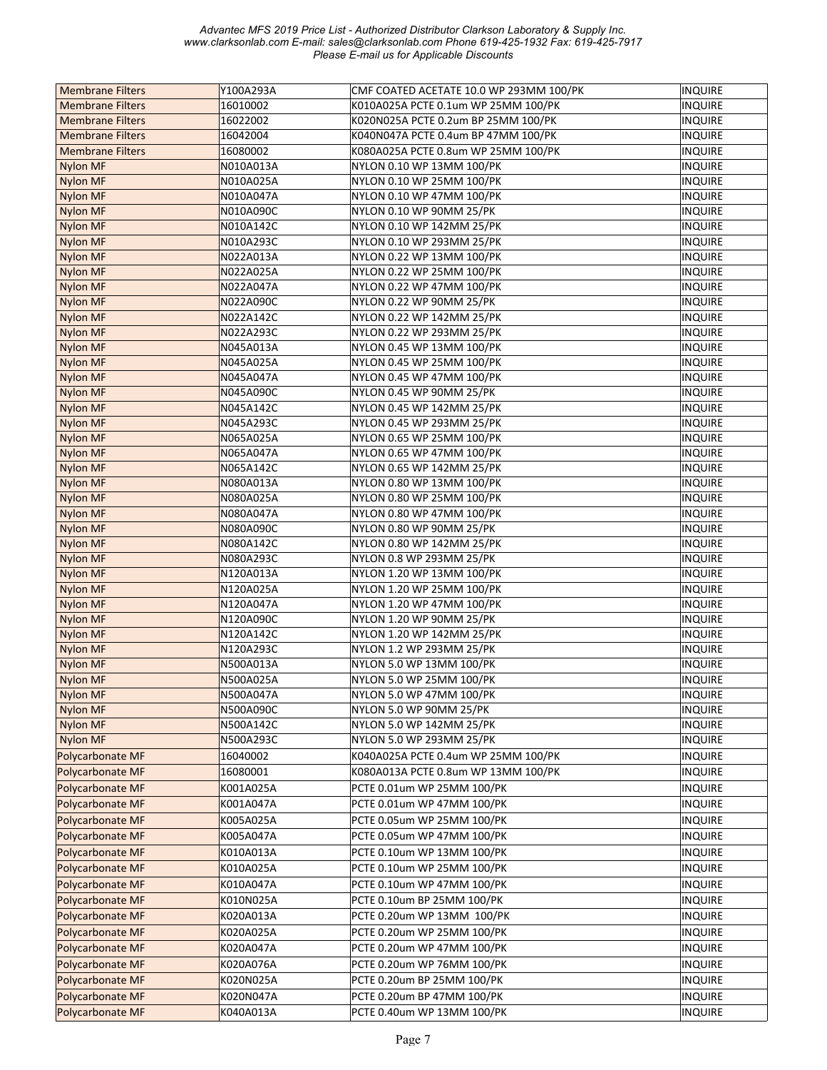| <b>Membrane Filters</b> | Y100A293A | CMF COATED ACETATE 10.0 WP 293MM 100/PK | <b>INQUIRE</b> |
|-------------------------|-----------|-----------------------------------------|----------------|
| <b>Membrane Filters</b> | 16010002  | K010A025A PCTE 0.1um WP 25MM 100/PK     | <b>INQUIRE</b> |
| <b>Membrane Filters</b> | 16022002  | K020N025A PCTE 0.2um BP 25MM 100/PK     | <b>INQUIRE</b> |
| <b>Membrane Filters</b> | 16042004  | K040N047A PCTE 0.4um BP 47MM 100/PK     | INQUIRE        |
| <b>Membrane Filters</b> | 16080002  | K080A025A PCTE 0.8um WP 25MM 100/PK     | <b>INQUIRE</b> |
| <b>Nylon MF</b>         | N010A013A | NYLON 0.10 WP 13MM 100/PK               | INQUIRE        |
| <b>Nylon MF</b>         | N010A025A | NYLON 0.10 WP 25MM 100/PK               | INQUIRE        |
| <b>Nylon MF</b>         | N010A047A | NYLON 0.10 WP 47MM 100/PK               | <b>INQUIRE</b> |
| <b>Nylon MF</b>         | N010A090C | NYLON 0.10 WP 90MM 25/PK                | <b>INQUIRE</b> |
| <b>Nylon MF</b>         | N010A142C | NYLON 0.10 WP 142MM 25/PK               | <b>INQUIRE</b> |
| <b>Nylon MF</b>         | N010A293C | NYLON 0.10 WP 293MM 25/PK               | <b>INQUIRE</b> |
| <b>Nylon MF</b>         | N022A013A | NYLON 0.22 WP 13MM 100/PK               | <b>INQUIRE</b> |
| <b>Nylon MF</b>         | N022A025A | NYLON 0.22 WP 25MM 100/PK               | INQUIRE        |
| <b>Nylon MF</b>         | N022A047A | NYLON 0.22 WP 47MM 100/PK               | <b>INQUIRE</b> |
| <b>Nylon MF</b>         | N022A090C | NYLON 0.22 WP 90MM 25/PK                | <b>INQUIRE</b> |
| <b>Nylon MF</b>         | N022A142C | NYLON 0.22 WP 142MM 25/PK               | <b>INQUIRE</b> |
| <b>Nylon MF</b>         | N022A293C | NYLON 0.22 WP 293MM 25/PK               | <b>INQUIRE</b> |
| <b>Nylon MF</b>         | N045A013A | NYLON 0.45 WP 13MM 100/PK               | <b>INQUIRE</b> |
| <b>Nylon MF</b>         | N045A025A | NYLON 0.45 WP 25MM 100/PK               | <b>INQUIRE</b> |
| <b>Nylon MF</b>         | N045A047A | NYLON 0.45 WP 47MM 100/PK               | INQUIRE        |
| <b>Nylon MF</b>         | N045A090C | NYLON 0.45 WP 90MM 25/PK                | <b>INQUIRE</b> |
| <b>Nylon MF</b>         | N045A142C | NYLON 0.45 WP 142MM 25/PK               | <b>INQUIRE</b> |
| <b>Nylon MF</b>         | N045A293C | NYLON 0.45 WP 293MM 25/PK               | <b>INQUIRE</b> |
| <b>Nylon MF</b>         | N065A025A | NYLON 0.65 WP 25MM 100/PK               | <b>INQUIRE</b> |
| <b>Nylon MF</b>         | N065A047A | NYLON 0.65 WP 47MM 100/PK               | <b>INQUIRE</b> |
| <b>Nylon MF</b>         | N065A142C | NYLON 0.65 WP 142MM 25/PK               | INQUIRE        |
| <b>Nylon MF</b>         | N080A013A | NYLON 0.80 WP 13MM 100/PK               | <b>INQUIRE</b> |
| Nylon MF                | N080A025A | NYLON 0.80 WP 25MM 100/PK               | INQUIRE        |
| <b>Nylon MF</b>         | N080A047A | NYLON 0.80 WP 47MM 100/PK               | INQUIRE        |
| <b>Nylon MF</b>         | N080A090C | NYLON 0.80 WP 90MM 25/PK                | <b>INQUIRE</b> |
| <b>Nylon MF</b>         | N080A142C | NYLON 0.80 WP 142MM 25/PK               | <b>INQUIRE</b> |
| <b>Nylon MF</b>         | N080A293C | NYLON 0.8 WP 293MM 25/PK                | INQUIRE        |
| <b>Nylon MF</b>         | N120A013A | NYLON 1.20 WP 13MM 100/PK               | <b>INQUIRE</b> |
| <b>Nylon MF</b>         | N120A025A | NYLON 1.20 WP 25MM 100/PK               | <b>INQUIRE</b> |
| <b>Nylon MF</b>         | N120A047A | NYLON 1.20 WP 47MM 100/PK               | INQUIRE        |
| <b>Nylon MF</b>         | N120A090C | NYLON 1.20 WP 90MM 25/PK                | INQUIRE        |
| <b>Nylon MF</b>         | N120A142C | NYLON 1.20 WP 142MM 25/PK               | <b>INQUIRE</b> |
| <b>Nylon MF</b>         | N120A293C | NYLON 1.2 WP 293MM 25/PK                | <b>INQUIRE</b> |
| <b>Nylon MF</b>         | N500A013A | NYLON 5.0 WP 13MM 100/PK                | INQUIRE        |
| <b>Nylon MF</b>         | N500A025A | NYLON 5.0 WP 25MM 100/PK                | <b>INQUIRE</b> |
| <b>Nylon MF</b>         | N500A047A | NYLON 5.0 WP 47MM 100/PK                | <b>INQUIRE</b> |
| <b>Nylon MF</b>         | N500A090C | NYLON 5.0 WP 90MM 25/PK                 | <b>INQUIRE</b> |
| <b>Nylon MF</b>         | N500A142C | NYLON 5.0 WP 142MM 25/PK                | <b>INQUIRE</b> |
| Nylon MF                | N500A293C | NYLON 5.0 WP 293MM 25/PK                | <b>INQUIRE</b> |
| Polycarbonate MF        | 16040002  | K040A025A PCTE 0.4um WP 25MM 100/PK     | <b>INQUIRE</b> |
| Polycarbonate MF        | 16080001  | K080A013A PCTE 0.8um WP 13MM 100/PK     | <b>INQUIRE</b> |
| Polycarbonate MF        | K001A025A | PCTE 0.01um WP 25MM 100/PK              |                |
|                         |           |                                         | <b>INQUIRE</b> |
| Polycarbonate MF        | K001A047A | PCTE 0.01um WP 47MM 100/PK              | <b>INQUIRE</b> |
| Polycarbonate MF        | K005A025A | PCTE 0.05um WP 25MM 100/PK              | <b>INQUIRE</b> |
| Polycarbonate MF        | K005A047A | PCTE 0.05um WP 47MM 100/PK              | <b>INQUIRE</b> |
| Polycarbonate MF        | K010A013A | PCTE 0.10um WP 13MM 100/PK              | <b>INQUIRE</b> |
| Polycarbonate MF        | K010A025A | PCTE 0.10um WP 25MM 100/PK              | INQUIRE        |
| Polycarbonate MF        | K010A047A | PCTE 0.10um WP 47MM 100/PK              | <b>INQUIRE</b> |
| Polycarbonate MF        | K010N025A | PCTE 0.10um BP 25MM 100/PK              | <b>INQUIRE</b> |
| Polycarbonate MF        | K020A013A | PCTE 0.20um WP 13MM 100/PK              | INQUIRE        |
| Polycarbonate MF        | K020A025A | PCTE 0.20um WP 25MM 100/PK              | INQUIRE        |
| Polycarbonate MF        | K020A047A | PCTE 0.20um WP 47MM 100/PK              | INQUIRE        |
| Polycarbonate MF        | K020A076A | PCTE 0.20um WP 76MM 100/PK              | <b>INQUIRE</b> |
| Polycarbonate MF        | K020N025A | PCTE 0.20um BP 25MM 100/PK              | <b>INQUIRE</b> |
| Polycarbonate MF        | K020N047A | PCTE 0.20um BP 47MM 100/PK              | <b>INQUIRE</b> |
| Polycarbonate MF        | K040A013A | PCTE 0.40um WP 13MM 100/PK              | INQUIRE        |
|                         |           |                                         |                |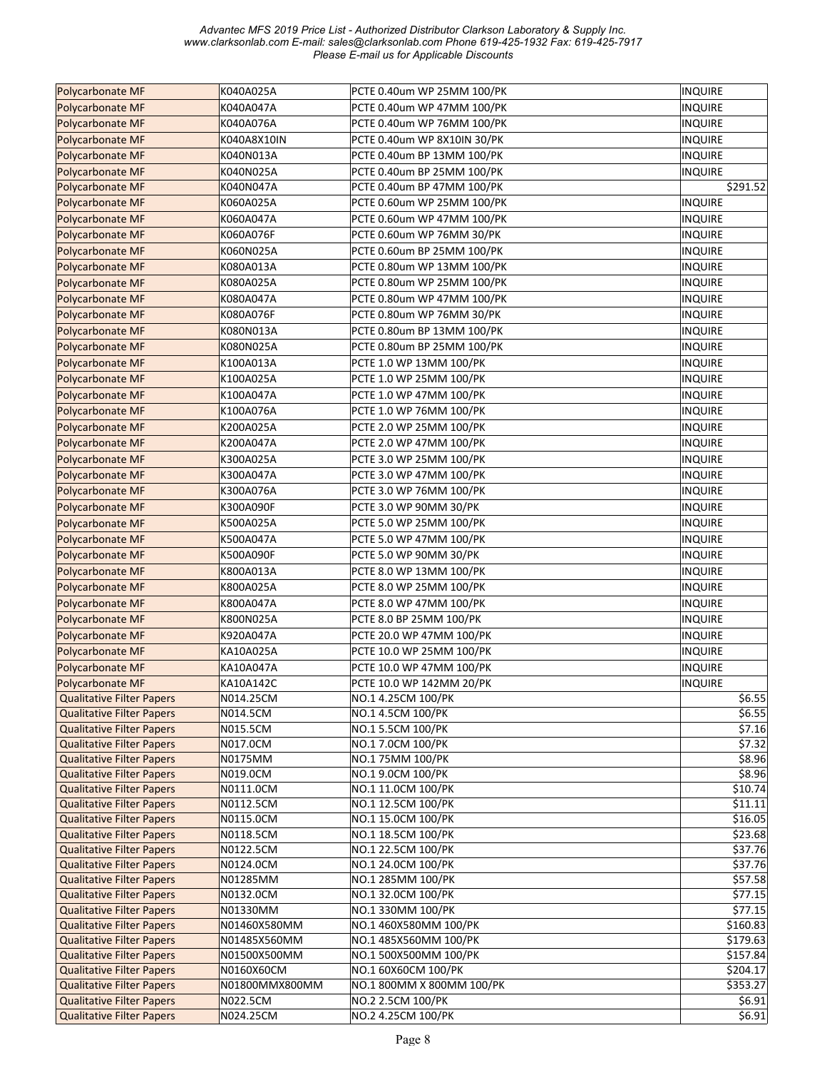| Polycarbonate MF                                                     | K040A025A             | PCTE 0.40um WP 25MM 100/PK               | <b>INQUIRE</b>     |
|----------------------------------------------------------------------|-----------------------|------------------------------------------|--------------------|
| Polycarbonate MF                                                     | K040A047A             | PCTE 0.40um WP 47MM 100/PK               | <b>INQUIRE</b>     |
| Polycarbonate MF                                                     | K040A076A             | PCTE 0.40um WP 76MM 100/PK               | INQUIRE            |
| Polycarbonate MF                                                     | K040A8X10IN           | PCTE 0.40um WP 8X10IN 30/PK              | <b>INQUIRE</b>     |
| Polycarbonate MF                                                     | K040N013A             | PCTE 0.40um BP 13MM 100/PK               | <b>INQUIRE</b>     |
| Polycarbonate MF                                                     | K040N025A             | PCTE 0.40um BP 25MM 100/PK               | INQUIRE            |
| Polycarbonate MF                                                     | K040N047A             | PCTE 0.40um BP 47MM 100/PK               | \$291.52           |
| Polycarbonate MF                                                     | K060A025A             | PCTE 0.60um WP 25MM 100/PK               | <b>INQUIRE</b>     |
| Polycarbonate MF                                                     | K060A047A             | PCTE 0.60um WP 47MM 100/PK               | <b>INQUIRE</b>     |
| Polycarbonate MF                                                     | K060A076F             | PCTE 0.60um WP 76MM 30/PK                | <b>INQUIRE</b>     |
| Polycarbonate MF                                                     | K060N025A             | PCTE 0.60um BP 25MM 100/PK               | INQUIRE            |
| Polycarbonate MF                                                     | K080A013A             | PCTE 0.80um WP 13MM 100/PK               | INQUIRE            |
| Polycarbonate MF                                                     | K080A025A             | PCTE 0.80um WP 25MM 100/PK               | <b>INQUIRE</b>     |
| Polycarbonate MF                                                     | K080A047A             | PCTE 0.80um WP 47MM 100/PK               | <b>INQUIRE</b>     |
| Polycarbonate MF                                                     | K080A076F             | PCTE 0.80um WP 76MM 30/PK                | INQUIRE            |
| Polycarbonate MF                                                     | K080N013A             | PCTE 0.80um BP 13MM 100/PK               | <b>INQUIRE</b>     |
| Polycarbonate MF                                                     | K080N025A             | PCTE 0.80um BP 25MM 100/PK               | <b>INQUIRE</b>     |
| <b>Polycarbonate MF</b>                                              |                       | PCTE 1.0 WP 13MM 100/PK                  | <b>INQUIRE</b>     |
|                                                                      | K100A013A             |                                          |                    |
| Polycarbonate MF                                                     | K100A025A             | PCTE 1.0 WP 25MM 100/PK                  | <b>INQUIRE</b>     |
| Polycarbonate MF                                                     | K100A047A             | PCTE 1.0 WP 47MM 100/PK                  | <b>INQUIRE</b>     |
| Polycarbonate MF                                                     | K100A076A             | PCTE 1.0 WP 76MM 100/PK                  | <b>INQUIRE</b>     |
| Polycarbonate MF                                                     | K200A025A             | PCTE 2.0 WP 25MM 100/PK                  | <b>INQUIRE</b>     |
| Polycarbonate MF                                                     | K200A047A             | PCTE 2.0 WP 47MM 100/PK                  | <b>INQUIRE</b>     |
| Polycarbonate MF                                                     | K300A025A             | PCTE 3.0 WP 25MM 100/PK                  | <b>INQUIRE</b>     |
| Polycarbonate MF                                                     | K300A047A             | PCTE 3.0 WP 47MM 100/PK                  | <b>INQUIRE</b>     |
| Polycarbonate MF                                                     | K300A076A             | PCTE 3.0 WP 76MM 100/PK                  | <b>INQUIRE</b>     |
| Polycarbonate MF                                                     | K300A090F             | PCTE 3.0 WP 90MM 30/PK                   | <b>INQUIRE</b>     |
| Polycarbonate MF                                                     | K500A025A             | PCTE 5.0 WP 25MM 100/PK                  | <b>INQUIRE</b>     |
| Polycarbonate MF                                                     | K500A047A             | PCTE 5.0 WP 47MM 100/PK                  | <b>INQUIRE</b>     |
| Polycarbonate MF                                                     | K500A090F             | PCTE 5.0 WP 90MM 30/PK                   | <b>INQUIRE</b>     |
| Polycarbonate MF                                                     | K800A013A             | PCTE 8.0 WP 13MM 100/PK                  | <b>INQUIRE</b>     |
| Polycarbonate MF                                                     | K800A025A             | PCTE 8.0 WP 25MM 100/PK                  | <b>INQUIRE</b>     |
| Polycarbonate MF                                                     | K800A047A             | PCTE 8.0 WP 47MM 100/PK                  | <b>INQUIRE</b>     |
| <b>Polycarbonate MF</b>                                              | K800N025A             | PCTE 8.0 BP 25MM 100/PK                  | <b>INQUIRE</b>     |
| Polycarbonate MF                                                     | K920A047A             | PCTE 20.0 WP 47MM 100/PK                 | <b>INQUIRE</b>     |
| <b>Polycarbonate MF</b>                                              | KA10A025A             | PCTE 10.0 WP 25MM 100/PK                 | <b>INQUIRE</b>     |
| Polycarbonate MF                                                     | KA10A047A             | PCTE 10.0 WP 47MM 100/PK                 | <b>INQUIRE</b>     |
| Polycarbonate MF                                                     | KA10A142C             | PCTE 10.0 WP 142MM 20/PK                 | <b>INQUIRE</b>     |
| <b>Qualitative Filter Papers</b>                                     | N014.25CM             | NO.1 4.25CM 100/PK                       | \$6.55             |
| <b>Qualitative Filter Papers</b>                                     | N014.5CM              | NO.1 4.5CM 100/PK                        | \$6.55             |
| <b>Qualitative Filter Papers</b>                                     | N015.5CM              | NO.1 5.5CM 100/PK                        | \$7.16             |
| <b>Qualitative Filter Papers</b>                                     | N017.0CM              | NO.1 7.0CM 100/PK                        | \$7.32             |
| <b>Qualitative Filter Papers</b>                                     | N0175MM               | NO.1 75MM 100/PK                         | \$8.96             |
| <b>Qualitative Filter Papers</b>                                     | N019.0CM              | NO.1 9.0CM 100/PK                        | \$8.96             |
| <b>Qualitative Filter Papers</b>                                     | N0111.0CM             | NO.1 11.0CM 100/PK                       | \$10.74            |
| <b>Qualitative Filter Papers</b>                                     | N0112.5CM             | NO.1 12.5CM 100/PK                       | \$11.11            |
| <b>Qualitative Filter Papers</b>                                     | N0115.0CM             | NO.1 15.0CM 100/PK                       | \$16.05            |
| <b>Qualitative Filter Papers</b>                                     | N0118.5CM             | NO.1 18.5CM 100/PK                       | \$23.68            |
| <b>Qualitative Filter Papers</b>                                     | N0122.5CM             | NO.1 22.5CM 100/PK<br>NO.1 24.0CM 100/PK | \$37.76<br>\$37.76 |
| <b>Qualitative Filter Papers</b><br><b>Qualitative Filter Papers</b> | N0124.0CM<br>N01285MM | NO.1 285MM 100/PK                        | \$57.58            |
| <b>Qualitative Filter Papers</b>                                     | N0132.0CM             | NO.1 32.0CM 100/PK                       | \$77.15            |
| <b>Qualitative Filter Papers</b>                                     | N01330MM              | NO.1 330MM 100/PK                        | \$77.15            |
| <b>Qualitative Filter Papers</b>                                     | N01460X580MM          | NO.1 460X580MM 100/PK                    | \$160.83           |
| <b>Qualitative Filter Papers</b>                                     | N01485X560MM          | NO.1 485X560MM 100/PK                    | \$179.63           |
| <b>Qualitative Filter Papers</b>                                     | N01500X500MM          | NO.1 500X500MM 100/PK                    | \$157.84           |
| <b>Qualitative Filter Papers</b>                                     | N0160X60CM            | NO.1 60X60CM 100/PK                      | \$204.17           |
| <b>Qualitative Filter Papers</b>                                     | N01800MMX800MM        | NO.1 800MM X 800MM 100/PK                | \$353.27           |
| <b>Qualitative Filter Papers</b>                                     | N022.5CM              | NO.2 2.5CM 100/PK                        | \$6.91             |
| <b>Qualitative Filter Papers</b>                                     | N024.25CM             | NO.2 4.25CM 100/PK                       | \$6.91             |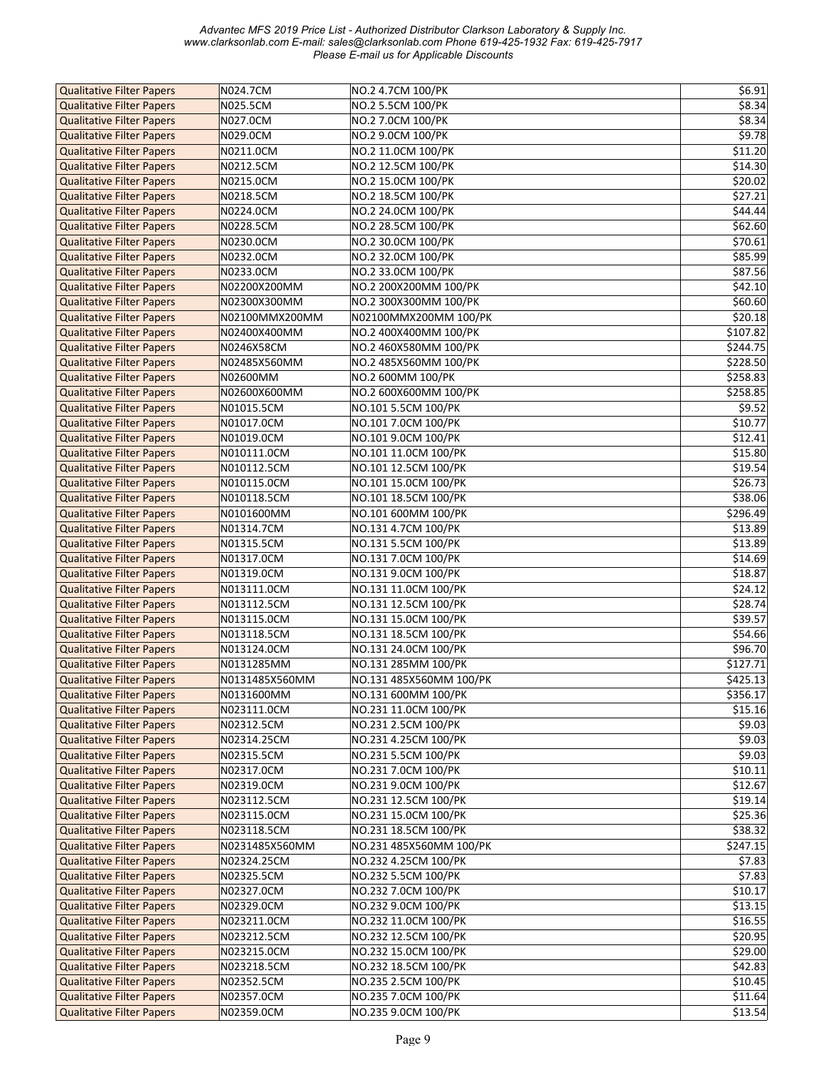| <b>Qualitative Filter Papers</b> | N024.7CM       | NO.2 4.7CM 100/PK       | \$6.91   |
|----------------------------------|----------------|-------------------------|----------|
| <b>Qualitative Filter Papers</b> | N025.5CM       | NO.2 5.5CM 100/PK       | \$8.34   |
| <b>Qualitative Filter Papers</b> | N027.0CM       | NO.2 7.0CM 100/PK       | \$8.34   |
|                                  |                |                         | \$9.78   |
| <b>Qualitative Filter Papers</b> | N029.0CM       | NO.2 9.0CM 100/PK       |          |
| <b>Qualitative Filter Papers</b> | N0211.0CM      | NO.2 11.0CM 100/PK      | \$11.20  |
| <b>Qualitative Filter Papers</b> | N0212.5CM      | NO.2 12.5CM 100/PK      | \$14.30  |
| <b>Qualitative Filter Papers</b> | N0215.0CM      | NO.2 15.0CM 100/PK      | \$20.02  |
| <b>Qualitative Filter Papers</b> | N0218.5CM      | NO.2 18.5CM 100/PK      | \$27.21  |
| <b>Qualitative Filter Papers</b> | N0224.0CM      | NO.2 24.0CM 100/PK      | \$44.44  |
| <b>Qualitative Filter Papers</b> | N0228.5CM      | NO.2 28.5CM 100/PK      | \$62.60  |
| <b>Qualitative Filter Papers</b> | N0230.0CM      | NO.2 30.0CM 100/PK      | \$70.61  |
| <b>Qualitative Filter Papers</b> | N0232.0CM      | NO.2 32.0CM 100/PK      | \$85.99  |
| <b>Qualitative Filter Papers</b> | N0233.0CM      | NO.2 33.0CM 100/PK      | \$87.56  |
| <b>Qualitative Filter Papers</b> | N02200X200MM   | NO.2 200X200MM 100/PK   | \$42.10  |
|                                  |                |                         |          |
| <b>Qualitative Filter Papers</b> | N02300X300MM   | NO.2 300X300MM 100/PK   | \$60.60  |
| <b>Qualitative Filter Papers</b> | N02100MMX200MM | N02100MMX200MM 100/PK   | \$20.18  |
| <b>Qualitative Filter Papers</b> | N02400X400MM   | NO.2 400X400MM 100/PK   | \$107.82 |
| <b>Qualitative Filter Papers</b> | N0246X58CM     | NO.2 460X580MM 100/PK   | \$244.75 |
| <b>Qualitative Filter Papers</b> | N02485X560MM   | NO.2 485X560MM 100/PK   | \$228.50 |
| <b>Qualitative Filter Papers</b> | N02600MM       | NO.2 600MM 100/PK       | \$258.83 |
| <b>Qualitative Filter Papers</b> | N02600X600MM   | NO.2 600X600MM 100/PK   | \$258.85 |
| <b>Qualitative Filter Papers</b> | N01015.5CM     | NO.101 5.5CM 100/PK     | \$9.52   |
| <b>Qualitative Filter Papers</b> | N01017.0CM     | NO.101 7.0CM 100/PK     | \$10.77  |
| <b>Qualitative Filter Papers</b> | N01019.0CM     | NO.101 9.0CM 100/PK     | \$12.41  |
| <b>Qualitative Filter Papers</b> | N010111.0CM    | NO.101 11.0CM 100/PK    | \$15.80  |
| <b>Qualitative Filter Papers</b> | N010112.5CM    | NO.101 12.5CM 100/PK    | \$19.54  |
|                                  |                |                         |          |
| <b>Qualitative Filter Papers</b> | N010115.0CM    | NO.101 15.0CM 100/PK    | \$26.73  |
| <b>Qualitative Filter Papers</b> | N010118.5CM    | NO.101 18.5CM 100/PK    | \$38.06  |
| <b>Qualitative Filter Papers</b> | N0101600MM     | NO.101 600MM 100/PK     | \$296.49 |
| <b>Qualitative Filter Papers</b> | N01314.7CM     | NO.131 4.7CM 100/PK     | \$13.89  |
| <b>Qualitative Filter Papers</b> | N01315.5CM     | NO.131 5.5CM 100/PK     | \$13.89  |
| <b>Qualitative Filter Papers</b> | N01317.0CM     | NO.131 7.0CM 100/PK     | \$14.69  |
| <b>Qualitative Filter Papers</b> | N01319.0CM     | NO.131 9.0CM 100/PK     | \$18.87  |
| <b>Qualitative Filter Papers</b> | N013111.0CM    | NO.131 11.0CM 100/PK    | \$24.12  |
| <b>Qualitative Filter Papers</b> | N013112.5CM    | NO.131 12.5CM 100/PK    | \$28.74  |
| <b>Qualitative Filter Papers</b> | N013115.0CM    | NO.131 15.0CM 100/PK    | \$39.57  |
| <b>Qualitative Filter Papers</b> | N013118.5CM    | NO.131 18.5CM 100/PK    | \$54.66  |
| <b>Qualitative Filter Papers</b> | N013124.0CM    | NO.131 24.0CM 100/PK    | \$96.70  |
| <b>Qualitative Filter Papers</b> | N0131285MM     | NO.131 285MM 100/PK     | \$127.71 |
| <b>Qualitative Filter Papers</b> | N0131485X560MM | NO.131 485X560MM 100/PK | \$425.13 |
|                                  |                |                         |          |
| <b>Qualitative Filter Papers</b> | N0131600MM     | NO.131 600MM 100/PK     | \$356.17 |
| <b>Qualitative Filter Papers</b> | N023111.0CM    | NO.231 11.0CM 100/PK    | \$15.16  |
| <b>Qualitative Filter Papers</b> | N02312.5CM     | NO.231 2.5CM 100/PK     | \$9.03   |
| <b>Qualitative Filter Papers</b> | N02314.25CM    | NO.231 4.25CM 100/PK    | \$9.03   |
| <b>Qualitative Filter Papers</b> | N02315.5CM     | NO.231 5.5CM 100/PK     | \$9.03   |
| <b>Qualitative Filter Papers</b> | N02317.0CM     | NO.231 7.0CM 100/PK     | \$10.11  |
| <b>Qualitative Filter Papers</b> | N02319.0CM     | NO.231 9.0CM 100/PK     | \$12.67  |
| <b>Qualitative Filter Papers</b> | N023112.5CM    | NO.231 12.5CM 100/PK    | \$19.14  |
| <b>Qualitative Filter Papers</b> | N023115.0CM    | NO.231 15.0CM 100/PK    | \$25.36  |
| <b>Qualitative Filter Papers</b> | N023118.5CM    | NO.231 18.5CM 100/PK    | \$38.32  |
| <b>Qualitative Filter Papers</b> | N0231485X560MM | NO.231 485X560MM 100/PK | \$247.15 |
| <b>Qualitative Filter Papers</b> | N02324.25CM    | NO.232 4.25CM 100/PK    | \$7.83   |
| <b>Qualitative Filter Papers</b> | N02325.5CM     | NO.232 5.5CM 100/PK     | \$7.83   |
| <b>Qualitative Filter Papers</b> | N02327.0CM     | NO.232 7.0CM 100/PK     | \$10.17  |
| <b>Qualitative Filter Papers</b> | N02329.0CM     | NO.232 9.0CM 100/PK     | \$13.15  |
|                                  |                |                         |          |
| <b>Qualitative Filter Papers</b> | N023211.0CM    | NO.232 11.0CM 100/PK    | \$16.55  |
| <b>Qualitative Filter Papers</b> | N023212.5CM    | NO.232 12.5CM 100/PK    | \$20.95  |
| <b>Qualitative Filter Papers</b> | N023215.0CM    | NO.232 15.0CM 100/PK    | \$29.00  |
| <b>Qualitative Filter Papers</b> | N023218.5CM    | NO.232 18.5CM 100/PK    | \$42.83  |
| <b>Qualitative Filter Papers</b> | N02352.5CM     | NO.235 2.5CM 100/PK     | \$10.45  |
| <b>Qualitative Filter Papers</b> | N02357.0CM     | NO.235 7.0CM 100/PK     | \$11.64  |
| <b>Qualitative Filter Papers</b> | N02359.0CM     | NO.235 9.0CM 100/PK     | \$13.54  |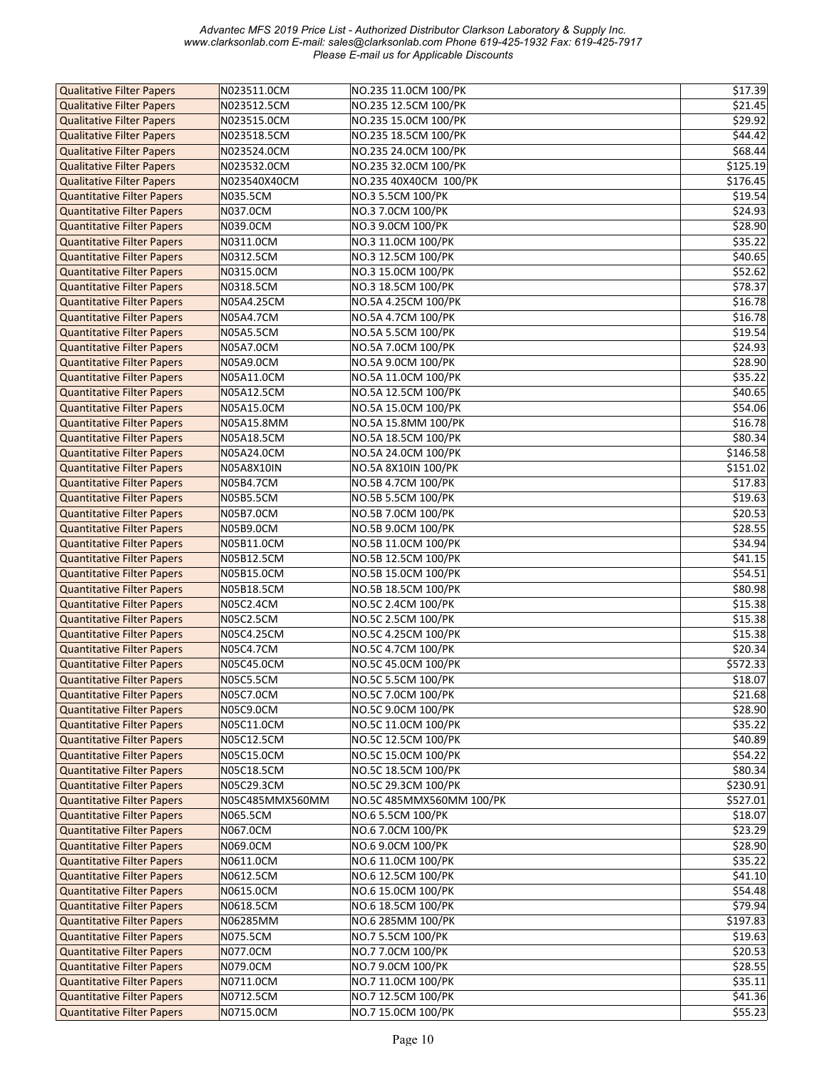| <b>Qualitative Filter Papers</b>  | N023511.0CM     | NO.235 11.0CM 100/PK     | \$17.39             |
|-----------------------------------|-----------------|--------------------------|---------------------|
| <b>Qualitative Filter Papers</b>  | N023512.5CM     | NO.235 12.5CM 100/PK     | \$21.45             |
| <b>Qualitative Filter Papers</b>  | N023515.0CM     | NO.235 15.0CM 100/PK     | \$29.92             |
| <b>Qualitative Filter Papers</b>  | N023518.5CM     | NO.235 18.5CM 100/PK     | \$44.42             |
| <b>Qualitative Filter Papers</b>  | N023524.0CM     | NO.235 24.0CM 100/PK     | \$68.44             |
| <b>Qualitative Filter Papers</b>  | N023532.0CM     | NO.235 32.0CM 100/PK     | \$125.19            |
| <b>Qualitative Filter Papers</b>  | N023540X40CM    | NO.235 40X40CM 100/PK    | \$176.45            |
| <b>Quantitative Filter Papers</b> | N035.5CM        | NO.3 5.5CM 100/PK        | \$19.54             |
|                                   |                 |                          |                     |
| <b>Quantitative Filter Papers</b> | N037.0CM        | NO.3 7.0CM 100/PK        | \$24.93             |
| <b>Quantitative Filter Papers</b> | N039.0CM        | NO.3 9.0CM 100/PK        | \$28.90             |
| <b>Quantitative Filter Papers</b> | N0311.0CM       | NO.3 11.0CM 100/PK       | \$35.22             |
| <b>Quantitative Filter Papers</b> | N0312.5CM       | NO.3 12.5CM 100/PK       | \$40.65             |
| <b>Quantitative Filter Papers</b> | N0315.0CM       | NO.3 15.0CM 100/PK       | \$52.62             |
| <b>Quantitative Filter Papers</b> | N0318.5CM       | NO.3 18.5CM 100/PK       | \$78.37             |
| <b>Quantitative Filter Papers</b> | N05A4.25CM      | NO.5A 4.25CM 100/PK      | \$16.78             |
| <b>Quantitative Filter Papers</b> | N05A4.7CM       | NO.5A 4.7CM 100/PK       | \$16.78             |
| <b>Quantitative Filter Papers</b> | N05A5.5CM       | NO.5A 5.5CM 100/PK       | \$19.54             |
| <b>Quantitative Filter Papers</b> | N05A7.0CM       | NO.5A 7.0CM 100/PK       | \$24.93             |
| <b>Quantitative Filter Papers</b> | N05A9.0CM       | NO.5A 9.0CM 100/PK       | \$28.90             |
| <b>Quantitative Filter Papers</b> | N05A11.0CM      | NO.5A 11.0CM 100/PK      | \$35.22             |
| <b>Quantitative Filter Papers</b> | N05A12.5CM      | NO.5A 12.5CM 100/PK      | \$40.65             |
| <b>Quantitative Filter Papers</b> | N05A15.0CM      | NO.5A 15.0CM 100/PK      | \$54.06             |
| <b>Quantitative Filter Papers</b> | N05A15.8MM      | NO.5A 15.8MM 100/PK      | \$16.78             |
| <b>Quantitative Filter Papers</b> | N05A18.5CM      | NO.5A 18.5CM 100/PK      | \$80.34             |
| <b>Quantitative Filter Papers</b> | N05A24.0CM      | NO.5A 24.0CM 100/PK      | \$146.58            |
| <b>Quantitative Filter Papers</b> | N05A8X10IN      | NO.5A 8X10IN 100/PK      | \$151.02            |
| <b>Quantitative Filter Papers</b> | N05B4.7CM       | NO.5B 4.7CM 100/PK       | \$17.83             |
| <b>Quantitative Filter Papers</b> | N05B5.5CM       | NO.5B 5.5CM 100/PK       | \$19.63             |
| <b>Quantitative Filter Papers</b> | N05B7.0CM       | NO.5B 7.0CM 100/PK       | \$20.53             |
|                                   |                 |                          |                     |
| <b>Quantitative Filter Papers</b> | N05B9.0CM       | NO.5B 9.0CM 100/PK       | \$28.55             |
| <b>Quantitative Filter Papers</b> | N05B11.0CM      | NO.5B 11.0CM 100/PK      | \$34.94             |
| <b>Quantitative Filter Papers</b> | N05B12.5CM      | NO.5B 12.5CM 100/PK      | $\overline{5}41.15$ |
| <b>Quantitative Filter Papers</b> | N05B15.0CM      | NO.5B 15.0CM 100/PK      | \$54.51             |
| <b>Quantitative Filter Papers</b> | N05B18.5CM      | NO.5B 18.5CM 100/PK      | \$80.98             |
| <b>Quantitative Filter Papers</b> | N05C2.4CM       | NO.5C 2.4CM 100/PK       | \$15.38             |
| <b>Quantitative Filter Papers</b> | N05C2.5CM       | NO.5C 2.5CM 100/PK       | \$15.38             |
| <b>Quantitative Filter Papers</b> | N05C4.25CM      | NO.5C 4.25CM 100/PK      | \$15.38             |
| <b>Quantitative Filter Papers</b> | N05C4.7CM       | NO.5C 4.7CM 100/PK       | \$20.34             |
| <b>Quantitative Filter Papers</b> | N05C45.0CM      | NO.5C 45.0CM 100/PK      | \$572.33            |
| <b>Quantitative Filter Papers</b> | N05C5.5CM       | NO.5C 5.5CM 100/PK       | \$18.07             |
| <b>Quantitative Filter Papers</b> | N05C7.0CM       | NO.5C 7.0CM 100/PK       | \$21.68             |
| <b>Quantitative Filter Papers</b> | N05C9.0CM       | NO.5C 9.0CM 100/PK       | \$28.90             |
| <b>Quantitative Filter Papers</b> | N05C11.0CM      | NO.5C 11.0CM 100/PK      | \$35.22             |
| <b>Quantitative Filter Papers</b> | N05C12.5CM      | NO.5C 12.5CM 100/PK      | \$40.89             |
| <b>Quantitative Filter Papers</b> | N05C15.0CM      | NO.5C 15.0CM 100/PK      | \$54.22             |
| <b>Quantitative Filter Papers</b> | N05C18.5CM      | NO.5C 18.5CM 100/PK      | \$80.34             |
| <b>Quantitative Filter Papers</b> | N05C29.3CM      | NO.5C 29.3CM 100/PK      | \$230.91            |
| <b>Quantitative Filter Papers</b> | N05C485MMX560MM | NO.5C 485MMX560MM 100/PK | \$527.01            |
| <b>Quantitative Filter Papers</b> | N065.5CM        | NO.6 5.5CM 100/PK        | \$18.07             |
| <b>Quantitative Filter Papers</b> | N067.0CM        | NO.6 7.0CM 100/PK        | \$23.29             |
| <b>Quantitative Filter Papers</b> | N069.0CM        | NO.6 9.0CM 100/PK        | \$28.90             |
| <b>Quantitative Filter Papers</b> | N0611.0CM       | NO.6 11.0CM 100/PK       | \$35.22             |
| <b>Quantitative Filter Papers</b> | N0612.5CM       | NO.6 12.5CM 100/PK       | \$41.10             |
| <b>Quantitative Filter Papers</b> | N0615.0CM       | NO.6 15.0CM 100/PK       | \$54.48             |
|                                   |                 |                          | \$79.94             |
| <b>Quantitative Filter Papers</b> | N0618.5CM       | NO.6 18.5CM 100/PK       |                     |
| <b>Quantitative Filter Papers</b> | N06285MM        | NO.6 285MM 100/PK        | \$197.83            |
| <b>Quantitative Filter Papers</b> | N075.5CM        | NO.7 5.5CM 100/PK        | \$19.63             |
| <b>Quantitative Filter Papers</b> | N077.0CM        | NO.7 7.0CM 100/PK        | \$20.53             |
| <b>Quantitative Filter Papers</b> | N079.0CM        | NO.7 9.0CM 100/PK        | \$28.55             |
| <b>Quantitative Filter Papers</b> | N0711.0CM       | NO.7 11.0CM 100/PK       | \$35.11             |
| <b>Quantitative Filter Papers</b> | N0712.5CM       | NO.7 12.5CM 100/PK       | \$41.36             |
| Quantitative Filter Papers        | N0715.0CM       | NO.7 15.0CM 100/PK       | \$55.23             |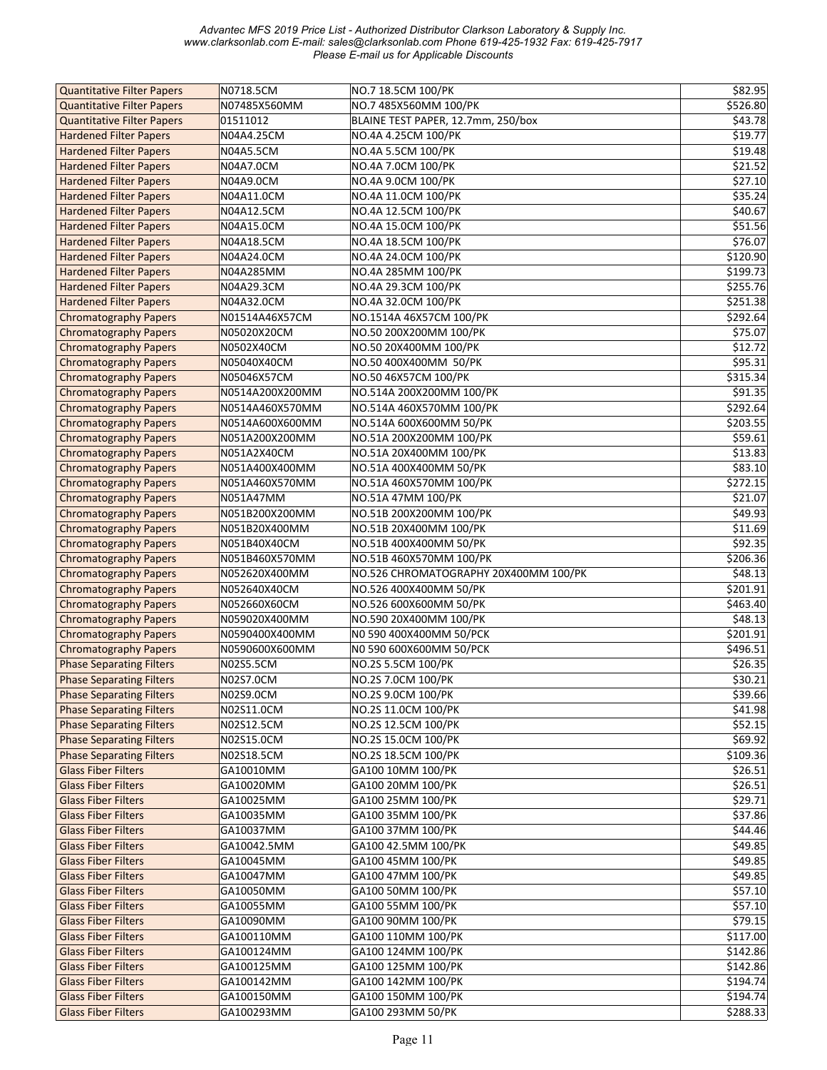| <b>Quantitative Filter Papers</b> | N0718.5CM       | NO.7 18.5CM 100/PK                    | \$82.95  |
|-----------------------------------|-----------------|---------------------------------------|----------|
| <b>Quantitative Filter Papers</b> | N07485X560MM    | NO.7 485X560MM 100/PK                 | \$526.80 |
| <b>Quantitative Filter Papers</b> | 01511012        | BLAINE TEST PAPER, 12.7mm, 250/box    | \$43.78  |
| <b>Hardened Filter Papers</b>     | N04A4.25CM      | NO.4A 4.25CM 100/PK                   | \$19.77  |
| <b>Hardened Filter Papers</b>     | N04A5.5CM       | NO.4A 5.5CM 100/PK                    | \$19.48  |
| <b>Hardened Filter Papers</b>     | N04A7.0CM       | NO.4A 7.0CM 100/PK                    | \$21.52  |
| <b>Hardened Filter Papers</b>     | N04A9.0CM       | NO.4A 9.0CM 100/PK                    | \$27.10  |
| <b>Hardened Filter Papers</b>     | N04A11.0CM      | NO.4A 11.0CM 100/PK                   | \$35.24  |
| <b>Hardened Filter Papers</b>     | N04A12.5CM      | NO.4A 12.5CM 100/PK                   | \$40.67  |
| <b>Hardened Filter Papers</b>     | N04A15.0CM      | NO.4A 15.0CM 100/PK                   | \$51.56  |
| <b>Hardened Filter Papers</b>     | N04A18.5CM      | NO.4A 18.5CM 100/PK                   | \$76.07  |
| <b>Hardened Filter Papers</b>     | N04A24.0CM      | NO.4A 24.0CM 100/PK                   | \$120.90 |
| <b>Hardened Filter Papers</b>     | N04A285MM       | NO.4A 285MM 100/PK                    | \$199.73 |
| <b>Hardened Filter Papers</b>     | N04A29.3CM      | NO.4A 29.3CM 100/PK                   | \$255.76 |
| <b>Hardened Filter Papers</b>     | N04A32.0CM      | NO.4A 32.0CM 100/PK                   | \$251.38 |
| <b>Chromatography Papers</b>      | N01514A46X57CM  | NO.1514A 46X57CM 100/PK               | \$292.64 |
| <b>Chromatography Papers</b>      | N05020X20CM     | NO.50 200X200MM 100/PK                | \$75.07  |
| <b>Chromatography Papers</b>      | N0502X40CM      | NO.50 20X400MM 100/PK                 | \$12.72  |
|                                   | N05040X40CM     | NO.50 400X400MM 50/PK                 | \$95.31  |
| <b>Chromatography Papers</b>      |                 | NO.50 46X57CM 100/PK                  | \$315.34 |
| <b>Chromatography Papers</b>      | N05046X57CM     |                                       |          |
| <b>Chromatography Papers</b>      | N0514A200X200MM | NO.514A 200X200MM 100/PK              | \$91.35  |
| <b>Chromatography Papers</b>      | N0514A460X570MM | NO.514A 460X570MM 100/PK              | \$292.64 |
| <b>Chromatography Papers</b>      | N0514A600X600MM | NO.514A 600X600MM 50/PK               | \$203.55 |
| <b>Chromatography Papers</b>      | N051A200X200MM  | NO.51A 200X200MM 100/PK               | \$59.61  |
| <b>Chromatography Papers</b>      | N051A2X40CM     | NO.51A 20X400MM 100/PK                | \$13.83  |
| <b>Chromatography Papers</b>      | N051A400X400MM  | NO.51A 400X400MM 50/PK                | \$83.10  |
| <b>Chromatography Papers</b>      | N051A460X570MM  | NO.51A 460X570MM 100/PK               | \$272.15 |
| <b>Chromatography Papers</b>      | N051A47MM       | NO.51A 47MM 100/PK                    | \$21.07  |
| <b>Chromatography Papers</b>      | N051B200X200MM  | NO.51B 200X200MM 100/PK               | \$49.93  |
| <b>Chromatography Papers</b>      | N051B20X400MM   | NO.51B 20X400MM 100/PK                | \$11.69  |
| <b>Chromatography Papers</b>      | N051B40X40CM    | NO.51B 400X400MM 50/PK                | \$92.35  |
| <b>Chromatography Papers</b>      | N051B460X570MM  | NO.51B 460X570MM 100/PK               | \$206.36 |
| <b>Chromatography Papers</b>      | N052620X400MM   | NO.526 CHROMATOGRAPHY 20X400MM 100/PK | \$48.13  |
| <b>Chromatography Papers</b>      | N052640X40CM    | NO.526 400X400MM 50/PK                | \$201.91 |
| <b>Chromatography Papers</b>      | N052660X60CM    | NO.526 600X600MM 50/PK                | \$463.40 |
| <b>Chromatography Papers</b>      | N059020X400MM   | NO.590 20X400MM 100/PK                | \$48.13  |
| <b>Chromatography Papers</b>      | N0590400X400MM  | N0 590 400X400MM 50/PCK               | \$201.91 |
| <b>Chromatography Papers</b>      | N0590600X600MM  | N0 590 600X600MM 50/PCK               | \$496.51 |
| <b>Phase Separating Filters</b>   | N02S5.5CM       | NO.2S 5.5CM 100/PK                    | \$26.35  |
| <b>Phase Separating Filters</b>   | N02S7.0CM       | NO.2S 7.0CM 100/PK                    | \$30.21  |
| <b>Phase Separating Filters</b>   | N02S9.0CM       | NO.2S 9.0CM 100/PK                    | \$39.66  |
| <b>Phase Separating Filters</b>   | N02S11.0CM      | NO.2S 11.0CM 100/PK                   | \$41.98  |
| <b>Phase Separating Filters</b>   | N02S12.5CM      | NO.2S 12.5CM 100/PK                   | \$52.15  |
| <b>Phase Separating Filters</b>   | N02S15.0CM      | NO.2S 15.0CM 100/PK                   | \$69.92  |
| <b>Phase Separating Filters</b>   | N02S18.5CM      | NO.2S 18.5CM 100/PK                   | \$109.36 |
| <b>Glass Fiber Filters</b>        | GA10010MM       | GA100 10MM 100/PK                     | \$26.51  |
| <b>Glass Fiber Filters</b>        | GA10020MM       | GA100 20MM 100/PK                     | \$26.51  |
| <b>Glass Fiber Filters</b>        | GA10025MM       | GA100 25MM 100/PK                     | \$29.71  |
| <b>Glass Fiber Filters</b>        | GA10035MM       | GA100 35MM 100/PK                     | \$37.86  |
| <b>Glass Fiber Filters</b>        | GA10037MM       | GA100 37MM 100/PK                     | \$44.46  |
| <b>Glass Fiber Filters</b>        | GA10042.5MM     | GA100 42.5MM 100/PK                   | \$49.85  |
| <b>Glass Fiber Filters</b>        | GA10045MM       | GA100 45MM 100/PK                     | \$49.85  |
| <b>Glass Fiber Filters</b>        | GA10047MM       | GA100 47MM 100/PK                     | \$49.85  |
| <b>Glass Fiber Filters</b>        | GA10050MM       | GA100 50MM 100/PK                     | \$57.10  |
| <b>Glass Fiber Filters</b>        | GA10055MM       | GA100 55MM 100/PK                     | \$57.10  |
| <b>Glass Fiber Filters</b>        | GA10090MM       | GA100 90MM 100/PK                     | \$79.15  |
| <b>Glass Fiber Filters</b>        | GA100110MM      | GA100 110MM 100/PK                    | \$117.00 |
| <b>Glass Fiber Filters</b>        | GA100124MM      | GA100 124MM 100/PK                    | \$142.86 |
| <b>Glass Fiber Filters</b>        | GA100125MM      | GA100 125MM 100/PK                    | \$142.86 |
| <b>Glass Fiber Filters</b>        | GA100142MM      | GA100 142MM 100/PK                    | \$194.74 |
| <b>Glass Fiber Filters</b>        | GA100150MM      | GA100 150MM 100/PK                    | \$194.74 |
|                                   | GA100293MM      | GA100 293MM 50/PK                     | \$288.33 |
| <b>Glass Fiber Filters</b>        |                 |                                       |          |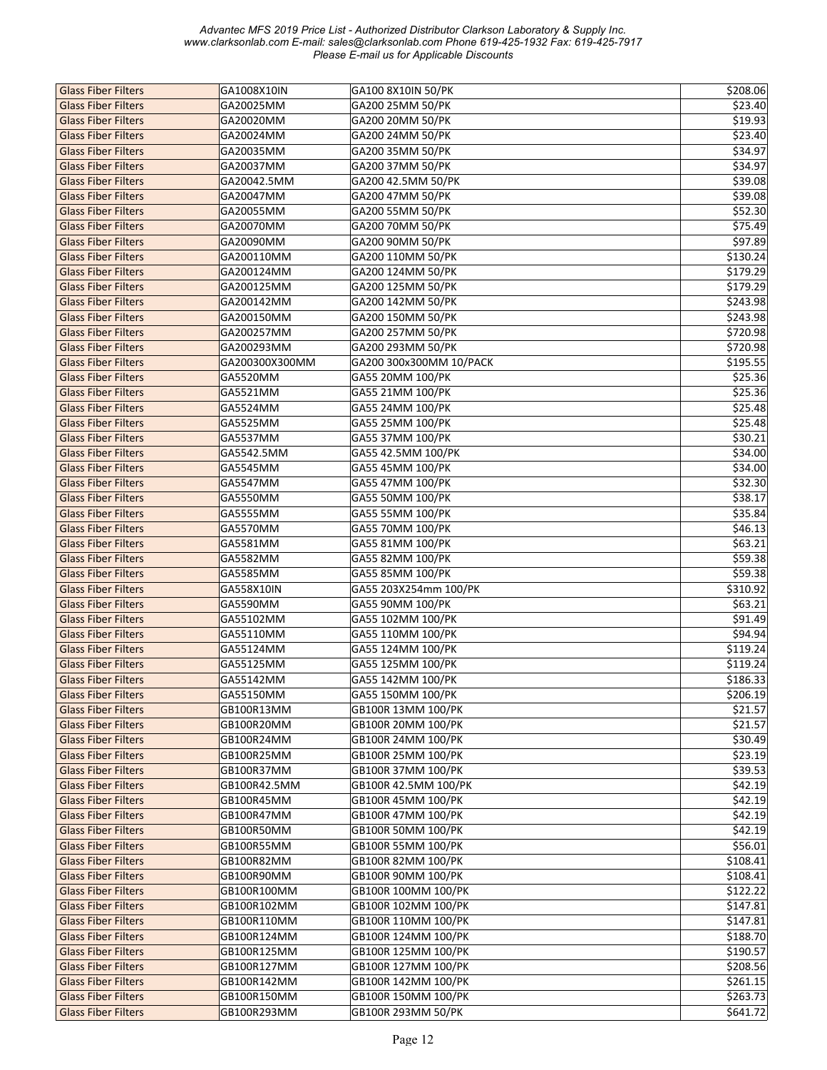| <b>Glass Fiber Filters</b> | GA1008X10IN    | GA100 8X10IN 50/PK      | \$208.06 |
|----------------------------|----------------|-------------------------|----------|
| <b>Glass Fiber Filters</b> | GA20025MM      | GA200 25MM 50/PK        | \$23.40  |
| <b>Glass Fiber Filters</b> | GA20020MM      | GA200 20MM 50/PK        | \$19.93  |
| <b>Glass Fiber Filters</b> | GA20024MM      | GA200 24MM 50/PK        | \$23.40  |
| <b>Glass Fiber Filters</b> | GA20035MM      | GA200 35MM 50/PK        | \$34.97  |
| <b>Glass Fiber Filters</b> | GA20037MM      | GA200 37MM 50/PK        | \$34.97  |
| <b>Glass Fiber Filters</b> | GA20042.5MM    | GA200 42.5MM 50/PK      | \$39.08  |
| <b>Glass Fiber Filters</b> | GA20047MM      | GA200 47MM 50/PK        | \$39.08  |
| <b>Glass Fiber Filters</b> | GA20055MM      | GA200 55MM 50/PK        | \$52.30  |
| <b>Glass Fiber Filters</b> | GA20070MM      | GA200 70MM 50/PK        | \$75.49  |
| <b>Glass Fiber Filters</b> | GA20090MM      | GA200 90MM 50/PK        | \$97.89  |
| <b>Glass Fiber Filters</b> | GA200110MM     | GA200 110MM 50/PK       | \$130.24 |
| <b>Glass Fiber Filters</b> | GA200124MM     | GA200 124MM 50/PK       | \$179.29 |
| <b>Glass Fiber Filters</b> | GA200125MM     | GA200 125MM 50/PK       | \$179.29 |
| <b>Glass Fiber Filters</b> | GA200142MM     | GA200 142MM 50/PK       | \$243.98 |
| <b>Glass Fiber Filters</b> | GA200150MM     | GA200 150MM 50/PK       | \$243.98 |
| <b>Glass Fiber Filters</b> | GA200257MM     | GA200 257MM 50/PK       | \$720.98 |
| <b>Glass Fiber Filters</b> | GA200293MM     | GA200 293MM 50/PK       | \$720.98 |
| <b>Glass Fiber Filters</b> | GA200300X300MM | GA200 300x300MM 10/PACK | \$195.55 |
| <b>Glass Fiber Filters</b> | GA5520MM       | GA55 20MM 100/PK        | \$25.36  |
| <b>Glass Fiber Filters</b> | GA5521MM       | GA55 21MM 100/PK        | \$25.36  |
| <b>Glass Fiber Filters</b> | GA5524MM       | GA55 24MM 100/PK        | \$25.48  |
| <b>Glass Fiber Filters</b> | GA5525MM       | GA55 25MM 100/PK        | \$25.48  |
| <b>Glass Fiber Filters</b> | GA5537MM       | GA55 37MM 100/PK        | \$30.21  |
| <b>Glass Fiber Filters</b> | GA5542.5MM     | GA55 42.5MM 100/PK      | \$34.00  |
|                            |                |                         |          |
| <b>Glass Fiber Filters</b> | GA5545MM       | GA55 45MM 100/PK        | \$34.00  |
| <b>Glass Fiber Filters</b> | GA5547MM       | GA55 47MM 100/PK        | \$32.30  |
| <b>Glass Fiber Filters</b> | GA5550MM       | GA55 50MM 100/PK        | \$38.17  |
| <b>Glass Fiber Filters</b> | GA5555MM       | GA55 55MM 100/PK        | \$35.84  |
| <b>Glass Fiber Filters</b> | GA5570MM       | GA55 70MM 100/PK        | \$46.13  |
| <b>Glass Fiber Filters</b> | GA5581MM       | GA55 81MM 100/PK        | \$63.21  |
| <b>Glass Fiber Filters</b> | GA5582MM       | GA55 82MM 100/PK        | \$59.38  |
| <b>Glass Fiber Filters</b> | GA5585MM       | GA55 85MM 100/PK        | \$59.38  |
| <b>Glass Fiber Filters</b> | GA558X10IN     | GA55 203X254mm 100/PK   | \$310.92 |
| <b>Glass Fiber Filters</b> | GA5590MM       | GA55 90MM 100/PK        | \$63.21  |
| <b>Glass Fiber Filters</b> | GA55102MM      | GA55 102MM 100/PK       | \$91.49  |
| <b>Glass Fiber Filters</b> | GA55110MM      | GA55 110MM 100/PK       | \$94.94  |
| <b>Glass Fiber Filters</b> | GA55124MM      | GA55 124MM 100/PK       | \$119.24 |
| <b>Glass Fiber Filters</b> | GA55125MM      | GA55 125MM 100/PK       | \$119.24 |
| <b>Glass Fiber Filters</b> | GA55142MM      | GA55 142MM 100/PK       | \$186.33 |
| <b>Glass Fiber Filters</b> | GA55150MM      | GA55 150MM 100/PK       | \$206.19 |
| <b>Glass Fiber Filters</b> | GB100R13MM     | GB100R 13MM 100/PK      | \$21.57  |
| <b>Glass Fiber Filters</b> | GB100R20MM     | GB100R 20MM 100/PK      | \$21.57  |
| <b>Glass Fiber Filters</b> | GB100R24MM     | GB100R 24MM 100/PK      | \$30.49  |
| <b>Glass Fiber Filters</b> | GB100R25MM     | GB100R 25MM 100/PK      | \$23.19  |
| <b>Glass Fiber Filters</b> | GB100R37MM     | GB100R 37MM 100/PK      | \$39.53  |
| <b>Glass Fiber Filters</b> | GB100R42.5MM   | GB100R 42.5MM 100/PK    | \$42.19  |
| <b>Glass Fiber Filters</b> | GB100R45MM     | GB100R 45MM 100/PK      | \$42.19  |
| <b>Glass Fiber Filters</b> | GB100R47MM     | GB100R 47MM 100/PK      | \$42.19  |
| <b>Glass Fiber Filters</b> | GB100R50MM     | GB100R 50MM 100/PK      | \$42.19  |
| <b>Glass Fiber Filters</b> | GB100R55MM     | GB100R 55MM 100/PK      | \$56.01  |
| <b>Glass Fiber Filters</b> | GB100R82MM     | GB100R 82MM 100/PK      | \$108.41 |
| <b>Glass Fiber Filters</b> | GB100R90MM     | GB100R 90MM 100/PK      | \$108.41 |
| <b>Glass Fiber Filters</b> | GB100R100MM    | GB100R 100MM 100/PK     | \$122.22 |
| <b>Glass Fiber Filters</b> | GB100R102MM    | GB100R 102MM 100/PK     | \$147.81 |
| <b>Glass Fiber Filters</b> | GB100R110MM    | GB100R 110MM 100/PK     | \$147.81 |
| <b>Glass Fiber Filters</b> | GB100R124MM    | GB100R 124MM 100/PK     | \$188.70 |
| <b>Glass Fiber Filters</b> | GB100R125MM    | GB100R 125MM 100/PK     | \$190.57 |
| <b>Glass Fiber Filters</b> | GB100R127MM    | GB100R 127MM 100/PK     | \$208.56 |
| <b>Glass Fiber Filters</b> | GB100R142MM    | GB100R 142MM 100/PK     | \$261.15 |
| <b>Glass Fiber Filters</b> | GB100R150MM    | GB100R 150MM 100/PK     | \$263.73 |
| <b>Glass Fiber Filters</b> | GB100R293MM    | GB100R 293MM 50/PK      | \$641.72 |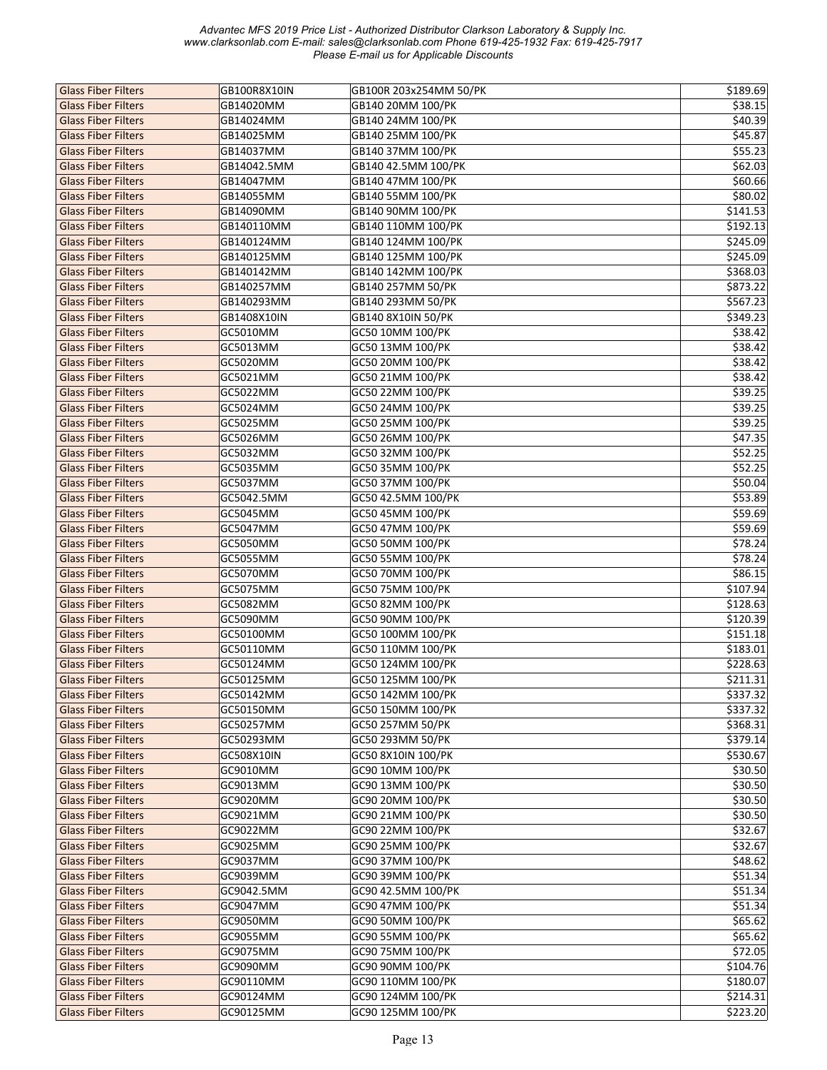| <b>Glass Fiber Filters</b> | GB100R8X10IN | GB100R 203x254MM 50/PK | \$189.69 |
|----------------------------|--------------|------------------------|----------|
| <b>Glass Fiber Filters</b> | GB14020MM    | GB140 20MM 100/PK      | 538.15   |
| <b>Glass Fiber Filters</b> | GB14024MM    | GB140 24MM 100/PK      | \$40.39  |
| <b>Glass Fiber Filters</b> | GB14025MM    | GB140 25MM 100/PK      | \$45.87  |
| <b>Glass Fiber Filters</b> | GB14037MM    | GB140 37MM 100/PK      | \$55.23  |
| <b>Glass Fiber Filters</b> | GB14042.5MM  | GB140 42.5MM 100/PK    | \$62.03  |
| <b>Glass Fiber Filters</b> | GB14047MM    | GB140 47MM 100/PK      | \$60.66  |
| <b>Glass Fiber Filters</b> | GB14055MM    | GB140 55MM 100/PK      | \$80.02  |
| <b>Glass Fiber Filters</b> | GB14090MM    | GB140 90MM 100/PK      | \$141.53 |
| <b>Glass Fiber Filters</b> | GB140110MM   | GB140 110MM 100/PK     | \$192.13 |
| <b>Glass Fiber Filters</b> | GB140124MM   | GB140 124MM 100/PK     | \$245.09 |
| <b>Glass Fiber Filters</b> | GB140125MM   | GB140 125MM 100/PK     | \$245.09 |
| <b>Glass Fiber Filters</b> | GB140142MM   | GB140 142MM 100/PK     | \$368.03 |
| <b>Glass Fiber Filters</b> |              |                        |          |
|                            | GB140257MM   | GB140 257MM 50/PK      | \$873.22 |
| <b>Glass Fiber Filters</b> | GB140293MM   | GB140 293MM 50/PK      | \$567.23 |
| <b>Glass Fiber Filters</b> | GB1408X10IN  | GB140 8X10IN 50/PK     | \$349.23 |
| <b>Glass Fiber Filters</b> | GC5010MM     | GC50 10MM 100/PK       | \$38.42  |
| <b>Glass Fiber Filters</b> | GC5013MM     | GC50 13MM 100/PK       | \$38.42  |
| <b>Glass Fiber Filters</b> | GC5020MM     | GC50 20MM 100/PK       | \$38.42  |
| <b>Glass Fiber Filters</b> | GC5021MM     | GC50 21MM 100/PK       | \$38.42  |
| <b>Glass Fiber Filters</b> | GC5022MM     | GC50 22MM 100/PK       | \$39.25  |
| <b>Glass Fiber Filters</b> | GC5024MM     | GC50 24MM 100/PK       | \$39.25  |
| <b>Glass Fiber Filters</b> | GC5025MM     | GC50 25MM 100/PK       | \$39.25  |
| <b>Glass Fiber Filters</b> | GC5026MM     | GC50 26MM 100/PK       | \$47.35  |
| <b>Glass Fiber Filters</b> | GC5032MM     | GC50 32MM 100/PK       | \$52.25  |
| <b>Glass Fiber Filters</b> | GC5035MM     | GC50 35MM 100/PK       | \$52.25  |
| <b>Glass Fiber Filters</b> | GC5037MM     | GC50 37MM 100/PK       | \$50.04  |
| <b>Glass Fiber Filters</b> | GC5042.5MM   | GC50 42.5MM 100/PK     | \$53.89  |
| <b>Glass Fiber Filters</b> | GC5045MM     | GC50 45MM 100/PK       | \$59.69  |
| <b>Glass Fiber Filters</b> | GC5047MM     | GC50 47MM 100/PK       | \$59.69  |
| <b>Glass Fiber Filters</b> | GC5050MM     | GC50 50MM 100/PK       | \$78.24  |
| <b>Glass Fiber Filters</b> | GC5055MM     | GC50 55MM 100/PK       | \$78.24  |
| <b>Glass Fiber Filters</b> | GC5070MM     | GC50 70MM 100/PK       | \$86.15  |
| <b>Glass Fiber Filters</b> | GC5075MM     | GC50 75MM 100/PK       | \$107.94 |
| <b>Glass Fiber Filters</b> | GC5082MM     | GC50 82MM 100/PK       | \$128.63 |
| <b>Glass Fiber Filters</b> | GC5090MM     | GC50 90MM 100/PK       | \$120.39 |
| <b>Glass Fiber Filters</b> | GC50100MM    | GC50 100MM 100/PK      | \$151.18 |
| <b>Glass Fiber Filters</b> | GC50110MM    | GC50 110MM 100/PK      | \$183.01 |
| <b>Glass Fiber Filters</b> | GC50124MM    | GC50 124MM 100/PK      | \$228.63 |
| <b>Glass Fiber Filters</b> | GC50125MM    | GC50 125MM 100/PK      | \$211.31 |
| <b>Glass Fiber Filters</b> | GC50142MM    | GC50 142MM 100/PK      | \$337.32 |
| <b>Glass Fiber Filters</b> | GC50150MM    | GC50 150MM 100/PK      | \$337.32 |
| <b>Glass Fiber Filters</b> | GC50257MM    | GC50 257MM 50/PK       | \$368.31 |
| <b>Glass Fiber Filters</b> | GC50293MM    | GC50 293MM 50/PK       | \$379.14 |
| <b>Glass Fiber Filters</b> | GC508X10IN   | GC50 8X10IN 100/PK     | \$530.67 |
| <b>Glass Fiber Filters</b> | GC9010MM     | GC90 10MM 100/PK       | \$30.50  |
| <b>Glass Fiber Filters</b> | GC9013MM     | GC90 13MM 100/PK       | \$30.50  |
| <b>Glass Fiber Filters</b> | GC9020MM     | GC90 20MM 100/PK       | \$30.50  |
|                            |              |                        |          |
| <b>Glass Fiber Filters</b> | GC9021MM     | GC90 21MM 100/PK       | \$30.50  |
| <b>Glass Fiber Filters</b> | GC9022MM     | GC90 22MM 100/PK       | \$32.67  |
| <b>Glass Fiber Filters</b> | GC9025MM     | GC90 25MM 100/PK       | \$32.67  |
| <b>Glass Fiber Filters</b> | GC9037MM     | GC90 37MM 100/PK       | \$48.62  |
| <b>Glass Fiber Filters</b> | GC9039MM     | GC90 39MM 100/PK       | \$51.34  |
| <b>Glass Fiber Filters</b> | GC9042.5MM   | GC90 42.5MM 100/PK     | \$51.34  |
| <b>Glass Fiber Filters</b> | GC9047MM     | GC90 47MM 100/PK       | \$51.34  |
| <b>Glass Fiber Filters</b> | GC9050MM     | GC90 50MM 100/PK       | \$65.62  |
| <b>Glass Fiber Filters</b> | GC9055MM     | GC90 55MM 100/PK       | \$65.62  |
| <b>Glass Fiber Filters</b> | GC9075MM     | GC90 75MM 100/PK       | \$72.05  |
| <b>Glass Fiber Filters</b> | GC9090MM     | GC90 90MM 100/PK       | \$104.76 |
| <b>Glass Fiber Filters</b> | GC90110MM    | GC90 110MM 100/PK      | \$180.07 |
| <b>Glass Fiber Filters</b> | GC90124MM    | GC90 124MM 100/PK      | \$214.31 |
| <b>Glass Fiber Filters</b> | GC90125MM    | GC90 125MM 100/PK      | \$223.20 |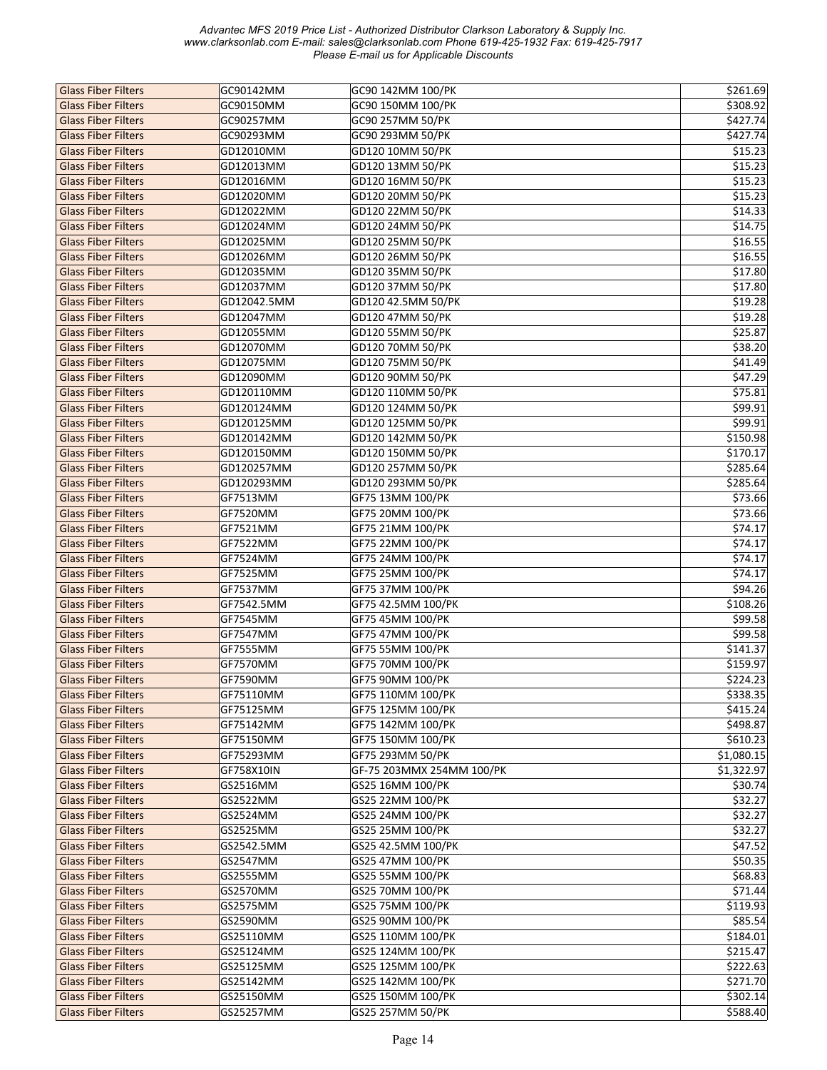| <b>Glass Fiber Filters</b> | GC90142MM   | GC90 142MM 100/PK         | \$261.69   |
|----------------------------|-------------|---------------------------|------------|
| <b>Glass Fiber Filters</b> | GC90150MM   | GC90 150MM 100/PK         | \$308.92   |
| <b>Glass Fiber Filters</b> | GC90257MM   | GC90 257MM 50/PK          | \$427.74   |
| <b>Glass Fiber Filters</b> | GC90293MM   | GC90 293MM 50/PK          | \$427.74   |
| <b>Glass Fiber Filters</b> | GD12010MM   | GD120 10MM 50/PK          | \$15.23    |
| <b>Glass Fiber Filters</b> | GD12013MM   | GD120 13MM 50/PK          | \$15.23    |
| <b>Glass Fiber Filters</b> | GD12016MM   | GD120 16MM 50/PK          | \$15.23    |
| <b>Glass Fiber Filters</b> | GD12020MM   | GD120 20MM 50/PK          | \$15.23    |
| <b>Glass Fiber Filters</b> | GD12022MM   | GD120 22MM 50/PK          | \$14.33    |
| <b>Glass Fiber Filters</b> | GD12024MM   | GD120 24MM 50/PK          | \$14.75    |
| <b>Glass Fiber Filters</b> | GD12025MM   | GD120 25MM 50/PK          | \$16.55    |
| <b>Glass Fiber Filters</b> | GD12026MM   | GD120 26MM 50/PK          | \$16.55    |
| <b>Glass Fiber Filters</b> | GD12035MM   | GD120 35MM 50/PK          | \$17.80    |
| <b>Glass Fiber Filters</b> | GD12037MM   | GD120 37MM 50/PK          | \$17.80    |
| <b>Glass Fiber Filters</b> | GD12042.5MM | GD120 42.5MM 50/PK        | \$19.28    |
| <b>Glass Fiber Filters</b> | GD12047MM   | GD120 47MM 50/PK          | \$19.28    |
| <b>Glass Fiber Filters</b> | GD12055MM   | GD120 55MM 50/PK          | \$25.87    |
| <b>Glass Fiber Filters</b> | GD12070MM   | GD120 70MM 50/PK          | \$38.20    |
| <b>Glass Fiber Filters</b> | GD12075MM   | GD120 75MM 50/PK          | \$41.49    |
| <b>Glass Fiber Filters</b> | GD12090MM   | GD120 90MM 50/PK          | \$47.29    |
| <b>Glass Fiber Filters</b> | GD120110MM  | GD120 110MM 50/PK         | \$75.81    |
| <b>Glass Fiber Filters</b> | GD120124MM  | GD120 124MM 50/PK         | \$99.91    |
| <b>Glass Fiber Filters</b> | GD120125MM  | GD120 125MM 50/PK         | \$99.91    |
| <b>Glass Fiber Filters</b> | GD120142MM  | GD120 142MM 50/PK         | \$150.98   |
| <b>Glass Fiber Filters</b> | GD120150MM  | GD120 150MM 50/PK         | \$170.17   |
| <b>Glass Fiber Filters</b> | GD120257MM  | GD120 257MM 50/PK         | \$285.64   |
| <b>Glass Fiber Filters</b> | GD120293MM  | GD120 293MM 50/PK         | \$285.64   |
| <b>Glass Fiber Filters</b> | GF7513MM    | GF75 13MM 100/PK          | \$73.66    |
| <b>Glass Fiber Filters</b> | GF7520MM    | GF75 20MM 100/PK          | \$73.66    |
| <b>Glass Fiber Filters</b> | GF7521MM    | GF75 21MM 100/PK          | \$74.17    |
| <b>Glass Fiber Filters</b> | GF7522MM    | GF75 22MM 100/PK          | \$74.17    |
| <b>Glass Fiber Filters</b> | GF7524MM    | GF75 24MM 100/PK          | \$74.17    |
| <b>Glass Fiber Filters</b> | GF7525MM    | GF75 25MM 100/PK          | \$74.17    |
| <b>Glass Fiber Filters</b> | GF7537MM    | GF75 37MM 100/PK          | \$94.26    |
| <b>Glass Fiber Filters</b> | GF7542.5MM  | GF75 42.5MM 100/PK        | \$108.26   |
| <b>Glass Fiber Filters</b> | GF7545MM    | GF75 45MM 100/PK          | \$99.58    |
| <b>Glass Fiber Filters</b> | GF7547MM    | GF75 47MM 100/PK          | \$99.58    |
| <b>Glass Fiber Filters</b> | GF7555MM    | GF75 55MM 100/PK          | \$141.37   |
| <b>Glass Fiber Filters</b> | GF7570MM    | GF75 70MM 100/PK          | \$159.97   |
| <b>Glass Fiber Filters</b> | GF7590MM    | GF75 90MM 100/PK          | \$224.23   |
| <b>Glass Fiber Filters</b> | GF75110MM   | GF75 110MM 100/PK         | \$338.35   |
| <b>Glass Fiber Filters</b> | GF75125MM   | GF75 125MM 100/PK         | \$415.24   |
| <b>Glass Fiber Filters</b> | GF75142MM   | GF75 142MM 100/PK         | \$498.87   |
| <b>Glass Fiber Filters</b> | GF75150MM   | GF75 150MM 100/PK         | \$610.23   |
| <b>Glass Fiber Filters</b> | GF75293MM   | GF75 293MM 50/PK          | \$1,080.15 |
| <b>Glass Fiber Filters</b> | GF758X10IN  | GF-75 203MMX 254MM 100/PK | \$1,322.97 |
| <b>Glass Fiber Filters</b> | GS2516MM    | GS25 16MM 100/PK          | \$30.74    |
| <b>Glass Fiber Filters</b> | GS2522MM    | GS25 22MM 100/PK          | \$32.27    |
| <b>Glass Fiber Filters</b> | GS2524MM    | GS25 24MM 100/PK          | \$32.27    |
| <b>Glass Fiber Filters</b> | GS2525MM    | GS25 25MM 100/PK          | \$32.27    |
| <b>Glass Fiber Filters</b> | GS2542.5MM  | GS25 42.5MM 100/PK        | \$47.52    |
| <b>Glass Fiber Filters</b> | GS2547MM    | GS25 47MM 100/PK          | \$50.35    |
| <b>Glass Fiber Filters</b> | GS2555MM    | GS25 55MM 100/PK          | \$68.83    |
| <b>Glass Fiber Filters</b> | GS2570MM    | GS25 70MM 100/PK          | \$71.44    |
| <b>Glass Fiber Filters</b> | GS2575MM    | GS25 75MM 100/PK          | \$119.93   |
| <b>Glass Fiber Filters</b> | GS2590MM    | GS25 90MM 100/PK          | \$85.54    |
| <b>Glass Fiber Filters</b> | GS25110MM   | GS25 110MM 100/PK         | \$184.01   |
| <b>Glass Fiber Filters</b> | GS25124MM   | GS25 124MM 100/PK         | \$215.47   |
| <b>Glass Fiber Filters</b> | GS25125MM   | GS25 125MM 100/PK         | \$222.63   |
| <b>Glass Fiber Filters</b> | GS25142MM   | GS25 142MM 100/PK         | \$271.70   |
| <b>Glass Fiber Filters</b> | GS25150MM   | GS25 150MM 100/PK         | \$302.14]  |
| <b>Glass Fiber Filters</b> | GS25257MM   | GS25 257MM 50/PK          | \$588.40   |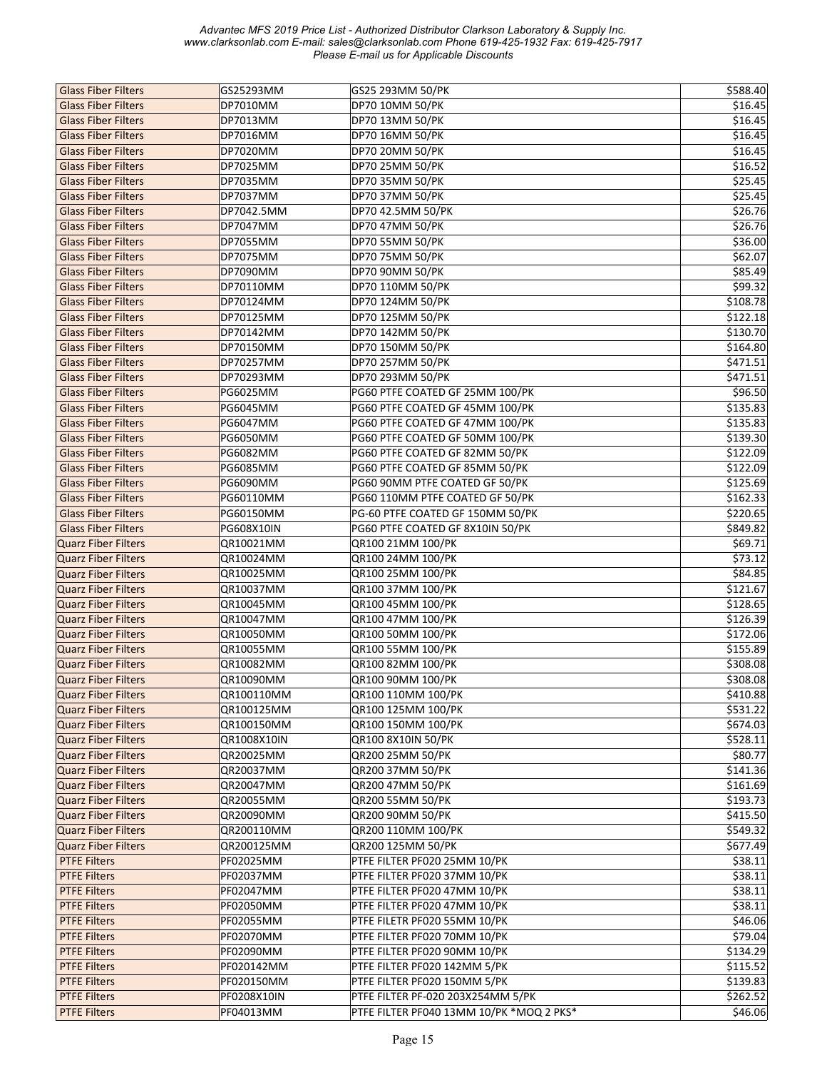| <b>Glass Fiber Filters</b> | GS25293MM         | GS25 293MM 50/PK                         | \$588.40             |
|----------------------------|-------------------|------------------------------------------|----------------------|
| <b>Glass Fiber Filters</b> | DP7010MM          | DP70 10MM 50/PK                          | \$16.45              |
| <b>Glass Fiber Filters</b> | DP7013MM          | DP70 13MM 50/PK                          | \$16.45              |
|                            |                   |                                          | \$16.45              |
| <b>Glass Fiber Filters</b> | DP7016MM          | DP70 16MM 50/PK                          |                      |
| <b>Glass Fiber Filters</b> | DP7020MM          | DP70 20MM 50/PK                          | \$16.45              |
| <b>Glass Fiber Filters</b> | DP7025MM          | DP70 25MM 50/PK                          | \$16.52              |
| <b>Glass Fiber Filters</b> | DP7035MM          | DP70 35MM 50/PK                          | 525.45               |
| <b>Glass Fiber Filters</b> | DP7037MM          | DP70 37MM 50/PK                          | \$25.45              |
| <b>Glass Fiber Filters</b> | DP7042.5MM        | DP70 42.5MM 50/PK                        | \$26.76              |
| <b>Glass Fiber Filters</b> | DP7047MM          | DP70 47MM 50/PK                          | \$26.76              |
| <b>Glass Fiber Filters</b> | DP7055MM          | DP70 55MM 50/PK                          | \$36.00              |
| <b>Glass Fiber Filters</b> | DP7075MM          | DP70 75MM 50/PK                          | \$62.07              |
| <b>Glass Fiber Filters</b> | DP7090MM          | DP70 90MM 50/PK                          | \$85.49              |
| <b>Glass Fiber Filters</b> | DP70110MM         | DP70 110MM 50/PK                         | \$99.32              |
| <b>Glass Fiber Filters</b> | DP70124MM         | DP70 124MM 50/PK                         | \$108.78             |
| <b>Glass Fiber Filters</b> | DP70125MM         | DP70 125MM 50/PK                         | \$122.18             |
| <b>Glass Fiber Filters</b> | DP70142MM         | DP70 142MM 50/PK                         | \$130.70             |
|                            |                   |                                          | \$164.80             |
| <b>Glass Fiber Filters</b> | DP70150MM         | DP70 150MM 50/PK                         |                      |
| <b>Glass Fiber Filters</b> | DP70257MM         | DP70 257MM 50/PK                         | \$471.51             |
| <b>Glass Fiber Filters</b> | DP70293MM         | DP70 293MM 50/PK                         | \$471.51             |
| <b>Glass Fiber Filters</b> | PG6025MM          | PG60 PTFE COATED GF 25MM 100/PK          | \$96.50              |
| <b>Glass Fiber Filters</b> | PG6045MM          | PG60 PTFE COATED GF 45MM 100/PK          | \$135.83             |
| <b>Glass Fiber Filters</b> | PG6047MM          | PG60 PTFE COATED GF 47MM 100/PK          | \$135.83             |
| <b>Glass Fiber Filters</b> | PG6050MM          | PG60 PTFE COATED GF 50MM 100/PK          | \$139.30             |
| <b>Glass Fiber Filters</b> | PG6082MM          | PG60 PTFE COATED GF 82MM 50/PK           | \$122.09             |
| <b>Glass Fiber Filters</b> | PG6085MM          | PG60 PTFE COATED GF 85MM 50/PK           | \$122.09             |
| <b>Glass Fiber Filters</b> | PG6090MM          | PG60 90MM PTFE COATED GF 50/PK           | \$125.69             |
| <b>Glass Fiber Filters</b> | PG60110MM         | PG60 110MM PTFE COATED GF 50/PK          | \$162.33             |
| <b>Glass Fiber Filters</b> | PG60150MM         | PG-60 PTFE COATED GF 150MM 50/PK         | \$220.65             |
| <b>Glass Fiber Filters</b> | <b>PG608X10IN</b> | PG60 PTFE COATED GF 8X10IN 50/PK         | \$849.82             |
| <b>Quarz Fiber Filters</b> | QR10021MM         | QR100 21MM 100/PK                        | \$69.71              |
|                            |                   |                                          |                      |
| <b>Quarz Fiber Filters</b> | QR10024MM         | QR100 24MM 100/PK                        | \$73.12              |
| <b>Quarz Fiber Filters</b> | QR10025MM         | QR100 25MM 100/PK                        | \$84.85              |
| <b>Quarz Fiber Filters</b> | QR10037MM         | QR100 37MM 100/PK                        | \$121.67             |
| <b>Quarz Fiber Filters</b> | QR10045MM         | QR100 45MM 100/PK                        | \$128.65             |
| <b>Quarz Fiber Filters</b> | <b>QR10047MM</b>  | QR100 47MM 100/PK                        | \$126.39             |
| <b>Quarz Fiber Filters</b> | QR10050MM         | QR100 50MM 100/PK                        | \$172.06             |
| <b>Quarz Fiber Filters</b> | QR10055MM         | QR100 55MM 100/PK                        | \$155.89             |
| <b>Quarz Fiber Filters</b> | QR10082MM         | QR100 82MM 100/PK                        | \$308.08             |
| <b>Quarz Fiber Filters</b> | QR10090MM         | QR100 90MM 100/PK                        | \$308.08             |
| <b>Quarz Fiber Filters</b> | QR100110MM        | QR100 110MM 100/PK                       | \$410.88             |
| <b>Quarz Fiber Filters</b> | QR100125MM        | QR100 125MM 100/PK                       | \$531.22             |
| <b>Quarz Fiber Filters</b> | QR100150MM        | QR100 150MM 100/PK                       | \$674.03             |
| <b>Quarz Fiber Filters</b> | QR1008X10IN       | QR100 8X10IN 50/PK                       | \$528.11             |
| <b>Quarz Fiber Filters</b> | QR20025MM         | QR200 25MM 50/PK                         | \$80.77              |
| <b>Quarz Fiber Filters</b> | QR20037MM         | QR200 37MM 50/PK                         | \$141.36             |
| <b>Quarz Fiber Filters</b> | QR20047MM         | QR200 47MM 50/PK                         | \$161.69             |
| <b>Quarz Fiber Filters</b> | QR20055MM         | QR200 55MM 50/PK                         | \$193.73             |
| <b>Quarz Fiber Filters</b> | QR20090MM         | QR200 90MM 50/PK                         | $\overline{$}415.50$ |
|                            |                   |                                          |                      |
| <b>Quarz Fiber Filters</b> | QR200110MM        | QR200 110MM 100/PK                       | \$549.32             |
| <b>Quarz Fiber Filters</b> | QR200125MM        | QR200 125MM 50/PK                        | \$677.49             |
| <b>PTFE Filters</b>        | PF02025MM         | PTFE FILTER PF020 25MM 10/PK             | \$38.11              |
| <b>PTFE Filters</b>        | PF02037MM         | PTFE FILTER PF020 37MM 10/PK             | \$38.11              |
| <b>PTFE Filters</b>        | PF02047MM         | PTFE FILTER PF020 47MM 10/PK             | \$38.11              |
| <b>PTFE Filters</b>        | PF02050MM         | PTFE FILTER PF020 47MM 10/PK             | \$38.11              |
| <b>PTFE Filters</b>        | PF02055MM         | PTFE FILETR PF020 55MM 10/PK             | \$46.06              |
| <b>PTFE Filters</b>        | PF02070MM         | PTFE FILTER PF020 70MM 10/PK             | \$79.04              |
| <b>PTFE Filters</b>        | PF02090MM         | PTFE FILTER PF020 90MM 10/PK             | \$134.29             |
| <b>PTFE Filters</b>        | PF020142MM        | PTFE FILTER PF020 142MM 5/PK             | \$115.52             |
| <b>PTFE Filters</b>        | PF020150MM        | PTFE FILTER PF020 150MM 5/PK             | \$139.83             |
| <b>PTFE Filters</b>        | PF0208X10IN       | PTFE FILTER PF-020 203X254MM 5/PK        | \$262.52             |
| <b>PTFE Filters</b>        | PF04013MM         | PTFE FILTER PF040 13MM 10/PK *MOQ 2 PKS* | \$46.06              |
|                            |                   |                                          |                      |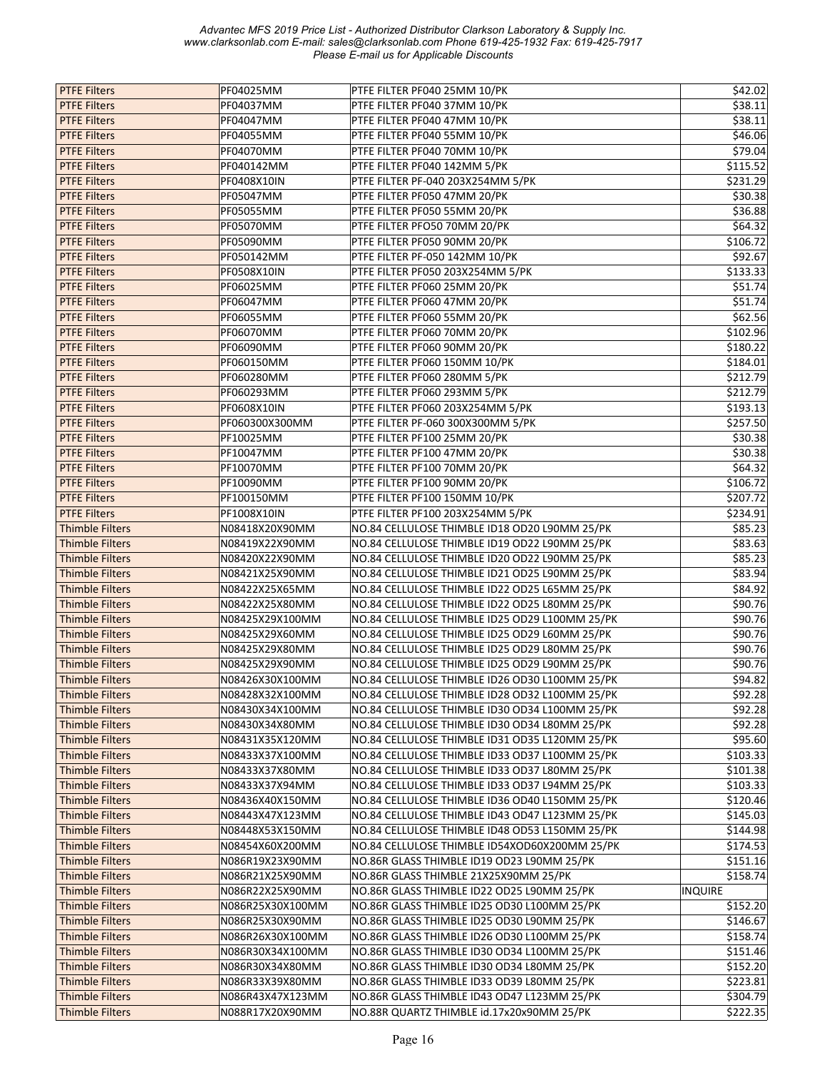| <b>PTFE Filters</b>    | PF04025MM        | PTFE FILTER PF040 25MM 10/PK                   | \$42.02        |
|------------------------|------------------|------------------------------------------------|----------------|
| <b>PTFE Filters</b>    | PF04037MM        | PTFE FILTER PF040 37MM 10/PK                   | \$38.11        |
| <b>PTFE Filters</b>    | PF04047MM        | PTFE FILTER PF040 47MM 10/PK                   | \$38.11        |
| <b>PTFE Filters</b>    | PF04055MM        | PTFE FILTER PF040 55MM 10/PK                   | \$46.06        |
| <b>PTFE Filters</b>    | PF04070MM        | PTFE FILTER PF040 70MM 10/PK                   | \$79.04        |
| <b>PTFE Filters</b>    | PF040142MM       | PTFE FILTER PF040 142MM 5/PK                   | \$115.52       |
| <b>PTFE Filters</b>    | PF0408X10IN      | PTFE FILTER PF-040 203X254MM 5/PK              | 5231.29        |
| <b>PTFE Filters</b>    | PF05047MM        | PTFE FILTER PF050 47MM 20/PK                   | \$30.38        |
|                        |                  |                                                |                |
| <b>PTFE Filters</b>    | PF05055MM        | PTFE FILTER PF050 55MM 20/PK                   | \$36.88        |
| <b>PTFE Filters</b>    | PF05070MM        | PTFE FILTER PFO50 70MM 20/PK                   | \$64.32        |
| <b>PTFE Filters</b>    | PF05090MM        | PTFE FILTER PF050 90MM 20/PK                   | \$106.72       |
| <b>PTFE Filters</b>    | PF050142MM       | PTFE FILTER PF-050 142MM 10/PK                 | \$92.67        |
| <b>PTFE Filters</b>    | PF0508X10IN      | PTFE FILTER PF050 203X254MM 5/PK               | \$133.33       |
| <b>PTFE Filters</b>    | PF06025MM        | PTFE FILTER PF060 25MM 20/PK                   | \$51.74        |
| <b>PTFE Filters</b>    | PF06047MM        | PTFE FILTER PF060 47MM 20/PK                   | \$51.74        |
| <b>PTFE Filters</b>    | PF06055MM        | PTFE FILTER PF060 55MM 20/PK                   | \$62.56        |
| <b>PTFE Filters</b>    | <b>PF06070MM</b> | PTFE FILTER PF060 70MM 20/PK                   | \$102.96       |
| <b>PTFE Filters</b>    | PF06090MM        | PTFE FILTER PF060 90MM 20/PK                   | \$180.22       |
| <b>PTFE Filters</b>    | PF060150MM       | PTFE FILTER PF060 150MM 10/PK                  | \$184.01       |
| <b>PTFE Filters</b>    | PF060280MM       | PTFE FILTER PF060 280MM 5/PK                   | \$212.79       |
| <b>PTFE Filters</b>    | PF060293MM       | PTFE FILTER PF060 293MM 5/PK                   | \$212.79       |
| <b>PTFE Filters</b>    | PF0608X10IN      | PTFE FILTER PF060 203X254MM 5/PK               | \$193.13       |
| <b>PTFE Filters</b>    | PF060300X300MM   | PTFE FILTER PF-060 300X300MM 5/PK              | \$257.50       |
| <b>PTFE Filters</b>    | PF10025MM        | PTFE FILTER PF100 25MM 20/PK                   | \$30.38        |
| <b>PTFE Filters</b>    | PF10047MM        | PTFE FILTER PF100 47MM 20/PK                   | \$30.38        |
| <b>PTFE Filters</b>    | PF10070MM        | PTFE FILTER PF100 70MM 20/PK                   | \$64.32        |
| <b>PTFE Filters</b>    | PF10090MM        | PTFE FILTER PF100 90MM 20/PK                   | \$106.72       |
| <b>PTFE Filters</b>    | PF100150MM       | PTFE FILTER PF100 150MM 10/PK                  | \$207.72       |
| <b>PTFE Filters</b>    | PF1008X10IN      | PTFE FILTER PF100 203X254MM 5/PK               | \$234.91       |
| <b>Thimble Filters</b> | N08418X20X90MM   | NO.84 CELLULOSE THIMBLE ID18 OD20 L90MM 25/PK  | \$85.23        |
| <b>Thimble Filters</b> | N08419X22X90MM   | NO.84 CELLULOSE THIMBLE ID19 OD22 L90MM 25/PK  | \$83.63        |
| <b>Thimble Filters</b> | N08420X22X90MM   | NO.84 CELLULOSE THIMBLE ID20 OD22 L90MM 25/PK  | \$85.23        |
| <b>Thimble Filters</b> | N08421X25X90MM   | NO.84 CELLULOSE THIMBLE ID21 OD25 L90MM 25/PK  | \$83.94        |
| <b>Thimble Filters</b> | N08422X25X65MM   | NO.84 CELLULOSE THIMBLE ID22 OD25 L65MM 25/PK  | \$84.92        |
| <b>Thimble Filters</b> | N08422X25X80MM   | NO.84 CELLULOSE THIMBLE ID22 OD25 L80MM 25/PK  | \$90.76        |
| <b>Thimble Filters</b> | N08425X29X100MM  | NO.84 CELLULOSE THIMBLE ID25 OD29 L100MM 25/PK | \$90.76        |
| <b>Thimble Filters</b> | N08425X29X60MM   | NO.84 CELLULOSE THIMBLE ID25 OD29 L60MM 25/PK  | \$90.76        |
| <b>Thimble Filters</b> | N08425X29X80MM   | NO.84 CELLULOSE THIMBLE ID25 OD29 L80MM 25/PK  | \$90.76        |
| <b>Thimble Filters</b> | N08425X29X90MM   | NO.84 CELLULOSE THIMBLE ID25 OD29 L90MM 25/PK  | \$90.76        |
| <b>Thimble Filters</b> | N08426X30X100MM  | NO.84 CELLULOSE THIMBLE ID26 OD30 L100MM 25/PK | \$94.82        |
| <b>Thimble Filters</b> | N08428X32X100MM  | NO.84 CELLULOSE THIMBLE ID28 OD32 L100MM 25/PK | \$92.28        |
| <b>Thimble Filters</b> | N08430X34X100MM  | NO.84 CELLULOSE THIMBLE ID30 OD34 L100MM 25/PK | \$92.28        |
| <b>Thimble Filters</b> | N08430X34X80MM   | NO.84 CELLULOSE THIMBLE ID30 OD34 L80MM 25/PK  | \$92.28        |
| <b>Thimble Filters</b> | N08431X35X120MM  | NO.84 CELLULOSE THIMBLE ID31 OD35 L120MM 25/PK | \$95.60        |
| <b>Thimble Filters</b> | N08433X37X100MM  | NO.84 CELLULOSE THIMBLE ID33 OD37 L100MM 25/PK | \$103.33       |
| <b>Thimble Filters</b> | N08433X37X80MM   | NO.84 CELLULOSE THIMBLE ID33 OD37 L80MM 25/PK  | \$101.38       |
|                        |                  |                                                |                |
| <b>Thimble Filters</b> | N08433X37X94MM   | NO.84 CELLULOSE THIMBLE ID33 OD37 L94MM 25/PK  | \$103.33       |
| <b>Thimble Filters</b> | N08436X40X150MM  | NO.84 CELLULOSE THIMBLE ID36 OD40 L150MM 25/PK | \$120.46       |
| <b>Thimble Filters</b> | N08443X47X123MM  | NO.84 CELLULOSE THIMBLE ID43 OD47 L123MM 25/PK | \$145.03       |
| <b>Thimble Filters</b> | N08448X53X150MM  | NO.84 CELLULOSE THIMBLE ID48 OD53 L150MM 25/PK | \$144.98       |
| <b>Thimble Filters</b> | N08454X60X200MM  | NO.84 CELLULOSE THIMBLE ID54XOD60X200MM 25/PK  | \$174.53       |
| <b>Thimble Filters</b> | N086R19X23X90MM  | NO.86R GLASS THIMBLE ID19 OD23 L90MM 25/PK     | \$151.16       |
| <b>Thimble Filters</b> | N086R21X25X90MM  | NO.86R GLASS THIMBLE 21X25X90MM 25/PK          | \$158.74       |
| <b>Thimble Filters</b> | N086R22X25X90MM  | NO.86R GLASS THIMBLE ID22 OD25 L90MM 25/PK     | <b>INQUIRE</b> |
| <b>Thimble Filters</b> | N086R25X30X100MM | NO.86R GLASS THIMBLE ID25 OD30 L100MM 25/PK    | \$152.20       |
| <b>Thimble Filters</b> | N086R25X30X90MM  | NO.86R GLASS THIMBLE ID25 OD30 L90MM 25/PK     | \$146.67       |
| <b>Thimble Filters</b> | N086R26X30X100MM | NO.86R GLASS THIMBLE ID26 OD30 L100MM 25/PK    | \$158.74       |
| <b>Thimble Filters</b> | N086R30X34X100MM | NO.86R GLASS THIMBLE ID30 OD34 L100MM 25/PK    | \$151.46       |
| <b>Thimble Filters</b> | N086R30X34X80MM  | NO.86R GLASS THIMBLE ID30 OD34 L80MM 25/PK     | \$152.20       |
| <b>Thimble Filters</b> | N086R33X39X80MM  | NO.86R GLASS THIMBLE ID33 OD39 L80MM 25/PK     | \$223.81       |
| <b>Thimble Filters</b> | N086R43X47X123MM | NO.86R GLASS THIMBLE ID43 OD47 L123MM 25/PK    | \$304.79       |
| <b>Thimble Filters</b> | N088R17X20X90MM  | NO.88R QUARTZ THIMBLE id.17x20x90MM 25/PK      | \$222.35       |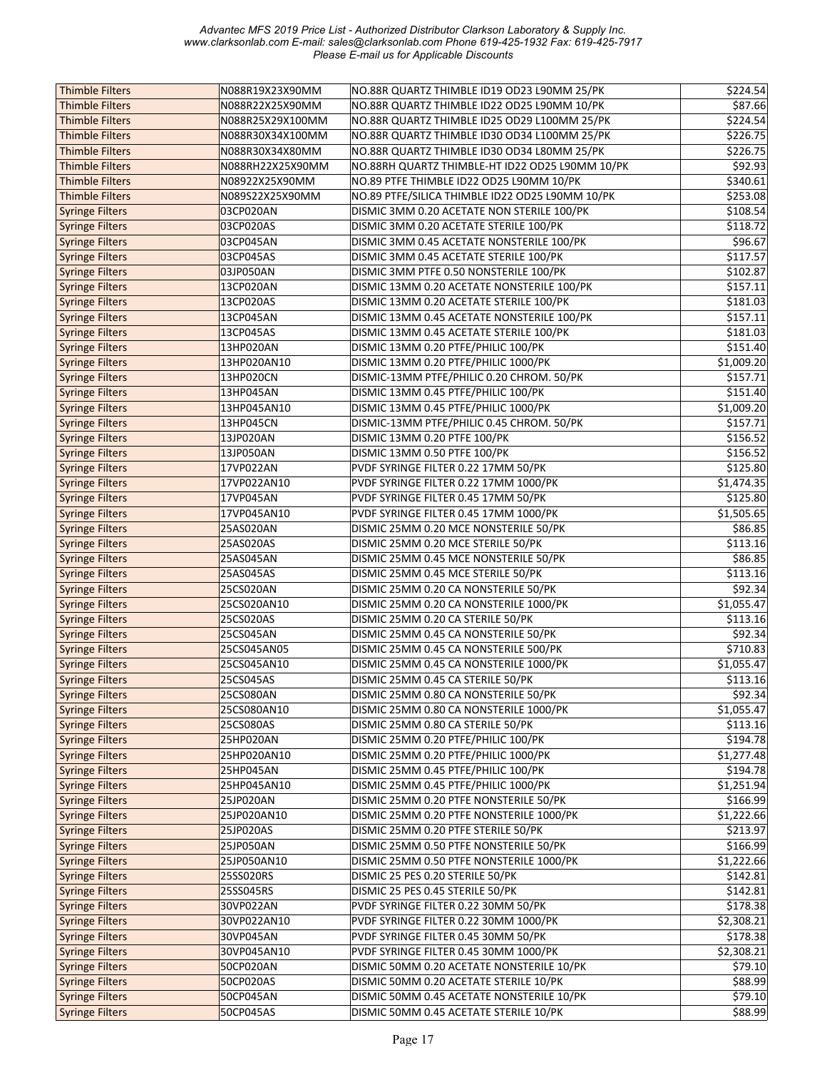| <b>Thimble Filters</b> | N088R19X23X90MM  | NO.88R QUARTZ THIMBLE ID19 OD23 L90MM 25/PK     | \$224.54   |
|------------------------|------------------|-------------------------------------------------|------------|
| <b>Thimble Filters</b> | N088R22X25X90MM  | NO.88R QUARTZ THIMBLE ID22 OD25 L90MM 10/PK     | \$87.66    |
| <b>Thimble Filters</b> | N088R25X29X100MM | NO.88R QUARTZ THIMBLE ID25 OD29 L100MM 25/PK    | \$224.54   |
| <b>Thimble Filters</b> | N088R30X34X100MM | NO.88R QUARTZ THIMBLE ID30 OD34 L100MM 25/PK    | \$226.75   |
| <b>Thimble Filters</b> | N088R30X34X80MM  | NO.88R QUARTZ THIMBLE ID30 OD34 L80MM 25/PK     | 5226.75    |
| <b>Thimble Filters</b> | N088RH22X25X90MM | NO.88RH QUARTZ THIMBLE-HT ID22 OD25 L90MM 10/PK | \$92.93    |
| <b>Thimble Filters</b> | N08922X25X90MM   | NO.89 PTFE THIMBLE ID22 OD25 L90MM 10/PK        | \$340.61   |
| <b>Thimble Filters</b> | N089S22X25X90MM  | NO.89 PTFE/SILICA THIMBLE ID22 OD25 L90MM 10/PK | \$253.08   |
| <b>Syringe Filters</b> | 03CP020AN        | DISMIC 3MM 0.20 ACETATE NON STERILE 100/PK      | \$108.54   |
| <b>Syringe Filters</b> | 03CP020AS        | DISMIC 3MM 0.20 ACETATE STERILE 100/PK          | \$118.72   |
| <b>Syringe Filters</b> | 03CP045AN        | DISMIC 3MM 0.45 ACETATE NONSTERILE 100/PK       | \$96.67    |
| <b>Syringe Filters</b> | 03CP045AS        | DISMIC 3MM 0.45 ACETATE STERILE 100/PK          | \$117.57   |
| <b>Syringe Filters</b> | 03JP050AN        | DISMIC 3MM PTFE 0.50 NONSTERILE 100/PK          | \$102.87   |
| <b>Syringe Filters</b> | 13CP020AN        | DISMIC 13MM 0.20 ACETATE NONSTERILE 100/PK      | \$157.11   |
| <b>Syringe Filters</b> | 13CP020AS        | DISMIC 13MM 0.20 ACETATE STERILE 100/PK         | \$181.03   |
| <b>Syringe Filters</b> | 13CP045AN        | DISMIC 13MM 0.45 ACETATE NONSTERILE 100/PK      | \$157.11   |
| <b>Syringe Filters</b> | 13CP045AS        | DISMIC 13MM 0.45 ACETATE STERILE 100/PK         | \$181.03   |
| <b>Syringe Filters</b> | 13HP020AN        | DISMIC 13MM 0.20 PTFE/PHILIC 100/PK             | \$151.40   |
| <b>Syringe Filters</b> | 13HP020AN10      | DISMIC 13MM 0.20 PTFE/PHILIC 1000/PK            | \$1,009.20 |
| <b>Syringe Filters</b> | 13HP020CN        | DISMIC-13MM PTFE/PHILIC 0.20 CHROM. 50/PK       | \$157.71   |
| <b>Syringe Filters</b> | 13HP045AN        | DISMIC 13MM 0.45 PTFE/PHILIC 100/PK             | \$151.40   |
|                        |                  |                                                 |            |
| <b>Syringe Filters</b> | 13HP045AN10      | DISMIC 13MM 0.45 PTFE/PHILIC 1000/PK            | \$1,009.20 |
| <b>Syringe Filters</b> | 13HP045CN        | DISMIC-13MM PTFE/PHILIC 0.45 CHROM. 50/PK       | \$157.71   |
| <b>Syringe Filters</b> | 13JP020AN        | DISMIC 13MM 0.20 PTFE 100/PK                    | \$156.52   |
| <b>Syringe Filters</b> | 13JP050AN        | DISMIC 13MM 0.50 PTFE 100/PK                    | \$156.52   |
| <b>Syringe Filters</b> | 17VP022AN        | PVDF SYRINGE FILTER 0.22 17MM 50/PK             | \$125.80   |
| <b>Syringe Filters</b> | 17VP022AN10      | PVDF SYRINGE FILTER 0.22 17MM 1000/PK           | \$1,474.35 |
| <b>Syringe Filters</b> | 17VP045AN        | PVDF SYRINGE FILTER 0.45 17MM 50/PK             | \$125.80   |
| <b>Syringe Filters</b> | 17VP045AN10      | PVDF SYRINGE FILTER 0.45 17MM 1000/PK           | \$1,505.65 |
| <b>Syringe Filters</b> | 25AS020AN        | DISMIC 25MM 0.20 MCE NONSTERILE 50/PK           | 586.85     |
| <b>Syringe Filters</b> | 25AS020AS        | DISMIC 25MM 0.20 MCE STERILE 50/PK              | \$113.16   |
| <b>Syringe Filters</b> | 25AS045AN        | DISMIC 25MM 0.45 MCE NONSTERILE 50/PK           | \$86.85    |
| <b>Syringe Filters</b> | 25AS045AS        | DISMIC 25MM 0.45 MCE STERILE 50/PK              | \$113.16   |
| <b>Syringe Filters</b> | 25CS020AN        | DISMIC 25MM 0.20 CA NONSTERILE 50/PK            | \$92.34    |
| <b>Syringe Filters</b> | 25CS020AN10      | DISMIC 25MM 0.20 CA NONSTERILE 1000/PK          | \$1,055.47 |
| <b>Syringe Filters</b> | 25CS020AS        | DISMIC 25MM 0.20 CA STERILE 50/PK               | \$113.16   |
| <b>Syringe Filters</b> | 25CS045AN        | DISMIC 25MM 0.45 CA NONSTERILE 50/PK            | \$92.34    |
| <b>Syringe Filters</b> | 25CS045AN05      | DISMIC 25MM 0.45 CA NONSTERILE 500/PK           | \$710.83   |
| <b>Syringe Filters</b> | 25CS045AN10      | DISMIC 25MM 0.45 CA NONSTERILE 1000/PK          | \$1,055.47 |
| <b>Syringe Filters</b> | 25CS045AS        | DISMIC 25MM 0.45 CA STERILE 50/PK               | \$113.16   |
| <b>Syringe Filters</b> | 25CS080AN        | DISMIC 25MM 0.80 CA NONSTERILE 50/PK            | \$92.34    |
| <b>Syringe Filters</b> | 25CS080AN10      | DISMIC 25MM 0.80 CA NONSTERILE 1000/PK          | \$1,055.47 |
| <b>Syringe Filters</b> | 25CS080AS        | DISMIC 25MM 0.80 CA STERILE 50/PK               | \$113.16   |
| <b>Syringe Filters</b> | 25HP020AN        | DISMIC 25MM 0.20 PTFE/PHILIC 100/PK             | \$194.78   |
| <b>Syringe Filters</b> | 25HP020AN10      | DISMIC 25MM 0.20 PTFE/PHILIC 1000/PK            | \$1,277.48 |
| <b>Syringe Filters</b> | 25HP045AN        | DISMIC 25MM 0.45 PTFE/PHILIC 100/PK             | \$194.78   |
| <b>Syringe Filters</b> | 25HP045AN10      | DISMIC 25MM 0.45 PTFE/PHILIC 1000/PK            | \$1,251.94 |
| <b>Syringe Filters</b> | 25JP020AN        | DISMIC 25MM 0.20 PTFE NONSTERILE 50/PK          | \$166.99   |
| <b>Syringe Filters</b> | 25JP020AN10      | DISMIC 25MM 0.20 PTFE NONSTERILE 1000/PK        | \$1,222.66 |
| <b>Syringe Filters</b> | 25JP020AS        | DISMIC 25MM 0.20 PTFE STERILE 50/PK             | \$213.97   |
| <b>Syringe Filters</b> | 25JP050AN        | DISMIC 25MM 0.50 PTFE NONSTERILE 50/PK          | \$166.99   |
| <b>Syringe Filters</b> | 25JP050AN10      | DISMIC 25MM 0.50 PTFE NONSTERILE 1000/PK        | \$1,222.66 |
| <b>Syringe Filters</b> | 25SS020RS        | DISMIC 25 PES 0.20 STERILE 50/PK                | \$142.81   |
| <b>Syringe Filters</b> | 25SS045RS        | DISMIC 25 PES 0.45 STERILE 50/PK                | \$142.81   |
| <b>Syringe Filters</b> | 30VP022AN        | PVDF SYRINGE FILTER 0.22 30MM 50/PK             | \$178.38   |
| <b>Syringe Filters</b> | 30VP022AN10      | PVDF SYRINGE FILTER 0.22 30MM 1000/PK           | \$2,308.21 |
| <b>Syringe Filters</b> | 30VP045AN        | PVDF SYRINGE FILTER 0.45 30MM 50/PK             | \$178.38   |
|                        |                  |                                                 |            |
| <b>Syringe Filters</b> | 30VP045AN10      | PVDF SYRINGE FILTER 0.45 30MM 1000/PK           | \$2,308.21 |
| <b>Syringe Filters</b> | 50CP020AN        | DISMIC 50MM 0.20 ACETATE NONSTERILE 10/PK       | \$79.10    |
| <b>Syringe Filters</b> | 50CP020AS        | DISMIC 50MM 0.20 ACETATE STERILE 10/PK          | \$88.99    |
| <b>Syringe Filters</b> | 50CP045AN        | DISMIC 50MM 0.45 ACETATE NONSTERILE 10/PK       | \$79.10    |
| Syringe Filters        | 50CP045AS        | DISMIC 50MM 0.45 ACETATE STERILE 10/PK          | \$88.99    |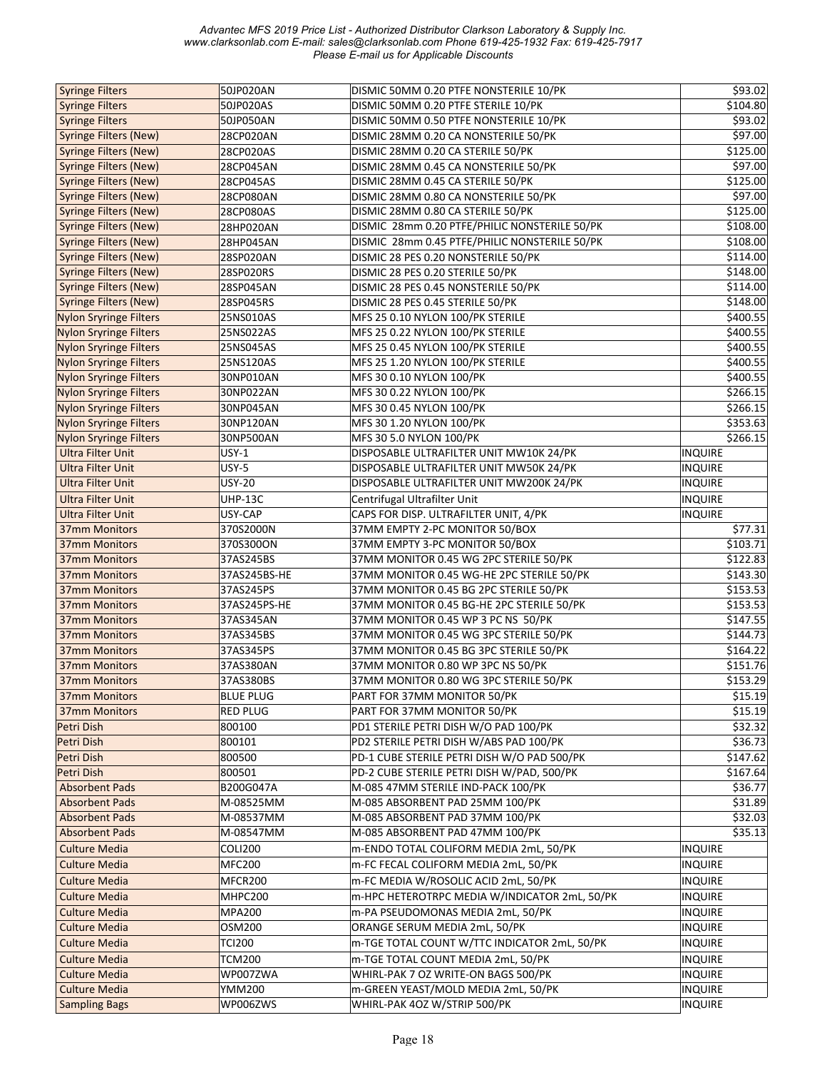| <b>Syringe Filters</b>        | 50JP020AN        | DISMIC 50MM 0.20 PTFE NONSTERILE 10/PK        | \$93.02        |
|-------------------------------|------------------|-----------------------------------------------|----------------|
| <b>Syringe Filters</b>        | 50JP020AS        | DISMIC 50MM 0.20 PTFE STERILE 10/PK           | \$104.80       |
| <b>Syringe Filters</b>        | 50JP050AN        | DISMIC 50MM 0.50 PTFE NONSTERILE 10/PK        | \$93.02        |
| <b>Syringe Filters (New)</b>  | 28CP020AN        | DISMIC 28MM 0.20 CA NONSTERILE 50/PK          | \$97.00        |
| <b>Syringe Filters (New)</b>  | 28CP020AS        | DISMIC 28MM 0.20 CA STERILE 50/PK             | \$125.00       |
| <b>Syringe Filters (New)</b>  | 28CP045AN        | DISMIC 28MM 0.45 CA NONSTERILE 50/PK          | \$97.00        |
| <b>Syringe Filters (New)</b>  | 28CP045AS        | DISMIC 28MM 0.45 CA STERILE 50/PK             | \$125.00       |
| <b>Syringe Filters (New)</b>  | 28CP080AN        | DISMIC 28MM 0.80 CA NONSTERILE 50/PK          | \$97.00        |
| <b>Syringe Filters (New)</b>  | 28CP080AS        | DISMIC 28MM 0.80 CA STERILE 50/PK             | \$125.00       |
| <b>Syringe Filters (New)</b>  | 28HP020AN        | DISMIC 28mm 0.20 PTFE/PHILIC NONSTERILE 50/PK | \$108.00       |
| <b>Syringe Filters (New)</b>  | 28HP045AN        | DISMIC 28mm 0.45 PTFE/PHILIC NONSTERILE 50/PK | \$108.00       |
| <b>Syringe Filters (New)</b>  | 28SP020AN        | DISMIC 28 PES 0.20 NONSTERILE 50/PK           | \$114.00       |
| <b>Syringe Filters (New)</b>  | 28SP020RS        | DISMIC 28 PES 0.20 STERILE 50/PK              | \$148.00       |
| <b>Syringe Filters (New)</b>  | 28SP045AN        | DISMIC 28 PES 0.45 NONSTERILE 50/PK           | \$114.00       |
| <b>Syringe Filters (New)</b>  | 28SP045RS        | DISMIC 28 PES 0.45 STERILE 50/PK              | \$148.00       |
| <b>Nylon Sryringe Filters</b> | 25NS010AS        | MFS 25 0.10 NYLON 100/PK STERILE              | \$400.55       |
| <b>Nylon Sryringe Filters</b> | 25NS022AS        | MFS 25 0.22 NYLON 100/PK STERILE              | \$400.55       |
| <b>Nylon Sryringe Filters</b> | 25NS045AS        | MFS 25 0.45 NYLON 100/PK STERILE              | \$400.55       |
|                               | 25NS120AS        | MFS 25 1.20 NYLON 100/PK STERILE              | \$400.55       |
| <b>Nylon Sryringe Filters</b> |                  |                                               |                |
| <b>Nylon Sryringe Filters</b> | 30NP010AN        | MFS 30 0.10 NYLON 100/PK                      | \$400.55       |
| <b>Nylon Sryringe Filters</b> | 30NP022AN        | MFS 30 0.22 NYLON 100/PK                      | \$266.15       |
| <b>Nylon Sryringe Filters</b> | 30NP045AN        | MFS 30 0.45 NYLON 100/PK                      | \$266.15       |
| <b>Nylon Sryringe Filters</b> | 30NP120AN        | MFS 30 1.20 NYLON 100/PK                      | \$353.63       |
| <b>Nylon Sryringe Filters</b> | 30NP500AN        | MFS 30 5.0 NYLON 100/PK                       | \$266.15       |
| <b>Ultra Filter Unit</b>      | <b>USY-1</b>     | DISPOSABLE ULTRAFILTER UNIT MW10K 24/PK       | <b>INQUIRE</b> |
| <b>Ultra Filter Unit</b>      | <b>USY-5</b>     | DISPOSABLE ULTRAFILTER UNIT MW50K 24/PK       | <b>INQUIRE</b> |
| <b>Ultra Filter Unit</b>      | <b>USY-20</b>    | DISPOSABLE ULTRAFILTER UNIT MW200K 24/PK      | <b>INQUIRE</b> |
| <b>Ultra Filter Unit</b>      | <b>UHP-13C</b>   | Centrifugal Ultrafilter Unit                  | <b>INQUIRE</b> |
| <b>Ultra Filter Unit</b>      | USY-CAP          | CAPS FOR DISP. ULTRAFILTER UNIT, 4/PK         | <b>INQUIRE</b> |
| <b>37mm Monitors</b>          | 370S2000N        | 37MM EMPTY 2-PC MONITOR 50/BOX                | \$77.31        |
| 37mm Monitors                 | 370S300ON        | 37MM EMPTY 3-PC MONITOR 50/BOX                | \$103.71       |
| <b>37mm Monitors</b>          | 37AS245BS        | 37MM MONITOR 0.45 WG 2PC STERILE 50/PK        | \$122.83       |
| <b>37mm Monitors</b>          | 37AS245BS-HE     | 37MM MONITOR 0.45 WG-HE 2PC STERILE 50/PK     | \$143.30       |
| <b>37mm Monitors</b>          | 37AS245PS        | 37MM MONITOR 0.45 BG 2PC STERILE 50/PK        | \$153.53       |
| <b>37mm Monitors</b>          | 37AS245PS-HE     | 37MM MONITOR 0.45 BG-HE 2PC STERILE 50/PK     | \$153.53       |
| 37mm Monitors                 | 37AS345AN        | 37MM MONITOR 0.45 WP 3 PC NS 50/PK            | \$147.55       |
| <b>37mm Monitors</b>          | 37AS345BS        | 37MM MONITOR 0.45 WG 3PC STERILE 50/PK        | \$144.73       |
| <b>37mm Monitors</b>          | 37AS345PS        | 37MM MONITOR 0.45 BG 3PC STERILE 50/PK        | \$164.22       |
| <b>37mm Monitors</b>          | 37AS380AN        | 37MM MONITOR 0.80 WP 3PC NS 50/PK             | \$151.76       |
| <b>37mm Monitors</b>          | 37AS380BS        | 37MM MONITOR 0.80 WG 3PC STERILE 50/PK        | \$153.29       |
| 37mm Monitors                 | <b>BLUE PLUG</b> | PART FOR 37MM MONITOR 50/PK                   | \$15.19        |
| 37mm Monitors                 | <b>RED PLUG</b>  | PART FOR 37MM MONITOR 50/PK                   | \$15.19        |
| Petri Dish                    | 800100           | PD1 STERILE PETRI DISH W/O PAD 100/PK         | \$32.32        |
| Petri Dish                    | 800101           | PD2 STERILE PETRI DISH W/ABS PAD 100/PK       | \$36.73        |
| Petri Dish                    | 800500           | PD-1 CUBE STERILE PETRI DISH W/O PAD 500/PK   | \$147.62       |
| Petri Dish                    | 800501           | PD-2 CUBE STERILE PETRI DISH W/PAD, 500/PK    | \$167.64       |
|                               |                  |                                               |                |
| <b>Absorbent Pads</b>         | B200G047A        | M-085 47MM STERILE IND-PACK 100/PK            | \$36.77        |
| <b>Absorbent Pads</b>         | M-08525MM        | M-085 ABSORBENT PAD 25MM 100/PK               | \$31.89        |
| <b>Absorbent Pads</b>         | M-08537MM        | M-085 ABSORBENT PAD 37MM 100/PK               | \$32.03        |
| <b>Absorbent Pads</b>         | M-08547MM        | M-085 ABSORBENT PAD 47MM 100/PK               | \$35.13        |
| <b>Culture Media</b>          | <b>COLI200</b>   | m-ENDO TOTAL COLIFORM MEDIA 2mL, 50/PK        | <b>INQUIRE</b> |
| <b>Culture Media</b>          | <b>MFC200</b>    | m-FC FECAL COLIFORM MEDIA 2mL, 50/PK          | INQUIRE        |
| <b>Culture Media</b>          | MFCR200          | m-FC MEDIA W/ROSOLIC ACID 2mL, 50/PK          | <b>INQUIRE</b> |
| <b>Culture Media</b>          | MHPC200          | m-HPC HETEROTRPC MEDIA W/INDICATOR 2mL, 50/PK | <b>INQUIRE</b> |
| <b>Culture Media</b>          | <b>MPA200</b>    | m-PA PSEUDOMONAS MEDIA 2mL, 50/PK             | <b>INQUIRE</b> |
| <b>Culture Media</b>          | OSM200           | ORANGE SERUM MEDIA 2mL, 50/PK                 | <b>INQUIRE</b> |
| <b>Culture Media</b>          | <b>TCI200</b>    | m-TGE TOTAL COUNT W/TTC INDICATOR 2mL, 50/PK  | <b>INQUIRE</b> |
| <b>Culture Media</b>          | <b>TCM200</b>    | m-TGE TOTAL COUNT MEDIA 2mL, 50/PK            | <b>INQUIRE</b> |
| <b>Culture Media</b>          | WP007ZWA         | WHIRL-PAK 7 OZ WRITE-ON BAGS 500/PK           | <b>INQUIRE</b> |
|                               |                  |                                               |                |
| <b>Culture Media</b>          | YMM200           | m-GREEN YEAST/MOLD MEDIA 2mL, 50/PK           | <b>INQUIRE</b> |
| <b>Sampling Bags</b>          | WP006ZWS         | WHIRL-PAK 4OZ W/STRIP 500/PK                  | <b>INQUIRE</b> |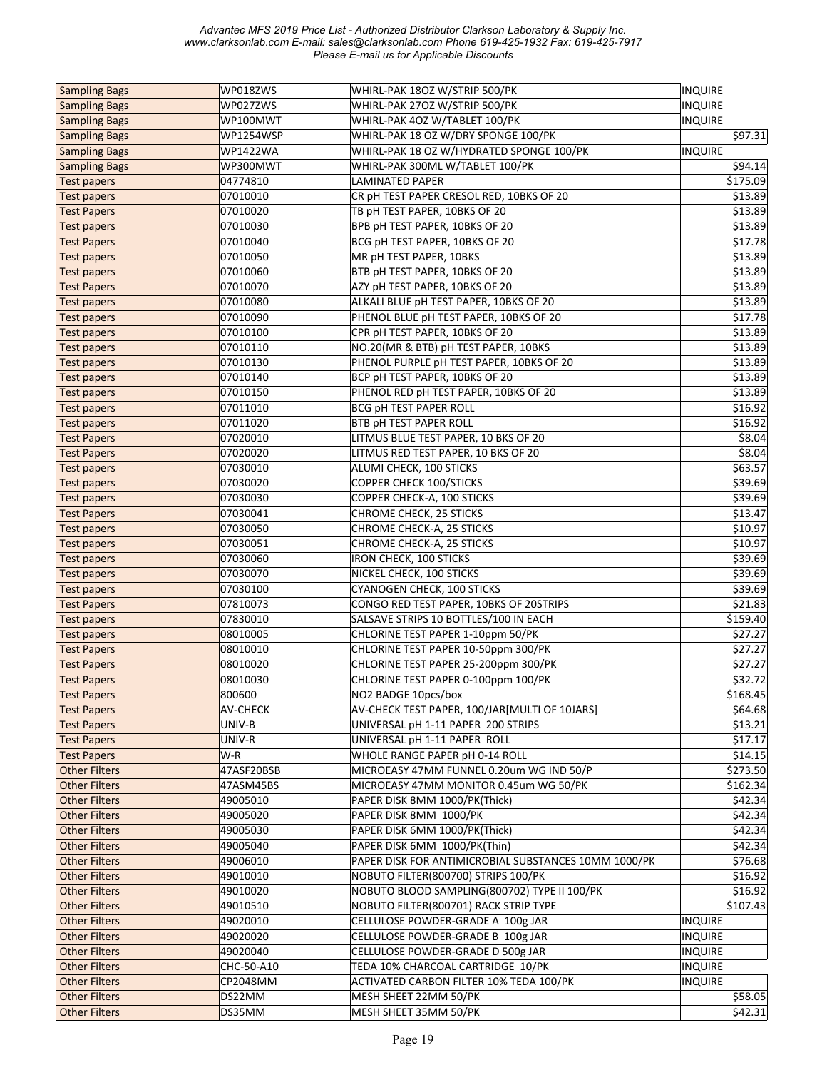| <b>Sampling Bags</b> | WP018ZWS        | WHIRL-PAK 180Z W/STRIP 500/PK                        | <b>INQUIRE</b>       |
|----------------------|-----------------|------------------------------------------------------|----------------------|
| <b>Sampling Bags</b> | WP027ZWS        | WHIRL-PAK 27OZ W/STRIP 500/PK                        | <b>INQUIRE</b>       |
| <b>Sampling Bags</b> | WP100MWT        | WHIRL-PAK 4OZ W/TABLET 100/PK                        | <b>INQUIRE</b>       |
| <b>Sampling Bags</b> | WP1254WSP       | WHIRL-PAK 18 OZ W/DRY SPONGE 100/PK                  | \$97.31              |
| <b>Sampling Bags</b> | <b>WP1422WA</b> | WHIRL-PAK 18 OZ W/HYDRATED SPONGE 100/PK             | <b>INQUIRE</b>       |
| <b>Sampling Bags</b> | WP300MWT        | WHIRL-PAK 300ML W/TABLET 100/PK                      | \$94.14              |
| <b>Test papers</b>   | 04774810        | LAMINATED PAPER                                      | \$175.09             |
| <b>Test papers</b>   | 07010010        | CR pH TEST PAPER CRESOL RED, 10BKS OF 20             | \$13.89              |
| <b>Test Papers</b>   | 07010020        | TB pH TEST PAPER, 10BKS OF 20                        | \$13.89              |
| <b>Test papers</b>   | 07010030        | BPB pH TEST PAPER, 10BKS OF 20                       | \$13.89              |
| <b>Test Papers</b>   | 07010040        | BCG pH TEST PAPER, 10BKS OF 20                       | \$17.78              |
| <b>Test papers</b>   | 07010050        | MR pH TEST PAPER, 10BKS                              | \$13.89              |
| Test papers          | 07010060        | BTB pH TEST PAPER, 10BKS OF 20                       | \$13.89              |
| <b>Test Papers</b>   | 07010070        | AZY pH TEST PAPER, 10BKS OF 20                       | \$13.89              |
| <b>Test papers</b>   | 07010080        | ALKALI BLUE pH TEST PAPER, 10BKS OF 20               | \$13.89              |
| <b>Test papers</b>   | 07010090        | PHENOL BLUE pH TEST PAPER, 10BKS OF 20               | \$17.78              |
| <b>Test papers</b>   | 07010100        | CPR pH TEST PAPER, 10BKS OF 20                       | \$13.89              |
|                      | 07010110        | NO.20(MR & BTB) pH TEST PAPER, 10BKS                 | \$13.89              |
| Test papers          | 07010130        |                                                      | \$13.89              |
| <b>Test papers</b>   |                 | PHENOL PURPLE pH TEST PAPER, 10BKS OF 20             |                      |
| <b>Test papers</b>   | 07010140        | BCP pH TEST PAPER, 10BKS OF 20                       | \$13.89              |
| <b>Test papers</b>   | 07010150        | PHENOL RED pH TEST PAPER, 10BKS OF 20                | \$13.89              |
| <b>Test papers</b>   | 07011010        | <b>BCG pH TEST PAPER ROLL</b>                        | \$16.92              |
| <b>Test papers</b>   | 07011020        | <b>BTB pH TEST PAPER ROLL</b>                        | \$16.92              |
| <b>Test Papers</b>   | 07020010        | LITMUS BLUE TEST PAPER, 10 BKS OF 20                 | \$8.04               |
| <b>Test Papers</b>   | 07020020        | LITMUS RED TEST PAPER, 10 BKS OF 20                  | \$8.04               |
| <b>Test papers</b>   | 07030010        | ALUMI CHECK, 100 STICKS                              | \$63.57              |
| <b>Test papers</b>   | 07030020        | COPPER CHECK 100/STICKS                              | \$39.69              |
| <b>Test papers</b>   | 07030030        | COPPER CHECK-A, 100 STICKS                           | \$39.69              |
| <b>Test Papers</b>   | 07030041        | CHROME CHECK, 25 STICKS                              | \$13.47              |
| <b>Test papers</b>   | 07030050        | CHROME CHECK-A, 25 STICKS                            | \$10.97              |
| <b>Test papers</b>   | 07030051        | CHROME CHECK-A, 25 STICKS                            | \$10.97              |
| <b>Test papers</b>   | 07030060        | IRON CHECK, 100 STICKS                               | \$39.69              |
| <b>Test papers</b>   | 07030070        | NICKEL CHECK, 100 STICKS                             | \$39.69              |
| <b>Test papers</b>   | 07030100        | CYANOGEN CHECK, 100 STICKS                           | \$39.69              |
| <b>Test Papers</b>   | 07810073        | CONGO RED TEST PAPER, 10BKS OF 20STRIPS              | \$21.83              |
| <b>Test papers</b>   | 07830010        | SALSAVE STRIPS 10 BOTTLES/100 IN EACH                | \$159.40             |
| <b>Test papers</b>   | 08010005        | CHLORINE TEST PAPER 1-10ppm 50/PK                    | \$27.27              |
| <b>Test Papers</b>   | 08010010        | CHLORINE TEST PAPER 10-50ppm 300/PK                  | \$27.27              |
| <b>Test Papers</b>   | 08010020        | CHLORINE TEST PAPER 25-200ppm 300/PK                 | \$27.27              |
| <b>Test Papers</b>   | 08010030        | CHLORINE TEST PAPER 0-100ppm 100/PK                  | \$32.72              |
| <b>Test Papers</b>   | 800600          | NO2 BADGE 10pcs/box                                  | \$168.45             |
| <b>Test Papers</b>   | <b>AV-CHECK</b> | AV-CHECK TEST PAPER, 100/JAR[MULTI OF 10JARS]        | \$64.68              |
| <b>Test Papers</b>   | UNIV-B          | UNIVERSAL pH 1-11 PAPER 200 STRIPS                   | \$13.21              |
| <b>Test Papers</b>   | UNIV-R          | UNIVERSAL pH 1-11 PAPER ROLL                         | \$17.17              |
| <b>Test Papers</b>   | W-R             | WHOLE RANGE PAPER pH 0-14 ROLL                       | \$14.15              |
| <b>Other Filters</b> | 47ASF20BSB      | MICROEASY 47MM FUNNEL 0.20um WG IND 50/P             | \$273.50             |
| <b>Other Filters</b> | 47ASM45BS       | MICROEASY 47MM MONITOR 0.45um WG 50/PK               | \$162.34             |
| <b>Other Filters</b> | 49005010        | PAPER DISK 8MM 1000/PK(Thick)                        | \$42.34              |
| <b>Other Filters</b> | 49005020        | PAPER DISK 8MM 1000/PK                               | \$42.34              |
| <b>Other Filters</b> | 49005030        | PAPER DISK 6MM 1000/PK(Thick)                        | \$42.34              |
| <b>Other Filters</b> | 49005040        | PAPER DISK 6MM 1000/PK(Thin)                         | \$42.34              |
| <b>Other Filters</b> | 49006010        | PAPER DISK FOR ANTIMICROBIAL SUBSTANCES 10MM 1000/PK | \$76.68              |
| <b>Other Filters</b> | 49010010        | NOBUTO FILTER(800700) STRIPS 100/PK                  | \$16.92              |
| <b>Other Filters</b> | 49010020        | NOBUTO BLOOD SAMPLING(800702) TYPE II 100/PK         | $\overline{$}316.92$ |
| <b>Other Filters</b> | 49010510        | NOBUTO FILTER(800701) RACK STRIP TYPE                | \$107.43             |
| <b>Other Filters</b> | 49020010        | CELLULOSE POWDER-GRADE A 100g JAR                    | <b>INQUIRE</b>       |
| <b>Other Filters</b> | 49020020        | CELLULOSE POWDER-GRADE B 100g JAR                    | <b>INQUIRE</b>       |
| <b>Other Filters</b> | 49020040        | CELLULOSE POWDER-GRADE D 500g JAR                    | <b>INQUIRE</b>       |
| <b>Other Filters</b> | CHC-50-A10      | TEDA 10% CHARCOAL CARTRIDGE 10/PK                    | <b>INQUIRE</b>       |
| <b>Other Filters</b> | CP2048MM        | ACTIVATED CARBON FILTER 10% TEDA 100/PK              | <b>INQUIRE</b>       |
|                      |                 |                                                      |                      |
| <b>Other Filters</b> | DS22MM          | MESH SHEET 22MM 50/PK                                | \$58.05              |
| <b>Other Filters</b> | DS35MM          | MESH SHEET 35MM 50/PK                                | \$42.31              |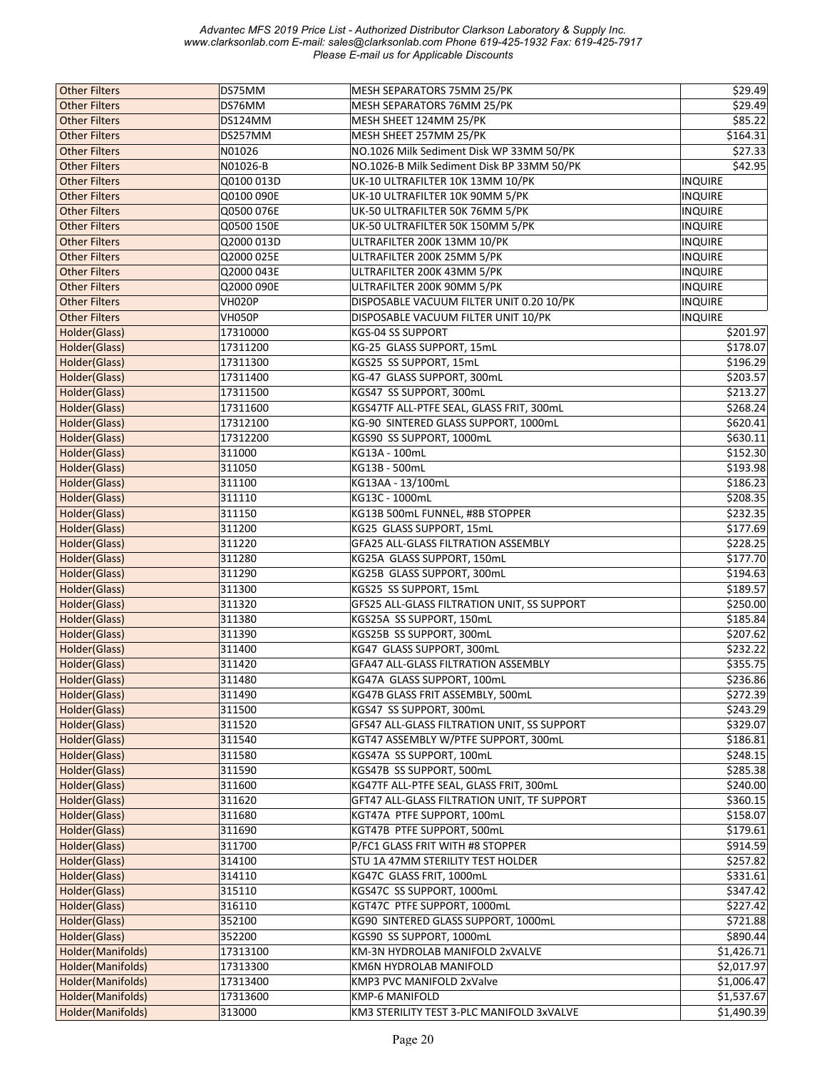| <b>Other Filters</b> | DS75MM        | MESH SEPARATORS 75MM 25/PK                         | \$29.49        |
|----------------------|---------------|----------------------------------------------------|----------------|
| <b>Other Filters</b> | DS76MM        | MESH SEPARATORS 76MM 25/PK                         | \$29.49        |
| <b>Other Filters</b> | DS124MM       | MESH SHEET 124MM 25/PK                             | \$85.22        |
| <b>Other Filters</b> | DS257MM       | MESH SHEET 257MM 25/PK                             | \$164.31       |
| <b>Other Filters</b> | N01026        | NO.1026 Milk Sediment Disk WP 33MM 50/PK           | \$27.33        |
| <b>Other Filters</b> | N01026-B      | NO.1026-B Milk Sediment Disk BP 33MM 50/PK         | \$42.95        |
| <b>Other Filters</b> |               |                                                    |                |
|                      | Q0100 013D    | UK-10 ULTRAFILTER 10K 13MM 10/PK                   | <b>INQUIRE</b> |
| <b>Other Filters</b> | Q0100 090E    | UK-10 ULTRAFILTER 10K 90MM 5/PK                    | <b>INQUIRE</b> |
| <b>Other Filters</b> | Q0500 076E    | UK-50 ULTRAFILTER 50K 76MM 5/PK                    | <b>INQUIRE</b> |
| <b>Other Filters</b> | Q0500 150E    | UK-50 ULTRAFILTER 50K 150MM 5/PK                   | <b>INQUIRE</b> |
| <b>Other Filters</b> | Q2000 013D    | ULTRAFILTER 200K 13MM 10/PK                        | <b>INQUIRE</b> |
| <b>Other Filters</b> | Q2000 025E    | ULTRAFILTER 200K 25MM 5/PK                         | <b>INQUIRE</b> |
| <b>Other Filters</b> | Q2000 043E    | ULTRAFILTER 200K 43MM 5/PK                         | <b>INQUIRE</b> |
| <b>Other Filters</b> | Q2000 090E    | ULTRAFILTER 200K 90MM 5/PK                         | <b>INQUIRE</b> |
| <b>Other Filters</b> | <b>VH020P</b> | DISPOSABLE VACUUM FILTER UNIT 0.20 10/PK           | <b>INQUIRE</b> |
| <b>Other Filters</b> | VH050P        | DISPOSABLE VACUUM FILTER UNIT 10/PK                | <b>INQUIRE</b> |
| Holder(Glass)        | 17310000      | KGS-04 SS SUPPORT                                  | \$201.97       |
| Holder(Glass)        | 17311200      | KG-25 GLASS SUPPORT, 15mL                          | \$178.07       |
| Holder(Glass)        | 17311300      | KGS25 SS SUPPORT, 15mL                             | \$196.29       |
| Holder(Glass)        | 17311400      | KG-47 GLASS SUPPORT, 300mL                         | \$203.57       |
| Holder(Glass)        | 17311500      | KGS47 SS SUPPORT, 300mL                            | \$213.27       |
| Holder(Glass)        | 17311600      | KGS47TF ALL-PTFE SEAL, GLASS FRIT, 300mL           | \$268.24       |
| Holder(Glass)        | 17312100      | KG-90 SINTERED GLASS SUPPORT, 1000mL               | \$620.41       |
| Holder(Glass)        | 17312200      | KGS90 SS SUPPORT, 1000mL                           | \$630.11       |
| Holder(Glass)        | 311000        | KG13A - 100mL                                      | \$152.30       |
|                      |               |                                                    | \$193.98       |
| Holder(Glass)        | 311050        | KG13B - 500mL                                      |                |
| Holder(Glass)        | 311100        | KG13AA - 13/100mL                                  | \$186.23       |
| Holder(Glass)        | 311110        | KG13C - 1000mL                                     | \$208.35       |
| Holder(Glass)        | 311150        | KG13B 500mL FUNNEL, #8B STOPPER                    | \$232.35       |
| Holder(Glass)        | 311200        | KG25 GLASS SUPPORT, 15mL                           | \$177.69       |
| Holder(Glass)        | 311220        | GFA25 ALL-GLASS FILTRATION ASSEMBLY                | \$228.25       |
| Holder(Glass)        | 311280        | KG25A GLASS SUPPORT, 150mL                         | \$177.70       |
| Holder(Glass)        | 311290        | KG25B GLASS SUPPORT, 300mL                         | \$194.63       |
| Holder(Glass)        | 311300        | KGS25 SS SUPPORT, 15mL                             | \$189.57       |
| Holder(Glass)        | 311320        | GFS25 ALL-GLASS FILTRATION UNIT, SS SUPPORT        | \$250.00       |
| Holder(Glass)        | 311380        | KGS25A SS SUPPORT, 150mL                           | \$185.84       |
| Holder(Glass)        | 311390        | KGS25B SS SUPPORT, 300mL                           | \$207.62       |
| Holder(Glass)        | 311400        | KG47 GLASS SUPPORT, 300mL                          | \$232.22       |
| Holder(Glass)        | 311420        | GFA47 ALL-GLASS FILTRATION ASSEMBLY                | \$355.75       |
| Holder(Glass)        | 311480        | KG47A GLASS SUPPORT, 100mL                         | \$236.86       |
| Holder(Glass)        | 311490        | KG47B GLASS FRIT ASSEMBLY, 500mL                   | \$272.39       |
| Holder(Glass)        | 311500        | KGS47 SS SUPPORT, 300mL                            | \$243.29       |
| Holder(Glass)        | 311520        | <b>GFS47 ALL-GLASS FILTRATION UNIT, SS SUPPORT</b> | \$329.07       |
| Holder(Glass)        | 311540        | KGT47 ASSEMBLY W/PTFE SUPPORT, 300mL               | \$186.81       |
| Holder(Glass)        | 311580        | KGS47A SS SUPPORT, 100mL                           | \$248.15       |
| Holder(Glass)        | 311590        | KGS47B SS SUPPORT, 500mL                           | \$285.38       |
| Holder(Glass)        | 311600        | KG47TF ALL-PTFE SEAL, GLASS FRIT, 300mL            | \$240.00       |
|                      |               |                                                    |                |
| Holder(Glass)        | 311620        | GFT47 ALL-GLASS FILTRATION UNIT, TF SUPPORT        | \$360.15       |
| Holder(Glass)        | 311680        | KGT47A PTFE SUPPORT, 100mL                         | \$158.07       |
| Holder(Glass)        | 311690        | KGT47B PTFE SUPPORT, 500mL                         | \$179.61       |
| Holder(Glass)        | 311700        | P/FC1 GLASS FRIT WITH #8 STOPPER                   | \$914.59       |
| Holder(Glass)        | 314100        | STU 1A 47MM STERILITY TEST HOLDER                  | \$257.82       |
| Holder(Glass)        | 314110        | KG47C GLASS FRIT, 1000mL                           | \$331.61       |
| Holder(Glass)        | 315110        | KGS47C SS SUPPORT, 1000mL                          | \$347.42       |
| Holder(Glass)        | 316110        | KGT47C PTFE SUPPORT, 1000mL                        | \$227.42]      |
| Holder(Glass)        | 352100        | KG90 SINTERED GLASS SUPPORT, 1000mL                | \$721.88       |
| Holder(Glass)        | 352200        | KGS90 SS SUPPORT, 1000mL                           | \$890.44       |
| Holder(Manifolds)    | 17313100      | KM-3N HYDROLAB MANIFOLD 2xVALVE                    | \$1,426.71     |
| Holder(Manifolds)    | 17313300      | KM6N HYDROLAB MANIFOLD                             | \$2,017.97     |
| Holder(Manifolds)    | 17313400      | KMP3 PVC MANIFOLD 2xValve                          | \$1,006.47     |
| Holder(Manifolds)    | 17313600      | KMP-6 MANIFOLD                                     | \$1,537.67     |
| Holder(Manifolds)    | 313000        | KM3 STERILITY TEST 3-PLC MANIFOLD 3xVALVE          | \$1,490.39     |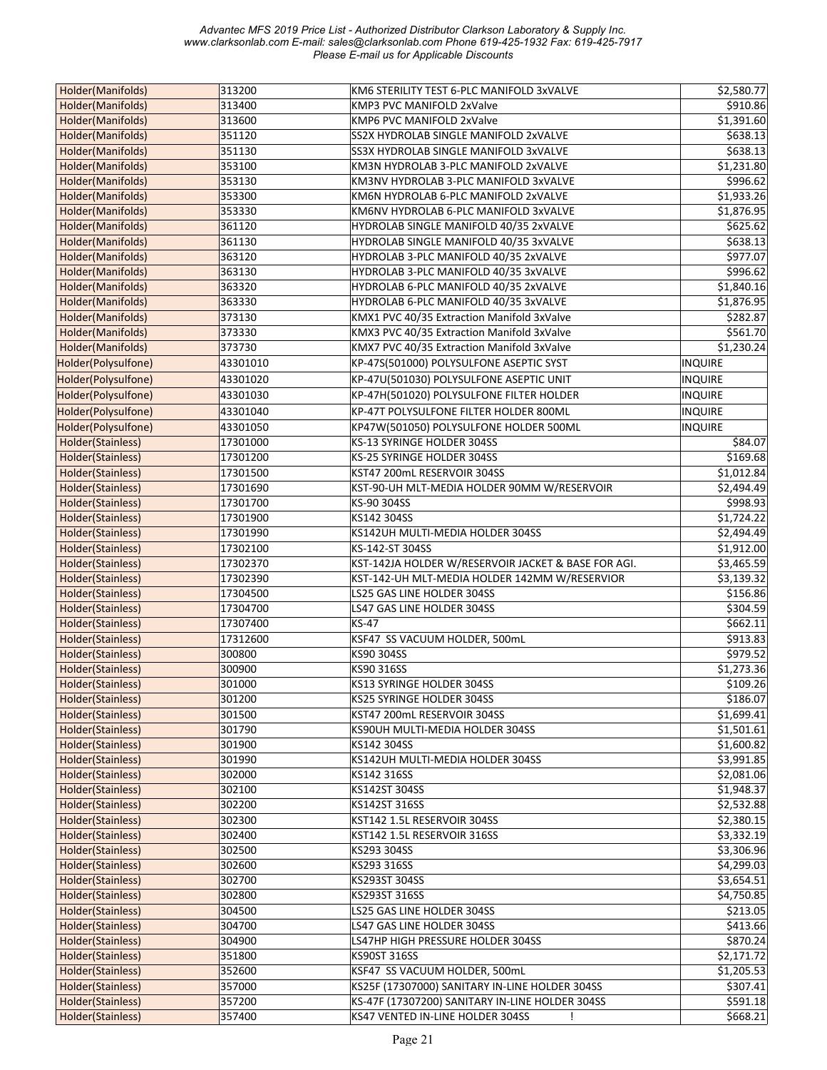| Holder(Manifolds)   | 313200   | KM6 STERILITY TEST 6-PLC MANIFOLD 3xVALVE                                       | \$2,580.77     |
|---------------------|----------|---------------------------------------------------------------------------------|----------------|
| Holder(Manifolds)   | 313400   | KMP3 PVC MANIFOLD 2xValve                                                       | \$910.86       |
| Holder(Manifolds)   | 313600   | KMP6 PVC MANIFOLD 2xValve                                                       | \$1,391.60     |
| Holder(Manifolds)   | 351120   | SS2X HYDROLAB SINGLE MANIFOLD 2xVALVE                                           | \$638.13       |
| Holder(Manifolds)   | 351130   | SS3X HYDROLAB SINGLE MANIFOLD 3xVALVE                                           | \$638.13       |
| Holder(Manifolds)   | 353100   | KM3N HYDROLAB 3-PLC MANIFOLD 2xVALVE                                            | \$1,231.80     |
| Holder(Manifolds)   | 353130   | KM3NV HYDROLAB 3-PLC MANIFOLD 3xVALVE                                           | \$996.62       |
| Holder(Manifolds)   | 353300   | KM6N HYDROLAB 6-PLC MANIFOLD 2xVALVE                                            | \$1,933.26     |
| Holder(Manifolds)   | 353330   | KM6NV HYDROLAB 6-PLC MANIFOLD 3xVALVE                                           | \$1,876.95     |
| Holder(Manifolds)   | 361120   | HYDROLAB SINGLE MANIFOLD 40/35 2xVALVE                                          | \$625.62       |
|                     |          |                                                                                 | \$638.13       |
| Holder(Manifolds)   | 361130   | HYDROLAB SINGLE MANIFOLD 40/35 3xVALVE<br>HYDROLAB 3-PLC MANIFOLD 40/35 2xVALVE |                |
| Holder(Manifolds)   | 363120   |                                                                                 | \$977.07       |
| Holder(Manifolds)   | 363130   | HYDROLAB 3-PLC MANIFOLD 40/35 3xVALVE                                           | \$996.62       |
| Holder(Manifolds)   | 363320   | HYDROLAB 6-PLC MANIFOLD 40/35 2xVALVE                                           | \$1,840.16     |
| Holder(Manifolds)   | 363330   | HYDROLAB 6-PLC MANIFOLD 40/35 3xVALVE                                           | \$1,876.95     |
| Holder(Manifolds)   | 373130   | KMX1 PVC 40/35 Extraction Manifold 3xValve                                      | \$282.87       |
| Holder(Manifolds)   | 373330   | KMX3 PVC 40/35 Extraction Manifold 3xValve                                      | \$561.70       |
| Holder(Manifolds)   | 373730   | KMX7 PVC 40/35 Extraction Manifold 3xValve                                      | \$1,230.24     |
| Holder(Polysulfone) | 43301010 | KP-47S(501000) POLYSULFONE ASEPTIC SYST                                         | INQUIRE        |
| Holder(Polysulfone) | 43301020 | KP-47U(501030) POLYSULFONE ASEPTIC UNIT                                         | <b>INQUIRE</b> |
| Holder(Polysulfone) | 43301030 | KP-47H(501020) POLYSULFONE FILTER HOLDER                                        | INQUIRE        |
| Holder(Polysulfone) | 43301040 | KP-47T POLYSULFONE FILTER HOLDER 800ML                                          | <b>INQUIRE</b> |
| Holder(Polysulfone) | 43301050 | KP47W(501050) POLYSULFONE HOLDER 500ML                                          | INQUIRE        |
| Holder(Stainless)   | 17301000 | KS-13 SYRINGE HOLDER 304SS                                                      | \$84.07        |
| Holder(Stainless)   | 17301200 | KS-25 SYRINGE HOLDER 304SS                                                      | \$169.68       |
| Holder(Stainless)   | 17301500 | KST47 200mL RESERVOIR 304SS                                                     | \$1,012.84     |
| Holder(Stainless)   | 17301690 | KST-90-UH MLT-MEDIA HOLDER 90MM W/RESERVOIR                                     | \$2,494.49     |
| Holder(Stainless)   | 17301700 | KS-90 304SS                                                                     | \$998.93       |
| Holder(Stainless)   | 17301900 | KS142 304SS                                                                     | \$1,724.22     |
|                     |          |                                                                                 |                |
| Holder(Stainless)   | 17301990 | KS142UH MULTI-MEDIA HOLDER 304SS                                                | \$2,494.49     |
| Holder(Stainless)   | 17302100 | KS-142-ST 304SS                                                                 | \$1,912.00     |
| Holder(Stainless)   | 17302370 | KST-142JA HOLDER W/RESERVOIR JACKET & BASE FOR AGI.                             | \$3,465.59     |
| Holder(Stainless)   | 17302390 | KST-142-UH MLT-MEDIA HOLDER 142MM W/RESERVIOR                                   | \$3,139.32     |
| Holder(Stainless)   | 17304500 | LS25 GAS LINE HOLDER 304SS                                                      | \$156.86       |
| Holder(Stainless)   | 17304700 | LS47 GAS LINE HOLDER 304SS                                                      | \$304.59       |
| Holder(Stainless)   | 17307400 | <b>KS-47</b>                                                                    | \$662.11       |
| Holder(Stainless)   | 17312600 | KSF47 SS VACUUM HOLDER, 500mL                                                   | \$913.83       |
| Holder(Stainless)   | 300800   | KS90 304SS                                                                      | \$979.52       |
| Holder(Stainless)   | 300900   | KS90 316SS                                                                      | \$1,273.36     |
| Holder(Stainless)   | 301000   | KS13 SYRINGE HOLDER 304SS                                                       | \$109.26       |
| Holder(Stainless)   | 301200   | KS25 SYRINGE HOLDER 304SS                                                       | \$186.07       |
| Holder(Stainless)   | 301500   | KST47 200mL RESERVOIR 304SS                                                     | \$1,699.41     |
| Holder(Stainless)   | 301790   | KS90UH MULTI-MEDIA HOLDER 304SS                                                 | \$1,501.61     |
| Holder(Stainless)   | 301900   | KS142 304SS                                                                     | \$1,600.82     |
| Holder(Stainless)   | 301990   | KS142UH MULTI-MEDIA HOLDER 304SS                                                | \$3,991.85     |
| Holder(Stainless)   | 302000   | KS142 316SS                                                                     | \$2,081.06     |
| Holder(Stainless)   | 302100   | KS142ST 304SS                                                                   | \$1,948.37     |
| Holder(Stainless)   | 302200   | KS142ST 316SS                                                                   | \$2,532.88     |
| Holder(Stainless)   | 302300   | KST142 1.5L RESERVOIR 304SS                                                     | \$2,380.15     |
| Holder(Stainless)   | 302400   | KST142 1.5L RESERVOIR 316SS                                                     | \$3,332.19     |
| Holder(Stainless)   | 302500   | KS293 304SS                                                                     | \$3,306.96     |
| Holder(Stainless)   | 302600   | KS293 316SS                                                                     | \$4,299.03     |
| Holder(Stainless)   | 302700   | KS293ST 304SS                                                                   | \$3,654.51     |
| Holder(Stainless)   | 302800   | KS293ST 316SS                                                                   | \$4,750.85     |
| Holder(Stainless)   | 304500   | LS25 GAS LINE HOLDER 304SS                                                      | \$213.05       |
| Holder(Stainless)   | 304700   | LS47 GAS LINE HOLDER 304SS                                                      | \$413.66       |
| Holder(Stainless)   | 304900   | LS47HP HIGH PRESSURE HOLDER 304SS                                               | \$870.24       |
| Holder(Stainless)   | 351800   | KS90ST 316SS                                                                    | \$2,171.72     |
| Holder(Stainless)   | 352600   | KSF47 SS VACUUM HOLDER, 500mL                                                   | \$1,205.53     |
| Holder(Stainless)   | 357000   | KS25F (17307000) SANITARY IN-LINE HOLDER 304SS                                  | \$307.41       |
| Holder(Stainless)   | 357200   | KS-47F (17307200) SANITARY IN-LINE HOLDER 304SS                                 | \$591.18       |
| Holder(Stainless)   | 357400   | KS47 VENTED IN-LINE HOLDER 304SS                                                | \$668.21       |
|                     |          |                                                                                 |                |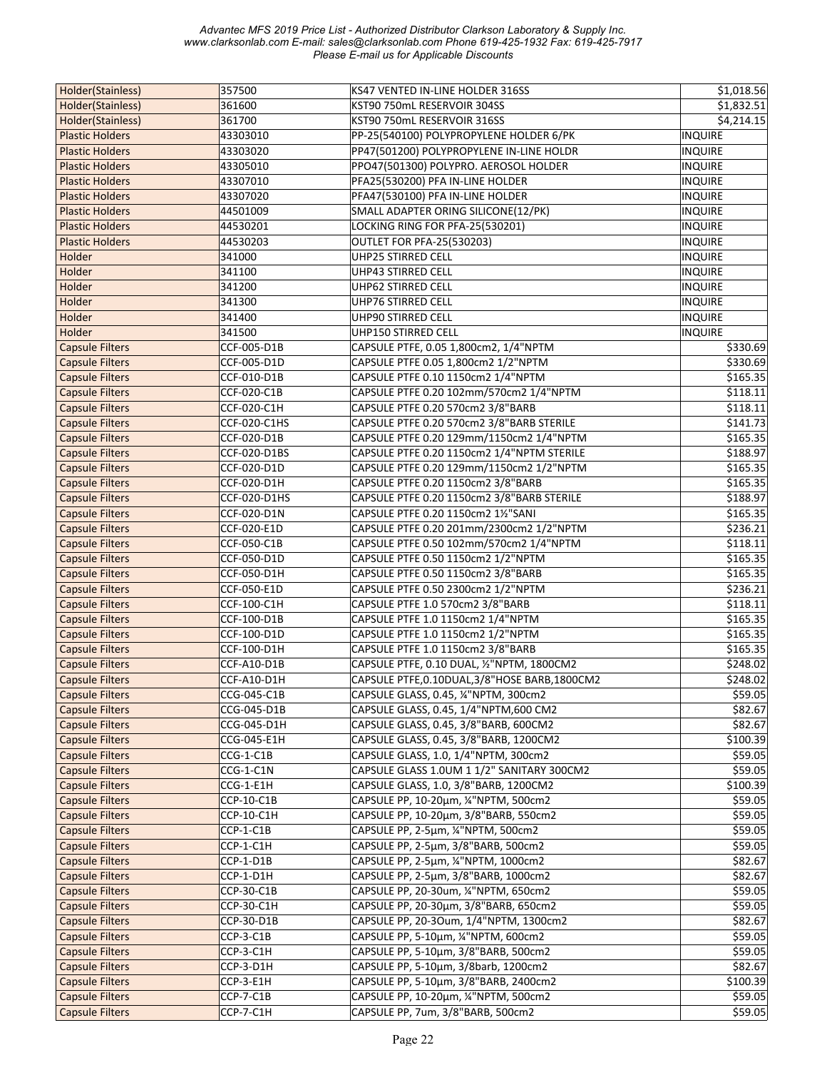| Holder(Stainless)      | 357500       | KS47 VENTED IN-LINE HOLDER 316SS               | \$1,018.56     |
|------------------------|--------------|------------------------------------------------|----------------|
| Holder(Stainless)      | 361600       | KST90 750mL RESERVOIR 304SS                    | \$1,832.51     |
| Holder(Stainless)      | 361700       | KST90 750mL RESERVOIR 316SS                    | \$4,214.15     |
| <b>Plastic Holders</b> | 43303010     | PP-25(540100) POLYPROPYLENE HOLDER 6/PK        | <b>INQUIRE</b> |
| <b>Plastic Holders</b> | 43303020     | PP47(501200) POLYPROPYLENE IN-LINE HOLDR       | INQUIRE        |
| <b>Plastic Holders</b> | 43305010     | PPO47(501300) POLYPRO. AEROSOL HOLDER          | <b>INQUIRE</b> |
| <b>Plastic Holders</b> | 43307010     | PFA25(530200) PFA IN-LINE HOLDER               | <b>INQUIRE</b> |
| <b>Plastic Holders</b> | 43307020     | PFA47(530100) PFA IN-LINE HOLDER               | <b>INQUIRE</b> |
| <b>Plastic Holders</b> | 44501009     | SMALL ADAPTER ORING SILICONE(12/PK)            | INQUIRE        |
| <b>Plastic Holders</b> | 44530201     | LOCKING RING FOR PFA-25(530201)                | <b>INQUIRE</b> |
| <b>Plastic Holders</b> | 44530203     | <b>OUTLET FOR PFA-25(530203)</b>               | <b>INQUIRE</b> |
| Holder                 | 341000       | UHP25 STIRRED CELL                             | <b>INQUIRE</b> |
| Holder                 | 341100       | UHP43 STIRRED CELL                             | <b>INQUIRE</b> |
| Holder                 | 341200       | UHP62 STIRRED CELL                             | <b>INQUIRE</b> |
| Holder                 | 341300       | UHP76 STIRRED CELL                             | INQUIRE        |
| Holder                 | 341400       | UHP90 STIRRED CELL                             |                |
| Holder                 |              | UHP150 STIRRED CELL                            | <b>INQUIRE</b> |
|                        | 341500       |                                                | <b>INQUIRE</b> |
| <b>Capsule Filters</b> | CCF-005-D1B  | CAPSULE PTFE, 0.05 1,800cm2, 1/4"NPTM          | \$330.69       |
| <b>Capsule Filters</b> | CCF-005-D1D  | CAPSULE PTFE 0.05 1,800cm2 1/2"NPTM            | \$330.69       |
| <b>Capsule Filters</b> | CCF-010-D1B  | CAPSULE PTFE 0.10 1150cm2 1/4"NPTM             | \$165.35       |
| <b>Capsule Filters</b> | CCF-020-C1B  | CAPSULE PTFE 0.20 102mm/570cm2 1/4"NPTM        | \$118.11       |
| <b>Capsule Filters</b> | CCF-020-C1H  | CAPSULE PTFE 0.20 570cm2 3/8"BARB              | \$118.11       |
| <b>Capsule Filters</b> | CCF-020-C1HS | CAPSULE PTFE 0.20 570cm2 3/8"BARB STERILE      | \$141.73       |
| <b>Capsule Filters</b> | CCF-020-D1B  | CAPSULE PTFE 0.20 129mm/1150cm2 1/4"NPTM       | \$165.35       |
| <b>Capsule Filters</b> | CCF-020-D1BS | CAPSULE PTFE 0.20 1150cm2 1/4"NPTM STERILE     | \$188.97       |
| <b>Capsule Filters</b> | CCF-020-D1D  | CAPSULE PTFE 0.20 129mm/1150cm2 1/2"NPTM       | \$165.35       |
| <b>Capsule Filters</b> | CCF-020-D1H  | CAPSULE PTFE 0.20 1150cm2 3/8"BARB             | \$165.35       |
| <b>Capsule Filters</b> | CCF-020-D1HS | CAPSULE PTFE 0.20 1150cm2 3/8"BARB STERILE     | \$188.97       |
| <b>Capsule Filters</b> | CCF-020-D1N  | CAPSULE PTFE 0.20 1150cm2 11/2"SANI            | \$165.35       |
| <b>Capsule Filters</b> | CCF-020-E1D  | CAPSULE PTFE 0.20 201mm/2300cm2 1/2"NPTM       | \$236.21       |
| <b>Capsule Filters</b> | CCF-050-C1B  | CAPSULE PTFE 0.50 102mm/570cm2 1/4"NPTM        | \$118.11       |
| Capsule Filters        | CCF-050-D1D  | CAPSULE PTFE 0.50 1150cm2 1/2"NPTM             | \$165.35       |
| <b>Capsule Filters</b> | CCF-050-D1H  | CAPSULE PTFE 0.50 1150cm2 3/8"BARB             | \$165.35       |
| Capsule Filters        | CCF-050-E1D  | CAPSULE PTFE 0.50 2300cm2 1/2"NPTM             | \$236.21       |
| <b>Capsule Filters</b> | CCF-100-C1H  | CAPSULE PTFE 1.0 570cm2 3/8"BARB               | \$118.11       |
| <b>Capsule Filters</b> | CCF-100-D1B  | CAPSULE PTFE 1.0 1150cm2 1/4"NPTM              | \$165.35       |
| <b>Capsule Filters</b> | CCF-100-D1D  | CAPSULE PTFE 1.0 1150cm2 1/2"NPTM              | \$165.35       |
| Capsule Filters        | CCF-100-D1H  | CAPSULE PTFE 1.0 1150cm2 3/8"BARB              | \$165.35       |
| <b>Capsule Filters</b> | CCF-A10-D1B  | CAPSULE PTFE, 0.10 DUAL, 1/2"NPTM, 1800CM2     | \$248.02       |
| <b>Capsule Filters</b> | CCF-A10-D1H  | CAPSULE PTFE, 0.10DUAL, 3/8"HOSE BARB, 1800CM2 | \$248.02       |
| <b>Capsule Filters</b> | CCG-045-C1B  | CAPSULE GLASS, 0.45, 1/4"NPTM, 300cm2          | \$59.05        |
| <b>Capsule Filters</b> | CCG-045-D1B  | CAPSULE GLASS, 0.45, 1/4"NPTM,600 CM2          | \$82.67        |
| <b>Capsule Filters</b> | CCG-045-D1H  | CAPSULE GLASS, 0.45, 3/8"BARB, 600CM2          | \$82.67        |
| <b>Capsule Filters</b> | CCG-045-E1H  | CAPSULE GLASS, 0.45, 3/8"BARB, 1200CM2         | \$100.39       |
| <b>Capsule Filters</b> | CCG-1-C1B    | CAPSULE GLASS, 1.0, 1/4"NPTM, 300cm2           | \$59.05        |
| <b>Capsule Filters</b> | CCG-1-C1N    | CAPSULE GLASS 1.0UM 1 1/2" SANITARY 300CM2     | \$59.05        |
| <b>Capsule Filters</b> | CCG-1-E1H    | CAPSULE GLASS, 1.0, 3/8"BARB, 1200CM2          | \$100.39       |
| <b>Capsule Filters</b> | CCP-10-C1B   | CAPSULE PP, 10-20μm, ¼"NPTM, 500cm2            | \$59.05        |
| <b>Capsule Filters</b> | $CCP-10-C1H$ | CAPSULE PP, 10-20μm, 3/8"BARB, 550cm2          | \$59.05        |
| <b>Capsule Filters</b> | CCP-1-C1B    | CAPSULE PP, 2-5µm, ¼"NPTM, 500cm2              | \$59.05        |
| <b>Capsule Filters</b> | CCP-1-C1H    | CAPSULE PP, 2-5um, 3/8"BARB, 500cm2            | \$59.05        |
| <b>Capsule Filters</b> | CCP-1-D1B    | CAPSULE PP, 2-5µm, 1/4"NPTM, 1000cm2           | \$82.67        |
| <b>Capsule Filters</b> | CCP-1-D1H    | CAPSULE PP, 2-5µm, 3/8"BARB, 1000cm2           | \$82.67        |
| <b>Capsule Filters</b> | CCP-30-C1B   | CAPSULE PP, 20-30um, ¼"NPTM, 650cm2            | \$59.05        |
| <b>Capsule Filters</b> | CCP-30-C1H   | CAPSULE PP, 20-30μm, 3/8"BARB, 650cm2          | \$59.05        |
| <b>Capsule Filters</b> | CCP-30-D1B   | CAPSULE PP, 20-30um, 1/4"NPTM, 1300cm2         | \$82.67        |
| <b>Capsule Filters</b> | CCP-3-C1B    | CAPSULE PP, 5-10µm, ¼"NPTM, 600cm2             | \$59.05        |
| <b>Capsule Filters</b> | CCP-3-C1H    | CAPSULE PP, 5-10µm, 3/8"BARB, 500cm2           | \$59.05        |
| <b>Capsule Filters</b> | CCP-3-D1H    | CAPSULE PP, 5-10µm, 3/8barb, 1200cm2           | \$82.67        |
| <b>Capsule Filters</b> | CCP-3-E1H    | CAPSULE PP, 5-10µm, 3/8"BARB, 2400cm2          | \$100.39       |
| <b>Capsule Filters</b> | CCP-7-C1B    | CAPSULE PP, 10-20μm, ¼"NPTM, 500cm2            | \$59.05        |
| <b>Capsule Filters</b> | CCP-7-C1H    | CAPSULE PP, 7um, 3/8"BARB, 500cm2              | \$59.05        |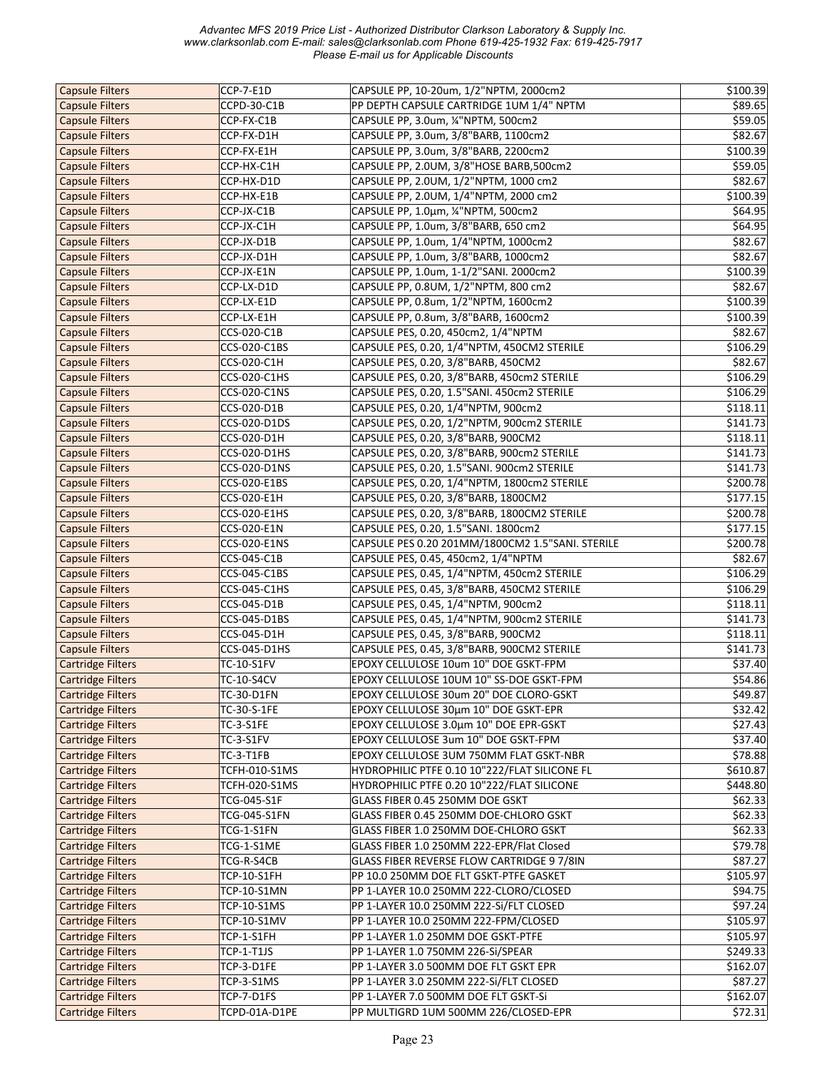| <b>Capsule Filters</b>   | CCP-7-E1D           | CAPSULE PP, 10-20um, 1/2"NPTM, 2000cm2           | \$100.39 |
|--------------------------|---------------------|--------------------------------------------------|----------|
| <b>Capsule Filters</b>   | CCPD-30-C1B         | PP DEPTH CAPSULE CARTRIDGE 1UM 1/4" NPTM         | \$89.65  |
| <b>Capsule Filters</b>   | CCP-FX-C1B          | CAPSULE PP, 3.0um, ¼"NPTM, 500cm2                | \$59.05  |
| <b>Capsule Filters</b>   | CCP-FX-D1H          | CAPSULE PP, 3.0um, 3/8"BARB, 1100cm2             | \$82.67  |
| <b>Capsule Filters</b>   | CCP-FX-E1H          | CAPSULE PP, 3.0um, 3/8"BARB, 2200cm2             | \$100.39 |
| <b>Capsule Filters</b>   | CCP-HX-C1H          | CAPSULE PP, 2.0UM, 3/8"HOSE BARB,500cm2          | \$59.05  |
| <b>Capsule Filters</b>   | CCP-HX-D1D          | CAPSULE PP, 2.0UM, 1/2"NPTM, 1000 cm2            | \$82.67  |
| <b>Capsule Filters</b>   | CCP-HX-E1B          | CAPSULE PP, 2.0UM, 1/4"NPTM, 2000 cm2            | \$100.39 |
| <b>Capsule Filters</b>   | CCP-JX-C1B          | CAPSULE PP, 1.0um, ¼"NPTM, 500cm2                | \$64.95  |
| <b>Capsule Filters</b>   | CCP-JX-C1H          | CAPSULE PP, 1.0um, 3/8"BARB, 650 cm2             | \$64.95  |
| <b>Capsule Filters</b>   | CCP-JX-D1B          | CAPSULE PP, 1.0um, 1/4"NPTM, 1000cm2             | \$82.67  |
| <b>Capsule Filters</b>   | CCP-JX-D1H          | CAPSULE PP, 1.0um, 3/8"BARB, 1000cm2             | \$82.67  |
| <b>Capsule Filters</b>   |                     |                                                  |          |
|                          | CCP-JX-E1N          | CAPSULE PP, 1.0um, 1-1/2"SANI. 2000cm2           | \$100.39 |
| <b>Capsule Filters</b>   | CCP-LX-D1D          | CAPSULE PP, 0.8UM, 1/2"NPTM, 800 cm2             | \$82.67  |
| <b>Capsule Filters</b>   | CCP-LX-E1D          | CAPSULE PP, 0.8um, 1/2"NPTM, 1600cm2             | \$100.39 |
| <b>Capsule Filters</b>   | CCP-LX-E1H          | CAPSULE PP, 0.8um, 3/8"BARB, 1600cm2             | \$100.39 |
| <b>Capsule Filters</b>   | CCS-020-C1B         | CAPSULE PES, 0.20, 450cm2, 1/4"NPTM              | \$82.67  |
| <b>Capsule Filters</b>   | CCS-020-C1BS        | CAPSULE PES, 0.20, 1/4"NPTM, 450CM2 STERILE      | \$106.29 |
| <b>Capsule Filters</b>   | CCS-020-C1H         | CAPSULE PES, 0.20, 3/8"BARB, 450CM2              | \$82.67  |
| <b>Capsule Filters</b>   | CCS-020-C1HS        | CAPSULE PES, 0.20, 3/8"BARB, 450cm2 STERILE      | \$106.29 |
| <b>Capsule Filters</b>   | CCS-020-C1NS        | CAPSULE PES, 0.20, 1.5"SANI. 450cm2 STERILE      | \$106.29 |
| <b>Capsule Filters</b>   | CCS-020-D1B         | CAPSULE PES, 0.20, 1/4"NPTM, 900cm2              | \$118.11 |
| <b>Capsule Filters</b>   | CCS-020-D1DS        | CAPSULE PES, 0.20, 1/2"NPTM, 900cm2 STERILE      | \$141.73 |
| <b>Capsule Filters</b>   | CCS-020-D1H         | CAPSULE PES, 0.20, 3/8"BARB, 900CM2              | \$118.11 |
| <b>Capsule Filters</b>   | CCS-020-D1HS        | CAPSULE PES, 0.20, 3/8"BARB, 900cm2 STERILE      | \$141.73 |
| <b>Capsule Filters</b>   | CCS-020-D1NS        | CAPSULE PES, 0.20, 1.5"SANI. 900cm2 STERILE      | \$141.73 |
| <b>Capsule Filters</b>   | CCS-020-E1BS        | CAPSULE PES, 0.20, 1/4"NPTM, 1800cm2 STERILE     | \$200.78 |
| <b>Capsule Filters</b>   | CCS-020-E1H         | CAPSULE PES, 0.20, 3/8"BARB, 1800CM2             | \$177.15 |
| <b>Capsule Filters</b>   | CCS-020-E1HS        | CAPSULE PES, 0.20, 3/8"BARB, 1800CM2 STERILE     | \$200.78 |
| <b>Capsule Filters</b>   | CCS-020-E1N         | CAPSULE PES, 0.20, 1.5"SANI. 1800cm2             | \$177.15 |
| <b>Capsule Filters</b>   | CCS-020-E1NS        | CAPSULE PES 0.20 201MM/1800CM2 1.5"SANI. STERILE | \$200.78 |
|                          |                     |                                                  |          |
| <b>Capsule Filters</b>   | CCS-045-C1B         | CAPSULE PES, 0.45, 450cm2, 1/4"NPTM              | \$82.67  |
| <b>Capsule Filters</b>   | CCS-045-C1BS        | CAPSULE PES, 0.45, 1/4"NPTM, 450cm2 STERILE      | \$106.29 |
| <b>Capsule Filters</b>   | CCS-045-C1HS        | CAPSULE PES, 0.45, 3/8"BARB, 450CM2 STERILE      | \$106.29 |
| <b>Capsule Filters</b>   | CCS-045-D1B         | CAPSULE PES, 0.45, 1/4"NPTM, 900cm2              | \$118.11 |
| <b>Capsule Filters</b>   | <b>CCS-045-D1BS</b> | CAPSULE PES, 0.45, 1/4"NPTM, 900cm2 STERILE      | \$141.73 |
| <b>Capsule Filters</b>   | CCS-045-D1H         | CAPSULE PES, 0.45, 3/8"BARB, 900CM2              | \$118.11 |
| <b>Capsule Filters</b>   | CCS-045-D1HS        | CAPSULE PES, 0.45, 3/8"BARB, 900CM2 STERILE      | \$141.73 |
| <b>Cartridge Filters</b> | TC-10-S1FV          | EPOXY CELLULOSE 10um 10" DOE GSKT-FPM            | \$37.40  |
| <b>Cartridge Filters</b> | <b>TC-10-S4CV</b>   | EPOXY CELLULOSE 10UM 10" SS-DOE GSKT-FPM         | \$54.86  |
| <b>Cartridge Filters</b> | TC-30-D1FN          | EPOXY CELLULOSE 30um 20" DOE CLORO-GSKT          | \$49.87  |
| <b>Cartridge Filters</b> | TC-30-S-1FE         | EPOXY CELLULOSE 30µm 10" DOE GSKT-EPR            | \$32.42  |
| <b>Cartridge Filters</b> | <b>TC-3-S1FE</b>    | EPOXY CELLULOSE 3.0um 10" DOE EPR-GSKT           | \$27.43  |
| <b>Cartridge Filters</b> | <b>TC-3-S1FV</b>    | EPOXY CELLULOSE 3um 10" DOE GSKT-FPM             | \$37.40  |
| <b>Cartridge Filters</b> | <b>TC-3-T1FB</b>    | EPOXY CELLULOSE 3UM 750MM FLAT GSKT-NBR          | \$78.88  |
| <b>Cartridge Filters</b> | TCFH-010-S1MS       | HYDROPHILIC PTFE 0.10 10"222/FLAT SILICONE FL    | \$610.87 |
| <b>Cartridge Filters</b> | TCFH-020-S1MS       | HYDROPHILIC PTFE 0.20 10"222/FLAT SILICONE       | \$448.80 |
| <b>Cartridge Filters</b> | TCG-045-S1F         | GLASS FIBER 0.45 250MM DOE GSKT                  | \$62.33  |
| <b>Cartridge Filters</b> | TCG-045-S1FN        | GLASS FIBER 0.45 250MM DOE-CHLORO GSKT           | \$62.33  |
| <b>Cartridge Filters</b> | TCG-1-S1FN          | GLASS FIBER 1.0 250MM DOE-CHLORO GSKT            | \$62.33  |
| <b>Cartridge Filters</b> | TCG-1-S1ME          | GLASS FIBER 1.0 250MM 222-EPR/Flat Closed        | \$79.78  |
| <b>Cartridge Filters</b> | TCG-R-S4CB          | GLASS FIBER REVERSE FLOW CARTRIDGE 9 7/8IN       | \$87.27  |
| <b>Cartridge Filters</b> | <b>TCP-10-S1FH</b>  | PP 10.0 250MM DOE FLT GSKT-PTFE GASKET           | \$105.97 |
| <b>Cartridge Filters</b> |                     | PP 1-LAYER 10.0 250MM 222-CLORO/CLOSED           |          |
|                          | TCP-10-S1MN         |                                                  | \$94.75  |
| <b>Cartridge Filters</b> | TCP-10-S1MS         | PP 1-LAYER 10.0 250MM 222-Si/FLT CLOSED          | \$97.24  |
| <b>Cartridge Filters</b> | TCP-10-S1MV         | PP 1-LAYER 10.0 250MM 222-FPM/CLOSED             | \$105.97 |
| <b>Cartridge Filters</b> | TCP-1-S1FH          | PP 1-LAYER 1.0 250MM DOE GSKT-PTFE               | \$105.97 |
| <b>Cartridge Filters</b> | <b>TCP-1-T1JS</b>   | PP 1-LAYER 1.0 750MM 226-Si/SPEAR                | \$249.33 |
| <b>Cartridge Filters</b> | TCP-3-D1FE          | PP 1-LAYER 3.0 500MM DOE FLT GSKT EPR            | \$162.07 |
| <b>Cartridge Filters</b> | TCP-3-S1MS          | PP 1-LAYER 3.0 250MM 222-Si/FLT CLOSED           | \$87.27  |
| <b>Cartridge Filters</b> | TCP-7-D1FS          | PP 1-LAYER 7.0 500MM DOE FLT GSKT-Si             | \$162.07 |
| <b>Cartridge Filters</b> | TCPD-01A-D1PE       | PP MULTIGRD 1UM 500MM 226/CLOSED-EPR             | \$72.31  |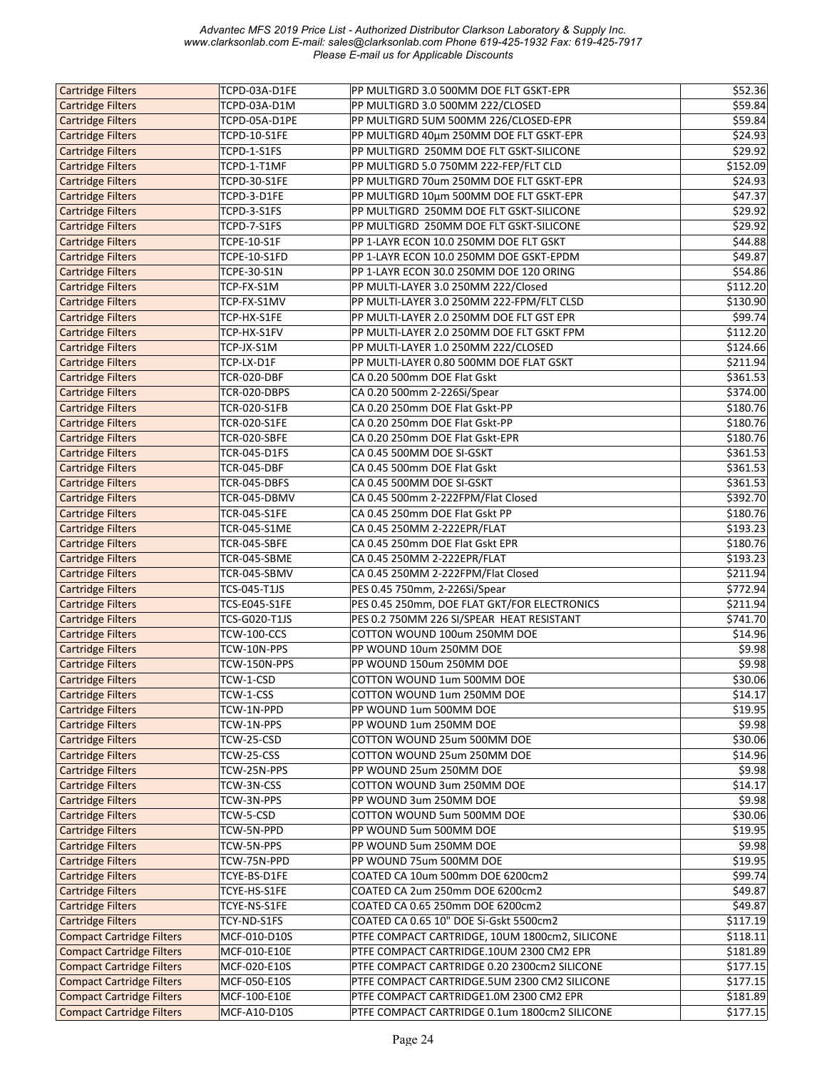| <b>Cartridge Filters</b>         | TCPD-03A-D1FE       | PP MULTIGRD 3.0 500MM DOE FLT GSKT-EPR         | \$52.36             |
|----------------------------------|---------------------|------------------------------------------------|---------------------|
| <b>Cartridge Filters</b>         | TCPD-03A-D1M        | PP MULTIGRD 3.0 500MM 222/CLOSED               | \$59.84             |
| <b>Cartridge Filters</b>         | TCPD-05A-D1PE       | PP MULTIGRD 5UM 500MM 226/CLOSED-EPR           | \$59.84             |
| <b>Cartridge Filters</b>         | TCPD-10-S1FE        | PP MULTIGRD 40µm 250MM DOE FLT GSKT-EPR        | \$24.93             |
| <b>Cartridge Filters</b>         | TCPD-1-S1FS         | PP MULTIGRD 250MM DOE FLT GSKT-SILICONE        | \$29.92             |
| <b>Cartridge Filters</b>         | TCPD-1-T1MF         | PP MULTIGRD 5.0 750MM 222-FEP/FLT CLD          | \$152.09            |
| <b>Cartridge Filters</b>         | TCPD-30-S1FE        | PP MULTIGRD 70um 250MM DOE FLT GSKT-EPR        | \$24.93             |
|                                  |                     |                                                |                     |
| <b>Cartridge Filters</b>         | TCPD-3-D1FE         | PP MULTIGRD 10µm 500MM DOE FLT GSKT-EPR        | \$47.37             |
| <b>Cartridge Filters</b>         | TCPD-3-S1FS         | PP MULTIGRD 250MM DOE FLT GSKT-SILICONE        | \$29.92             |
| <b>Cartridge Filters</b>         | TCPD-7-S1FS         | PP MULTIGRD 250MM DOE FLT GSKT-SILICONE        | \$29.92             |
| <b>Cartridge Filters</b>         | <b>TCPE-10-S1F</b>  | PP 1-LAYR ECON 10.0 250MM DOE FLT GSKT         | \$44.88             |
| <b>Cartridge Filters</b>         | TCPE-10-S1FD        | PP 1-LAYR ECON 10.0 250MM DOE GSKT-EPDM        | \$49.87             |
| <b>Cartridge Filters</b>         | <b>TCPE-30-S1N</b>  | PP 1-LAYR ECON 30.0 250MM DOE 120 ORING        | \$54.86             |
| <b>Cartridge Filters</b>         | TCP-FX-S1M          | PP MULTI-LAYER 3.0 250MM 222/Closed            | \$112.20            |
| <b>Cartridge Filters</b>         | TCP-FX-S1MV         |                                                | \$130.90            |
|                                  |                     | PP MULTI-LAYER 3.0 250MM 222-FPM/FLT CLSD      |                     |
| <b>Cartridge Filters</b>         | TCP-HX-S1FE         | PP MULTI-LAYER 2.0 250MM DOE FLT GST EPR       | \$99.74             |
| <b>Cartridge Filters</b>         | TCP-HX-S1FV         | PP MULTI-LAYER 2.0 250MM DOE FLT GSKT FPM      | \$112.20            |
| <b>Cartridge Filters</b>         | TCP-JX-S1M          | PP MULTI-LAYER 1.0 250MM 222/CLOSED            | \$124.66            |
| <b>Cartridge Filters</b>         | TCP-LX-D1F          | PP MULTI-LAYER 0.80 500MM DOE FLAT GSKT        | \$211.94            |
| <b>Cartridge Filters</b>         | <b>TCR-020-DBF</b>  | CA 0.20 500mm DOE Flat Gskt                    | \$361.53            |
| <b>Cartridge Filters</b>         | TCR-020-DBPS        | CA 0.20 500mm 2-226Si/Spear                    | \$374.00            |
| <b>Cartridge Filters</b>         | TCR-020-S1FB        | CA 0.20 250mm DOE Flat Gskt-PP                 | \$180.76            |
| <b>Cartridge Filters</b>         | <b>TCR-020-S1FE</b> | CA 0.20 250mm DOE Flat Gskt-PP                 | \$180.76            |
|                                  |                     |                                                |                     |
| <b>Cartridge Filters</b>         | TCR-020-SBFE        | CA 0.20 250mm DOE Flat Gskt-EPR                | \$180.76            |
| <b>Cartridge Filters</b>         | TCR-045-D1FS        | CA 0.45 500MM DOE SI-GSKT                      | \$361.53            |
| <b>Cartridge Filters</b>         | <b>TCR-045-DBF</b>  | CA 0.45 500mm DOE Flat Gskt                    | \$361.53            |
| <b>Cartridge Filters</b>         | TCR-045-DBFS        | CA 0.45 500MM DOE SI-GSKT                      | \$361.53            |
| <b>Cartridge Filters</b>         | TCR-045-DBMV        | CA 0.45 500mm 2-222FPM/Flat Closed             | \$392.70            |
| <b>Cartridge Filters</b>         | <b>TCR-045-S1FE</b> | CA 0.45 250mm DOE Flat Gskt PP                 | \$180.76            |
| <b>Cartridge Filters</b>         | <b>TCR-045-S1ME</b> | CA 0.45 250MM 2-222EPR/FLAT                    | \$193.23            |
| <b>Cartridge Filters</b>         | TCR-045-SBFE        | CA 0.45 250mm DOE Flat Gskt EPR                | \$180.76            |
|                                  |                     |                                                |                     |
| <b>Cartridge Filters</b>         | TCR-045-SBME        | CA 0.45 250MM 2-222EPR/FLAT                    | \$193.23            |
| <b>Cartridge Filters</b>         | TCR-045-SBMV        | CA 0.45 250MM 2-222FPM/Flat Closed             | \$211.94            |
| <b>Cartridge Filters</b>         | TCS-045-T1JS        | PES 0.45 750mm, 2-226Si/Spear                  | \$772.94            |
| <b>Cartridge Filters</b>         | TCS-E045-S1FE       | PES 0.45 250mm, DOE FLAT GKT/FOR ELECTRONICS   | \$211.94            |
| <b>Cartridge Filters</b>         | TCS-G020-T1JS       | PES 0.2 750MM 226 SI/SPEAR HEAT RESISTANT      | \$741.70            |
| <b>Cartridge Filters</b>         | <b>TCW-100-CCS</b>  | COTTON WOUND 100um 250MM DOE                   | $\overline{$}14.96$ |
| <b>Cartridge Filters</b>         | TCW-10N-PPS         | PP WOUND 10um 250MM DOE                        | \$9.98              |
| <b>Cartridge Filters</b>         | TCW-150N-PPS        | PP WOUND 150um 250MM DOE                       | \$9.98              |
|                                  |                     | COTTON WOUND 1um 500MM DOE                     | \$30.06             |
| <b>Cartridge Filters</b>         | TCW-1-CSD           |                                                |                     |
| <b>Cartridge Filters</b>         | TCW-1-CSS           | COTTON WOUND 1um 250MM DOE                     | \$14.17             |
| <b>Cartridge Filters</b>         | TCW-1N-PPD          | PP WOUND 1um 500MM DOE                         | \$19.95             |
| <b>Cartridge Filters</b>         | TCW-1N-PPS          | PP WOUND 1um 250MM DOE                         | \$9.98              |
| <b>Cartridge Filters</b>         | TCW-25-CSD          | COTTON WOUND 25um 500MM DOE                    | \$30.06             |
| <b>Cartridge Filters</b>         | TCW-25-CSS          | COTTON WOUND 25um 250MM DOE                    | \$14.96             |
| <b>Cartridge Filters</b>         | TCW-25N-PPS         | PP WOUND 25um 250MM DOE                        | \$9.98              |
| <b>Cartridge Filters</b>         | TCW-3N-CSS          | COTTON WOUND 3um 250MM DOE                     | \$14.17             |
| <b>Cartridge Filters</b>         | TCW-3N-PPS          | PP WOUND 3um 250MM DOE                         | \$9.98              |
|                                  |                     |                                                |                     |
| <b>Cartridge Filters</b>         | TCW-5-CSD           | COTTON WOUND 5um 500MM DOE                     | \$30.06             |
| <b>Cartridge Filters</b>         | TCW-5N-PPD          | PP WOUND 5um 500MM DOE                         | 519.95              |
| <b>Cartridge Filters</b>         | TCW-5N-PPS          | PP WOUND 5um 250MM DOE                         | \$9.98              |
| <b>Cartridge Filters</b>         | TCW-75N-PPD         | PP WOUND 75um 500MM DOE                        | \$19.95             |
| <b>Cartridge Filters</b>         | TCYE-BS-D1FE        | COATED CA 10um 500mm DOE 6200cm2               | \$99.74             |
| <b>Cartridge Filters</b>         | TCYE-HS-S1FE        | COATED CA 2um 250mm DOE 6200cm2                | $\overline{$49.87}$ |
| <b>Cartridge Filters</b>         | TCYE-NS-S1FE        | COATED CA 0.65 250mm DOE 6200cm2               | \$49.87             |
| <b>Cartridge Filters</b>         | TCY-ND-S1FS         | COATED CA 0.65 10" DOE Si-Gskt 5500cm2         | \$117.19            |
| <b>Compact Cartridge Filters</b> | MCF-010-D10S        |                                                | \$118.11            |
|                                  |                     | PTFE COMPACT CARTRIDGE, 10UM 1800cm2, SILICONE |                     |
| <b>Compact Cartridge Filters</b> | MCF-010-E10E        | PTFE COMPACT CARTRIDGE.10UM 2300 CM2 EPR       | \$181.89            |
| <b>Compact Cartridge Filters</b> | MCF-020-E10S        | PTFE COMPACT CARTRIDGE 0.20 2300cm2 SILICONE   | \$177.15            |
| <b>Compact Cartridge Filters</b> | MCF-050-E10S        | PTFE COMPACT CARTRIDGE.5UM 2300 CM2 SILICONE   | \$177.15            |
| <b>Compact Cartridge Filters</b> | MCF-100-E10E        | PTFE COMPACT CARTRIDGE1.0M 2300 CM2 EPR        | \$181.89            |
| <b>Compact Cartridge Filters</b> | MCF-A10-D10S        | PTFE COMPACT CARTRIDGE 0.1um 1800cm2 SILICONE  | \$177.15            |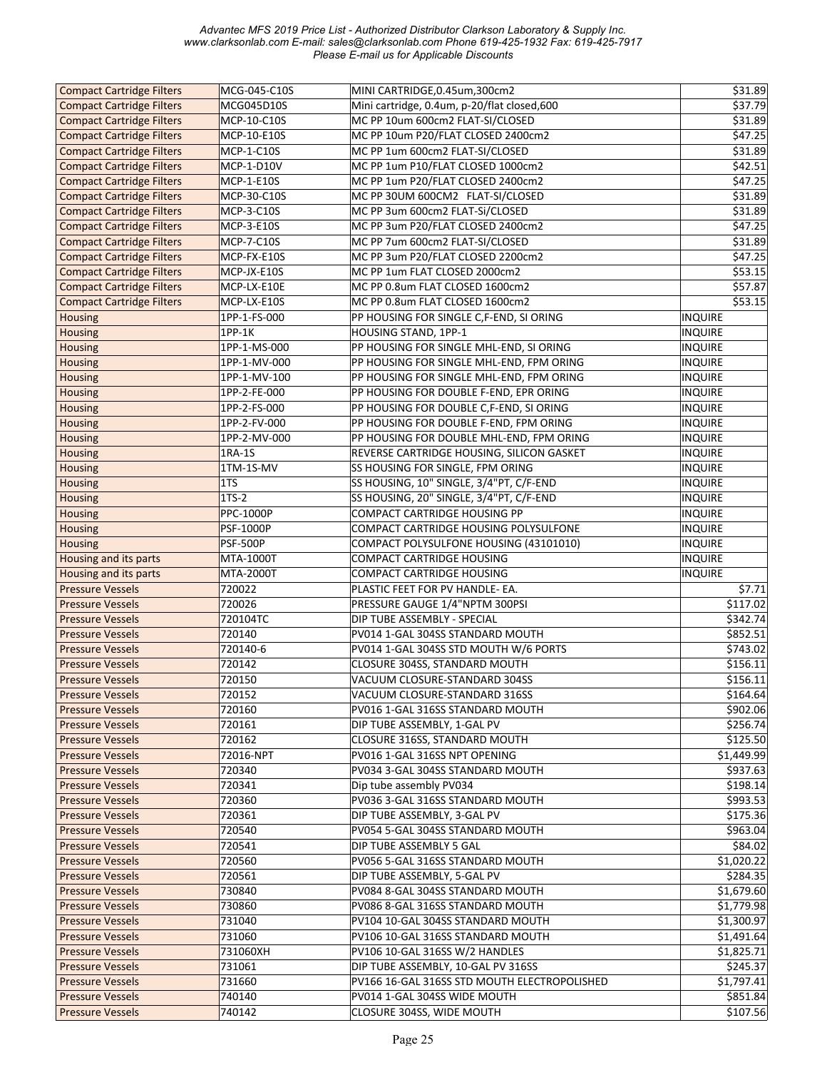| <b>Compact Cartridge Filters</b> | MCG-045-C10S     | MINI CARTRIDGE, 0.45um, 300cm2               | \$31.89                 |
|----------------------------------|------------------|----------------------------------------------|-------------------------|
| <b>Compact Cartridge Filters</b> | MCG045D10S       | Mini cartridge, 0.4um, p-20/flat closed,600  | \$37.79                 |
| <b>Compact Cartridge Filters</b> | MCP-10-C10S      | MC PP 10um 600cm2 FLAT-SI/CLOSED             | \$31.89                 |
| <b>Compact Cartridge Filters</b> | MCP-10-E10S      | MC PP 10um P20/FLAT CLOSED 2400cm2           | \$47.25                 |
| <b>Compact Cartridge Filters</b> | MCP-1-C10S       | MC PP 1um 600cm2 FLAT-SI/CLOSED              | \$31.89                 |
| <b>Compact Cartridge Filters</b> | MCP-1-D10V       | MC PP 1um P10/FLAT CLOSED 1000cm2            | \$42.51                 |
| <b>Compact Cartridge Filters</b> | MCP-1-E10S       | MC PP 1um P20/FLAT CLOSED 2400cm2            | $\overline{$47.25}$     |
| <b>Compact Cartridge Filters</b> | MCP-30-C10S      | MC PP 30UM 600CM2 FLAT-SI/CLOSED             | \$31.89                 |
| <b>Compact Cartridge Filters</b> | MCP-3-C10S       | MC PP 3um 600cm2 FLAT-Si/CLOSED              | \$31.89                 |
|                                  |                  | MC PP 3um P20/FLAT CLOSED 2400cm2            |                         |
| <b>Compact Cartridge Filters</b> | MCP-3-E10S       |                                              | \$47.25                 |
| <b>Compact Cartridge Filters</b> | MCP-7-C10S       | MC PP 7um 600cm2 FLAT-SI/CLOSED              | \$31.89                 |
| <b>Compact Cartridge Filters</b> | MCP-FX-E10S      | MC PP 3um P20/FLAT CLOSED 2200cm2            | \$47.25                 |
| <b>Compact Cartridge Filters</b> | MCP-JX-E10S      | MC PP 1um FLAT CLOSED 2000cm2                | 553.15                  |
| <b>Compact Cartridge Filters</b> | MCP-LX-E10E      | MC PP 0.8um FLAT CLOSED 1600cm2              | \$57.87                 |
| <b>Compact Cartridge Filters</b> | MCP-LX-E10S      | MC PP 0.8um FLAT CLOSED 1600cm2              | \$53.15                 |
| <b>Housing</b>                   | 1PP-1-FS-000     | PP HOUSING FOR SINGLE C,F-END, SI ORING      | INQUIRE                 |
| <b>Housing</b>                   | 1PP-1K           | HOUSING STAND, 1PP-1                         | <b>INQUIRE</b>          |
| <b>Housing</b>                   | 1PP-1-MS-000     | PP HOUSING FOR SINGLE MHL-END, SI ORING      | INQUIRE                 |
| <b>Housing</b>                   | 1PP-1-MV-000     | PP HOUSING FOR SINGLE MHL-END, FPM ORING     | INQUIRE                 |
| <b>Housing</b>                   | 1PP-1-MV-100     | PP HOUSING FOR SINGLE MHL-END, FPM ORING     | INQUIRE                 |
| <b>Housing</b>                   | 1PP-2-FE-000     | PP HOUSING FOR DOUBLE F-END, EPR ORING       | <b>INQUIRE</b>          |
| <b>Housing</b>                   | 1PP-2-FS-000     | PP HOUSING FOR DOUBLE C,F-END, SI ORING      | <b>INQUIRE</b>          |
| <b>Housing</b>                   | 1PP-2-FV-000     | PP HOUSING FOR DOUBLE F-END, FPM ORING       | <b>INQUIRE</b>          |
| <b>Housing</b>                   | 1PP-2-MV-000     | PP HOUSING FOR DOUBLE MHL-END, FPM ORING     | <b>INQUIRE</b>          |
| <b>Housing</b>                   | 1RA-1S           | REVERSE CARTRIDGE HOUSING, SILICON GASKET    | <b>INQUIRE</b>          |
| <b>Housing</b>                   | 1TM-1S-MV        | SS HOUSING FOR SINGLE, FPM ORING             | <b>INQUIRE</b>          |
| <b>Housing</b>                   | 1T <sub>S</sub>  | SS HOUSING, 10" SINGLE, 3/4"PT, C/F-END      | INQUIRE                 |
| <b>Housing</b>                   | 1TS-2            | SS HOUSING, 20" SINGLE, 3/4"PT, C/F-END      | <b>INQUIRE</b>          |
| <b>Housing</b>                   | <b>PPC-1000P</b> | COMPACT CARTRIDGE HOUSING PP                 | <b>INQUIRE</b>          |
| <b>Housing</b>                   | <b>PSF-1000P</b> | COMPACT CARTRIDGE HOUSING POLYSULFONE        | INQUIRE                 |
| <b>Housing</b>                   | <b>PSF-500P</b>  | COMPACT POLYSULFONE HOUSING (43101010)       | <b>INQUIRE</b>          |
| Housing and its parts            | MTA-1000T        | COMPACT CARTRIDGE HOUSING                    | <b>INQUIRE</b>          |
| Housing and its parts            | MTA-2000T        | COMPACT CARTRIDGE HOUSING                    | INQUIRE                 |
| <b>Pressure Vessels</b>          | 720022           | PLASTIC FEET FOR PV HANDLE- EA.              | \$7.71                  |
| <b>Pressure Vessels</b>          | 720026           | PRESSURE GAUGE 1/4"NPTM 300PSI               | \$117.02                |
| <b>Pressure Vessels</b>          | 720104TC         | DIP TUBE ASSEMBLY - SPECIAL                  | \$342.74                |
| <b>Pressure Vessels</b>          | 720140           | PV014 1-GAL 304SS STANDARD MOUTH             | \$852.51                |
| <b>Pressure Vessels</b>          | 720140-6         | PV014 1-GAL 304SS STD MOUTH W/6 PORTS        | \$743.02                |
| <b>Pressure Vessels</b>          | 720142           | CLOSURE 304SS, STANDARD MOUTH                | \$156.11                |
| <b>Pressure Vessels</b>          | 720150           | VACUUM CLOSURE-STANDARD 304SS                | \$156.11                |
| <b>Pressure Vessels</b>          | 720152           | VACUUM CLOSURE-STANDARD 316SS                |                         |
| <b>Pressure Vessels</b>          |                  |                                              |                         |
|                                  |                  |                                              | \$164.64                |
|                                  | 720160           | PV016 1-GAL 316SS STANDARD MOUTH             | \$902.06                |
| <b>Pressure Vessels</b>          | 720161           | DIP TUBE ASSEMBLY, 1-GAL PV                  | \$256.74                |
| <b>Pressure Vessels</b>          | 720162           | CLOSURE 316SS, STANDARD MOUTH                | \$125.50                |
| <b>Pressure Vessels</b>          | 72016-NPT        | PV016 1-GAL 316SS NPT OPENING                | \$1,449.99              |
| <b>Pressure Vessels</b>          | 720340           | PV034 3-GAL 304SS STANDARD MOUTH             | \$937.63                |
| <b>Pressure Vessels</b>          | 720341           | Dip tube assembly PV034                      | \$198.14                |
| <b>Pressure Vessels</b>          | 720360           | PV036 3-GAL 316SS STANDARD MOUTH             | \$993.53                |
| <b>Pressure Vessels</b>          | 720361           | DIP TUBE ASSEMBLY, 3-GAL PV                  | \$175.36                |
| <b>Pressure Vessels</b>          | 720540           | PV054 5-GAL 304SS STANDARD MOUTH             | \$963.04                |
| <b>Pressure Vessels</b>          | 720541           | DIP TUBE ASSEMBLY 5 GAL                      | \$84.02                 |
| <b>Pressure Vessels</b>          | 720560           | PV056 5-GAL 316SS STANDARD MOUTH             | \$1,020.22              |
| <b>Pressure Vessels</b>          | 720561           | DIP TUBE ASSEMBLY, 5-GAL PV                  | \$284.35                |
| <b>Pressure Vessels</b>          | 730840           | PV084 8-GAL 304SS STANDARD MOUTH             | \$1,679.60              |
| <b>Pressure Vessels</b>          | 730860           | PV086 8-GAL 316SS STANDARD MOUTH             | \$1,779.98              |
| <b>Pressure Vessels</b>          | 731040           | PV104 10-GAL 304SS STANDARD MOUTH            | \$1,300.97              |
| <b>Pressure Vessels</b>          | 731060           | PV106 10-GAL 316SS STANDARD MOUTH            | \$1,491.64              |
| <b>Pressure Vessels</b>          | 731060XH         | PV106 10-GAL 316SS W/2 HANDLES               | $$1,825.\overline{71}]$ |
| <b>Pressure Vessels</b>          | 731061           | DIP TUBE ASSEMBLY, 10-GAL PV 316SS           | \$245.37                |
| <b>Pressure Vessels</b>          | 731660           | PV166 16-GAL 316SS STD MOUTH ELECTROPOLISHED | \$1,797.41              |
| <b>Pressure Vessels</b>          | 740140           | PV014 1-GAL 304SS WIDE MOUTH                 | \$851.84                |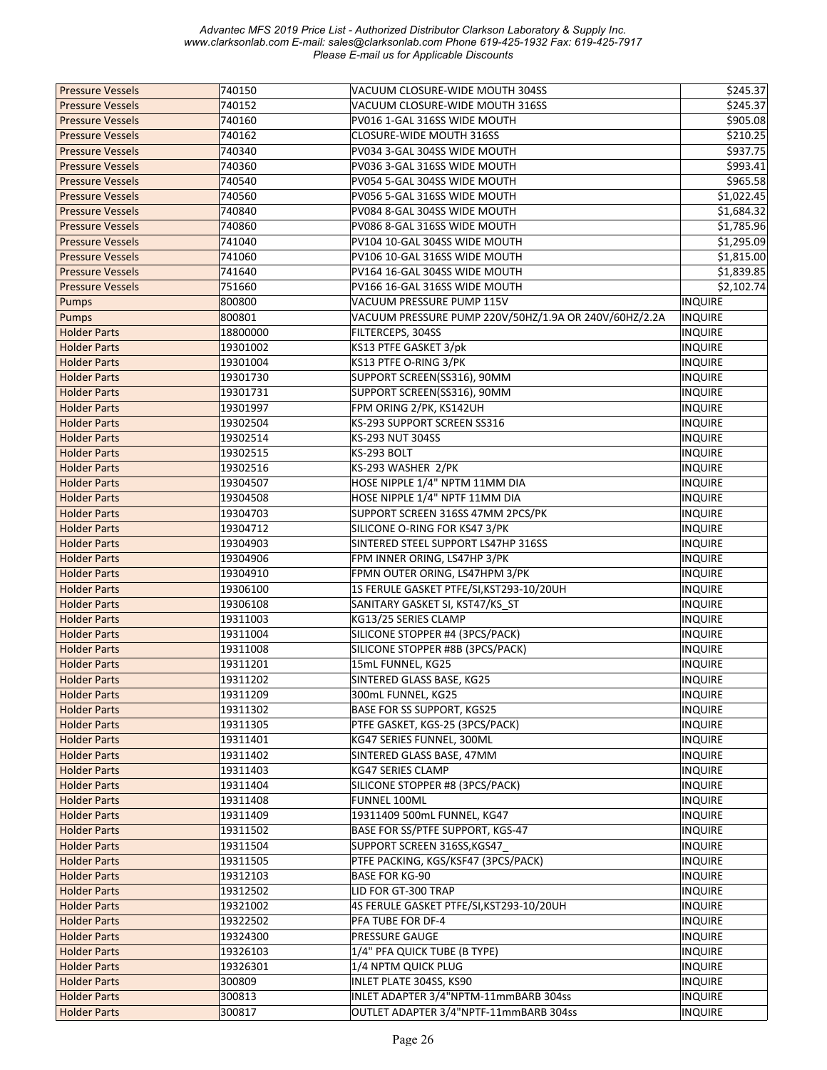| <b>Pressure Vessels</b> | 740150   | VACUUM CLOSURE-WIDE MOUTH 304SS                                 | \$245.37       |
|-------------------------|----------|-----------------------------------------------------------------|----------------|
| <b>Pressure Vessels</b> | 740152   | VACUUM CLOSURE-WIDE MOUTH 316SS                                 | \$245.37       |
| <b>Pressure Vessels</b> | 740160   | PV016 1-GAL 316SS WIDE MOUTH                                    | \$905.08       |
| <b>Pressure Vessels</b> | 740162   | CLOSURE-WIDE MOUTH 316SS                                        | \$210.25       |
| <b>Pressure Vessels</b> | 740340   | PV034 3-GAL 304SS WIDE MOUTH                                    | \$937.75       |
| <b>Pressure Vessels</b> | 740360   | PV036 3-GAL 316SS WIDE MOUTH                                    | \$993.41       |
| <b>Pressure Vessels</b> | 740540   | PV054 5-GAL 304SS WIDE MOUTH                                    | \$965.58       |
| <b>Pressure Vessels</b> | 740560   | PV056 5-GAL 316SS WIDE MOUTH                                    | \$1,022.45     |
| <b>Pressure Vessels</b> | 740840   | PV084 8-GAL 304SS WIDE MOUTH                                    | \$1,684.32     |
| <b>Pressure Vessels</b> | 740860   | PV086 8-GAL 316SS WIDE MOUTH                                    | \$1,785.96     |
| <b>Pressure Vessels</b> | 741040   | PV104 10-GAL 304SS WIDE MOUTH                                   | \$1,295.09     |
| <b>Pressure Vessels</b> | 741060   | PV106 10-GAL 316SS WIDE MOUTH                                   | \$1,815.00     |
| <b>Pressure Vessels</b> | 741640   | PV164 16-GAL 304SS WIDE MOUTH                                   | \$1,839.85     |
| <b>Pressure Vessels</b> | 751660   | PV166 16-GAL 316SS WIDE MOUTH                                   | \$2,102.74     |
| Pumps                   | 800800   | VACUUM PRESSURE PUMP 115V                                       | <b>INQUIRE</b> |
| Pumps                   | 800801   | VACUUM PRESSURE PUMP 220V/50HZ/1.9A OR 240V/60HZ/2.2A           | <b>INQUIRE</b> |
| <b>Holder Parts</b>     | 18800000 | FILTERCEPS, 304SS                                               | <b>INQUIRE</b> |
| <b>Holder Parts</b>     | 19301002 | KS13 PTFE GASKET 3/pk                                           | INQUIRE        |
| <b>Holder Parts</b>     | 19301004 | KS13 PTFE O-RING 3/PK                                           | <b>INQUIRE</b> |
|                         | 19301730 |                                                                 |                |
| <b>Holder Parts</b>     |          | SUPPORT SCREEN(SS316), 90MM                                     | <b>INQUIRE</b> |
| <b>Holder Parts</b>     | 19301731 | SUPPORT SCREEN(SS316), 90MM                                     | <b>INQUIRE</b> |
| <b>Holder Parts</b>     | 19301997 | FPM ORING 2/PK, KS142UH                                         | <b>INQUIRE</b> |
| <b>Holder Parts</b>     | 19302504 | KS-293 SUPPORT SCREEN SS316                                     | <b>INQUIRE</b> |
| <b>Holder Parts</b>     | 19302514 | KS-293 NUT 304SS                                                | <b>INQUIRE</b> |
| <b>Holder Parts</b>     | 19302515 | KS-293 BOLT                                                     | INQUIRE        |
| <b>Holder Parts</b>     | 19302516 | KS-293 WASHER 2/PK                                              | <b>INQUIRE</b> |
| <b>Holder Parts</b>     | 19304507 | HOSE NIPPLE 1/4" NPTM 11MM DIA                                  | <b>INQUIRE</b> |
| <b>Holder Parts</b>     | 19304508 | HOSE NIPPLE 1/4" NPTF 11MM DIA                                  | <b>INQUIRE</b> |
| <b>Holder Parts</b>     | 19304703 | SUPPORT SCREEN 316SS 47MM 2PCS/PK                               | <b>INQUIRE</b> |
| <b>Holder Parts</b>     | 19304712 | SILICONE O-RING FOR KS47 3/PK                                   | <b>INQUIRE</b> |
| <b>Holder Parts</b>     | 19304903 | SINTERED STEEL SUPPORT LS47HP 316SS                             | <b>INQUIRE</b> |
| <b>Holder Parts</b>     | 19304906 | FPM INNER ORING, LS47HP 3/PK                                    | <b>INQUIRE</b> |
| <b>Holder Parts</b>     | 19304910 | FPMN OUTER ORING, LS47HPM 3/PK                                  | <b>INQUIRE</b> |
| <b>Holder Parts</b>     | 19306100 | 1S FERULE GASKET PTFE/SI, KST293-10/20UH                        | <b>INQUIRE</b> |
| <b>Holder Parts</b>     | 19306108 | SANITARY GASKET SI, KST47/KS_ST                                 | <b>INQUIRE</b> |
| <b>Holder Parts</b>     | 19311003 | KG13/25 SERIES CLAMP                                            | INQUIRE        |
| <b>Holder Parts</b>     | 19311004 | SILICONE STOPPER #4 (3PCS/PACK)                                 | INQUIRE        |
| <b>Holder Parts</b>     | 19311008 | SILICONE STOPPER #8B (3PCS/PACK)                                | <b>INQUIRE</b> |
| <b>Holder Parts</b>     | 19311201 | 15mL FUNNEL, KG25                                               | <b>INQUIRE</b> |
| <b>Holder Parts</b>     | 19311202 | SINTERED GLASS BASE, KG25                                       | <b>INQUIRE</b> |
| <b>Holder Parts</b>     | 19311209 | 300mL FUNNEL, KG25                                              | <b>INQUIRE</b> |
| <b>Holder Parts</b>     | 19311302 | BASE FOR SS SUPPORT, KGS25                                      | <b>INQUIRE</b> |
| <b>Holder Parts</b>     | 19311305 | PTFE GASKET, KGS-25 (3PCS/PACK)                                 | <b>INQUIRE</b> |
| <b>Holder Parts</b>     | 19311401 | KG47 SERIES FUNNEL, 300ML                                       | <b>INQUIRE</b> |
| <b>Holder Parts</b>     | 19311402 | SINTERED GLASS BASE, 47MM                                       | <b>INQUIRE</b> |
| <b>Holder Parts</b>     | 19311403 | KG47 SERIES CLAMP                                               | <b>INQUIRE</b> |
| <b>Holder Parts</b>     | 19311404 | SILICONE STOPPER #8 (3PCS/PACK)                                 | <b>INQUIRE</b> |
| <b>Holder Parts</b>     | 19311408 | FUNNEL 100ML                                                    | <b>INQUIRE</b> |
|                         |          |                                                                 |                |
| <b>Holder Parts</b>     | 19311409 | 19311409 500mL FUNNEL, KG47<br>BASE FOR SS/PTFE SUPPORT, KGS-47 | <b>INQUIRE</b> |
| <b>Holder Parts</b>     | 19311502 |                                                                 | <b>INQUIRE</b> |
| <b>Holder Parts</b>     | 19311504 | SUPPORT SCREEN 316SS, KGS47                                     | <b>INQUIRE</b> |
| <b>Holder Parts</b>     | 19311505 | PTFE PACKING, KGS/KSF47 (3PCS/PACK)                             | <b>INQUIRE</b> |
| <b>Holder Parts</b>     | 19312103 | <b>BASE FOR KG-90</b>                                           | <b>INQUIRE</b> |
| <b>Holder Parts</b>     | 19312502 | LID FOR GT-300 TRAP                                             | INQUIRE        |
| <b>Holder Parts</b>     | 19321002 | 4S FERULE GASKET PTFE/SI, KST293-10/20UH                        | <b>INQUIRE</b> |
| <b>Holder Parts</b>     | 19322502 | PFA TUBE FOR DF-4                                               | <b>INQUIRE</b> |
| <b>Holder Parts</b>     | 19324300 | <b>PRESSURE GAUGE</b>                                           | <b>INQUIRE</b> |
| <b>Holder Parts</b>     | 19326103 | 1/4" PFA QUICK TUBE (B TYPE)                                    | <b>INQUIRE</b> |
| <b>Holder Parts</b>     | 19326301 | 1/4 NPTM QUICK PLUG                                             | <b>INQUIRE</b> |
| <b>Holder Parts</b>     | 300809   | INLET PLATE 304SS, KS90                                         | <b>INQUIRE</b> |
| <b>Holder Parts</b>     | 300813   | INLET ADAPTER 3/4"NPTM-11mmBARB 304ss                           | INQUIRE        |
| <b>Holder Parts</b>     | 300817   | OUTLET ADAPTER 3/4"NPTF-11mmBARB 304ss                          | INQUIRE        |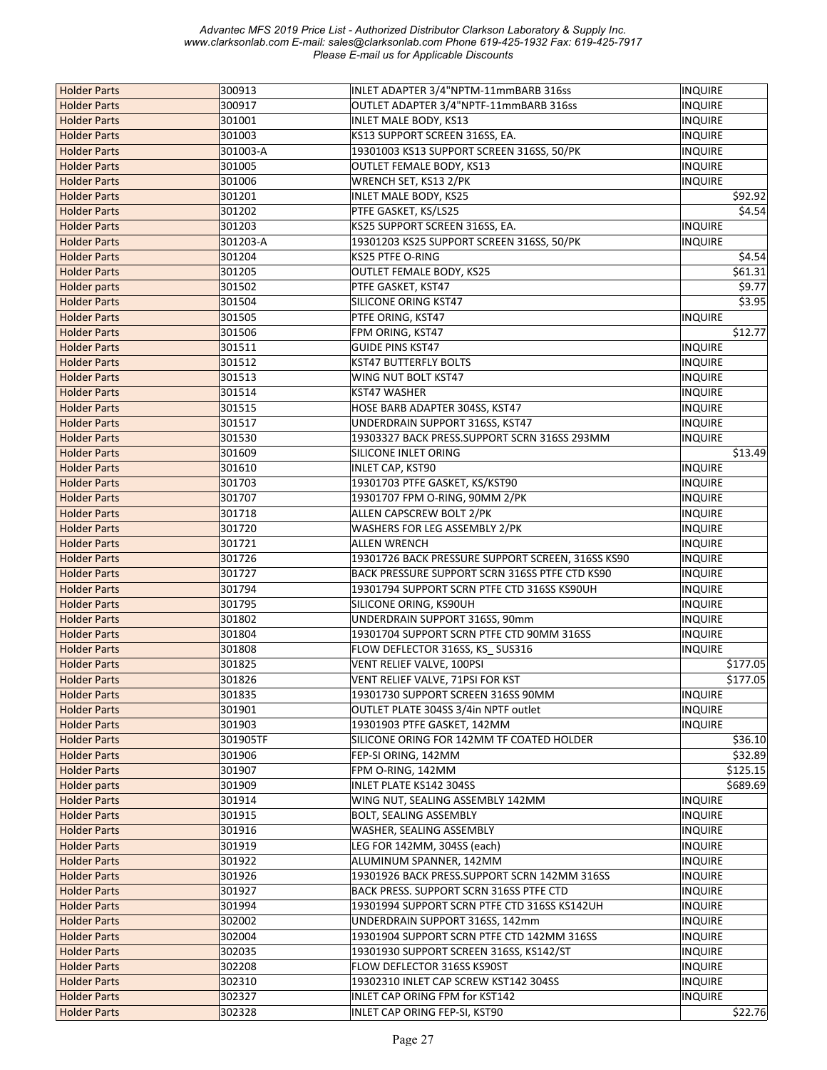| <b>Holder Parts</b> | 300913   | INLET ADAPTER 3/4"NPTM-11mmBARB 316ss             | <b>INQUIRE</b> |
|---------------------|----------|---------------------------------------------------|----------------|
| <b>Holder Parts</b> | 300917   | OUTLET ADAPTER 3/4"NPTF-11mmBARB 316ss            | <b>INQUIRE</b> |
| <b>Holder Parts</b> | 301001   | INLET MALE BODY, KS13                             | INQUIRE        |
| <b>Holder Parts</b> | 301003   | KS13 SUPPORT SCREEN 316SS, EA.                    | <b>INQUIRE</b> |
| <b>Holder Parts</b> | 301003-A | 19301003 KS13 SUPPORT SCREEN 316SS, 50/PK         | <b>INQUIRE</b> |
| <b>Holder Parts</b> | 301005   | OUTLET FEMALE BODY, KS13                          | <b>INQUIRE</b> |
| <b>Holder Parts</b> | 301006   | WRENCH SET, KS13 2/PK                             | <b>INQUIRE</b> |
| <b>Holder Parts</b> | 301201   | <b>INLET MALE BODY, KS25</b>                      | \$92.92        |
| <b>Holder Parts</b> | 301202   | PTFE GASKET, KS/LS25                              | \$4.54         |
| <b>Holder Parts</b> | 301203   | KS25 SUPPORT SCREEN 316SS, EA.                    | <b>INQUIRE</b> |
| <b>Holder Parts</b> | 301203-A | 19301203 KS25 SUPPORT SCREEN 316SS, 50/PK         | <b>INQUIRE</b> |
| <b>Holder Parts</b> | 301204   | KS25 PTFE O-RING                                  | \$4.54         |
| <b>Holder Parts</b> | 301205   | OUTLET FEMALE BODY, KS25                          | \$61.31        |
| <b>Holder parts</b> | 301502   | PTFE GASKET, KST47                                | \$9.77         |
| <b>Holder Parts</b> | 301504   | SILICONE ORING KST47                              | \$3.95         |
| <b>Holder Parts</b> | 301505   | PTFE ORING, KST47                                 | <b>INQUIRE</b> |
| <b>Holder Parts</b> | 301506   | FPM ORING, KST47                                  | \$12.77        |
| <b>Holder Parts</b> | 301511   | <b>GUIDE PINS KST47</b>                           | <b>INQUIRE</b> |
| <b>Holder Parts</b> | 301512   | <b>KST47 BUTTERFLY BOLTS</b>                      | <b>INQUIRE</b> |
| <b>Holder Parts</b> | 301513   | WING NUT BOLT KST47                               | <b>INQUIRE</b> |
| <b>Holder Parts</b> | 301514   | KST47 WASHER                                      | <b>INQUIRE</b> |
| <b>Holder Parts</b> | 301515   | HOSE BARB ADAPTER 304SS, KST47                    | <b>INQUIRE</b> |
| <b>Holder Parts</b> | 301517   | UNDERDRAIN SUPPORT 316SS, KST47                   | <b>INQUIRE</b> |
| <b>Holder Parts</b> | 301530   | 19303327 BACK PRESS.SUPPORT SCRN 316SS 293MM      | <b>INQUIRE</b> |
| <b>Holder Parts</b> | 301609   | SILICONE INLET ORING                              | \$13.49        |
| <b>Holder Parts</b> | 301610   | <b>INLET CAP, KST90</b>                           | <b>INQUIRE</b> |
| <b>Holder Parts</b> | 301703   | 19301703 PTFE GASKET, KS/KST90                    | <b>INQUIRE</b> |
| <b>Holder Parts</b> | 301707   | 19301707 FPM O-RING, 90MM 2/PK                    | <b>INQUIRE</b> |
| <b>Holder Parts</b> | 301718   | ALLEN CAPSCREW BOLT 2/PK                          | <b>INQUIRE</b> |
| <b>Holder Parts</b> | 301720   | WASHERS FOR LEG ASSEMBLY 2/PK                     | <b>INQUIRE</b> |
| <b>Holder Parts</b> | 301721   | <b>ALLEN WRENCH</b>                               | <b>INQUIRE</b> |
| <b>Holder Parts</b> | 301726   | 19301726 BACK PRESSURE SUPPORT SCREEN, 316SS KS90 | <b>INQUIRE</b> |
| <b>Holder Parts</b> | 301727   | BACK PRESSURE SUPPORT SCRN 316SS PTFE CTD KS90    | <b>INQUIRE</b> |
| <b>Holder Parts</b> | 301794   | 19301794 SUPPORT SCRN PTFE CTD 316SS KS90UH       | <b>INQUIRE</b> |
| <b>Holder Parts</b> | 301795   | SILICONE ORING, KS90UH                            | <b>INQUIRE</b> |
| <b>Holder Parts</b> | 301802   | UNDERDRAIN SUPPORT 316SS, 90mm                    | <b>INQUIRE</b> |
| <b>Holder Parts</b> | 301804   | 19301704 SUPPORT SCRN PTFE CTD 90MM 316SS         | <b>INQUIRE</b> |
| <b>Holder Parts</b> | 301808   | FLOW DEFLECTOR 316SS, KS_SUS316                   | <b>INQUIRE</b> |
| <b>Holder Parts</b> | 301825   | VENT RELIEF VALVE, 100PSI                         | \$177.05       |
| <b>Holder Parts</b> | 301826   | VENT RELIEF VALVE, 71PSI FOR KST                  | \$177.05       |
|                     | 301835   | 19301730 SUPPORT SCREEN 316SS 90MM                | INQUIRE        |
| <b>Holder Parts</b> |          |                                                   |                |
| <b>Holder Parts</b> | 301901   | OUTLET PLATE 304SS 3/4in NPTF outlet              | <b>INQUIRE</b> |
| <b>Holder Parts</b> | 301903   | 19301903 PTFE GASKET, 142MM                       | <b>INQUIRE</b> |
| <b>Holder Parts</b> | 301905TF | SILICONE ORING FOR 142MM TF COATED HOLDER         | \$36.10        |
| <b>Holder Parts</b> | 301906   | FEP-SI ORING, 142MM                               | \$32.89        |
| <b>Holder Parts</b> | 301907   | FPM O-RING, 142MM                                 | \$125.15       |
| Holder parts        | 301909   | <b>INLET PLATE KS142 304SS</b>                    | \$689.69       |
| <b>Holder Parts</b> | 301914   | WING NUT, SEALING ASSEMBLY 142MM                  | <b>INQUIRE</b> |
| <b>Holder Parts</b> | 301915   | <b>BOLT, SEALING ASSEMBLY</b>                     | <b>INQUIRE</b> |
| <b>Holder Parts</b> | 301916   | WASHER, SEALING ASSEMBLY                          | <b>INQUIRE</b> |
| <b>Holder Parts</b> | 301919   | LEG FOR 142MM, 304SS (each)                       | <b>INQUIRE</b> |
| <b>Holder Parts</b> | 301922   | ALUMINUM SPANNER, 142MM                           | <b>INQUIRE</b> |
| <b>Holder Parts</b> | 301926   | 19301926 BACK PRESS.SUPPORT SCRN 142MM 316SS      | <b>INQUIRE</b> |
| <b>Holder Parts</b> | 301927   | BACK PRESS. SUPPORT SCRN 316SS PTFE CTD           | INQUIRE        |
| <b>Holder Parts</b> | 301994   | 19301994 SUPPORT SCRN PTFE CTD 316SS KS142UH      | <b>INQUIRE</b> |
| <b>Holder Parts</b> | 302002   | UNDERDRAIN SUPPORT 316SS, 142mm                   | <b>INQUIRE</b> |
| <b>Holder Parts</b> | 302004   | 19301904 SUPPORT SCRN PTFE CTD 142MM 316SS        | <b>INQUIRE</b> |
| <b>Holder Parts</b> | 302035   | 19301930 SUPPORT SCREEN 316SS, KS142/ST           | <b>INQUIRE</b> |
| <b>Holder Parts</b> | 302208   | FLOW DEFLECTOR 316SS KS90ST                       | <b>INQUIRE</b> |
| <b>Holder Parts</b> | 302310   | 19302310 INLET CAP SCREW KST142 304SS             | <b>INQUIRE</b> |
| <b>Holder Parts</b> | 302327   | INLET CAP ORING FPM for KST142                    | <b>INQUIRE</b> |
| <b>Holder Parts</b> | 302328   | INLET CAP ORING FEP-SI, KST90                     | \$22.76        |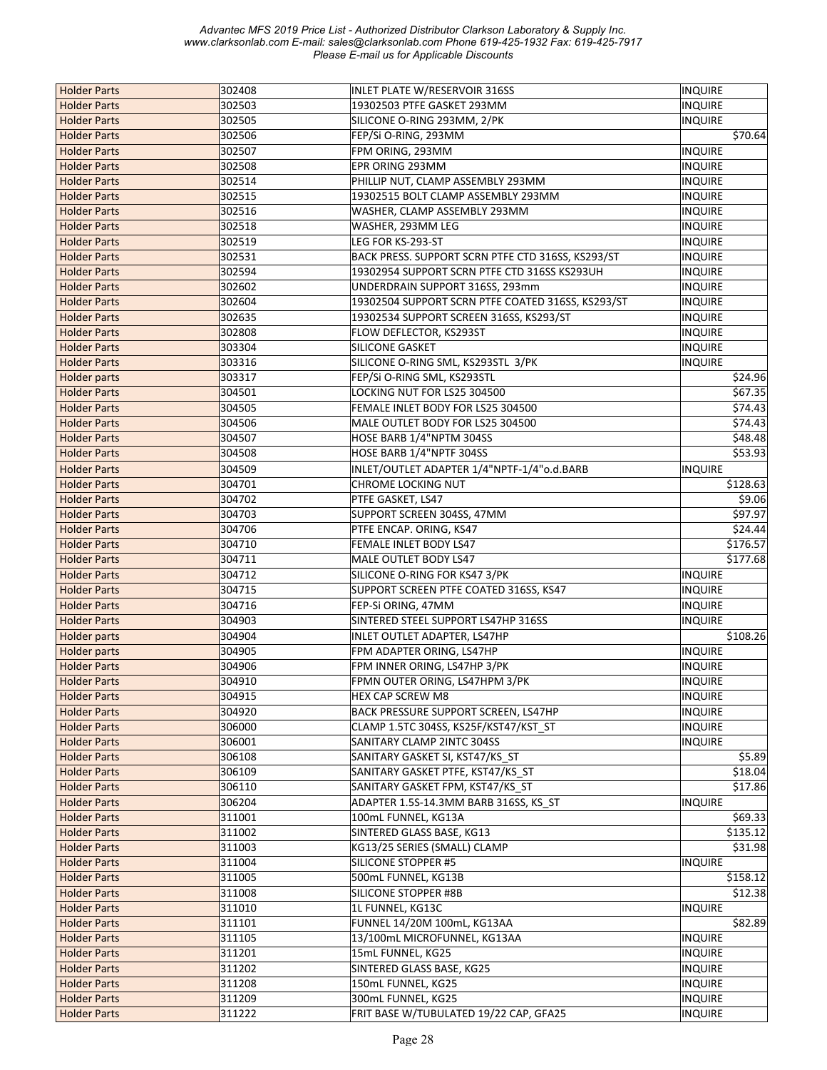| <b>Holder Parts</b> | 302408 | INLET PLATE W/RESERVOIR 316SS                     | <b>INQUIRE</b> |
|---------------------|--------|---------------------------------------------------|----------------|
| <b>Holder Parts</b> | 302503 | 19302503 PTFE GASKET 293MM                        | <b>INQUIRE</b> |
| <b>Holder Parts</b> | 302505 | SILICONE O-RING 293MM, 2/PK                       | <b>INQUIRE</b> |
| <b>Holder Parts</b> | 302506 | FEP/Si O-RING, 293MM                              | \$70.64        |
| <b>Holder Parts</b> | 302507 | FPM ORING, 293MM                                  | INQUIRE        |
| <b>Holder Parts</b> | 302508 | EPR ORING 293MM                                   | <b>INQUIRE</b> |
| <b>Holder Parts</b> | 302514 | PHILLIP NUT, CLAMP ASSEMBLY 293MM                 | <b>INQUIRE</b> |
| <b>Holder Parts</b> | 302515 | 19302515 BOLT CLAMP ASSEMBLY 293MM                | <b>INQUIRE</b> |
| <b>Holder Parts</b> | 302516 | WASHER, CLAMP ASSEMBLY 293MM                      | <b>INQUIRE</b> |
| <b>Holder Parts</b> | 302518 | WASHER, 293MM LEG                                 | <b>INQUIRE</b> |
| <b>Holder Parts</b> | 302519 | LEG FOR KS-293-ST                                 | <b>INQUIRE</b> |
| <b>Holder Parts</b> | 302531 | BACK PRESS. SUPPORT SCRN PTFE CTD 316SS, KS293/ST | INQUIRE        |
| <b>Holder Parts</b> | 302594 | 19302954 SUPPORT SCRN PTFE CTD 316SS KS293UH      | <b>INQUIRE</b> |
| <b>Holder Parts</b> | 302602 | UNDERDRAIN SUPPORT 316SS, 293mm                   | <b>INQUIRE</b> |
| <b>Holder Parts</b> | 302604 | 19302504 SUPPORT SCRN PTFE COATED 316SS, KS293/ST | <b>INQUIRE</b> |
| <b>Holder Parts</b> | 302635 | 19302534 SUPPORT SCREEN 316SS, KS293/ST           | <b>INQUIRE</b> |
| <b>Holder Parts</b> | 302808 | <b>FLOW DEFLECTOR, KS293ST</b>                    | <b>INQUIRE</b> |
| <b>Holder Parts</b> | 303304 | SILICONE GASKET                                   | <b>INQUIRE</b> |
| <b>Holder Parts</b> | 303316 | SILICONE O-RING SML, KS293STL 3/PK                | <b>INQUIRE</b> |
| <b>Holder parts</b> | 303317 | FEP/Si O-RING SML, KS293STL                       | \$24.96        |
| <b>Holder Parts</b> | 304501 | LOCKING NUT FOR LS25 304500                       | \$67.35        |
| <b>Holder Parts</b> | 304505 | FEMALE INLET BODY FOR LS25 304500                 | \$74.43        |
| <b>Holder Parts</b> | 304506 | MALE OUTLET BODY FOR LS25 304500                  | \$74.43        |
| <b>Holder Parts</b> | 304507 | HOSE BARB 1/4"NPTM 304SS                          | \$48.48        |
| <b>Holder Parts</b> | 304508 | HOSE BARB 1/4"NPTF 304SS                          | \$53.93        |
| <b>Holder Parts</b> | 304509 | INLET/OUTLET ADAPTER 1/4"NPTF-1/4"o.d.BARB        | <b>INQUIRE</b> |
| <b>Holder Parts</b> | 304701 | <b>CHROME LOCKING NUT</b>                         | \$128.63       |
|                     | 304702 |                                                   |                |
| <b>Holder Parts</b> |        | PTFE GASKET, LS47                                 | \$9.06         |
| <b>Holder Parts</b> | 304703 | SUPPORT SCREEN 304SS, 47MM                        | \$97.97        |
| <b>Holder Parts</b> | 304706 | PTFE ENCAP. ORING, KS47                           | \$24.44        |
| <b>Holder Parts</b> | 304710 | FEMALE INLET BODY LS47                            | \$176.57       |
| <b>Holder Parts</b> | 304711 | MALE OUTLET BODY LS47                             | \$177.68       |
| <b>Holder Parts</b> | 304712 | SILICONE O-RING FOR KS47 3/PK                     | <b>INQUIRE</b> |
| <b>Holder Parts</b> | 304715 | SUPPORT SCREEN PTFE COATED 316SS, KS47            | <b>INQUIRE</b> |
| <b>Holder Parts</b> | 304716 | FEP-Si ORING, 47MM                                | <b>INQUIRE</b> |
| <b>Holder Parts</b> | 304903 | SINTERED STEEL SUPPORT LS47HP 316SS               | INQUIRE        |
| <b>Holder parts</b> | 304904 | INLET OUTLET ADAPTER, LS47HP                      | \$108.26       |
| <b>Holder parts</b> | 304905 | FPM ADAPTER ORING, LS47HP                         | <b>INQUIRE</b> |
| <b>Holder Parts</b> | 304906 | FPM INNER ORING, LS47HP 3/PK                      | <b>INQUIRE</b> |
| <b>Holder Parts</b> | 304910 | FPMN OUTER ORING, LS47HPM 3/PK                    | <b>INQUIRE</b> |
| <b>Holder Parts</b> | 304915 | <b>HEX CAP SCREW M8</b>                           | <b>INQUIRE</b> |
| <b>Holder Parts</b> | 304920 | BACK PRESSURE SUPPORT SCREEN, LS47HP              | <b>INQUIRE</b> |
| <b>Holder Parts</b> | 306000 | CLAMP 1.5TC 304SS, KS25F/KST47/KST_ST             | <b>INQUIRE</b> |
| <b>Holder Parts</b> | 306001 | SANITARY CLAMP 2INTC 304SS                        | <b>INQUIRE</b> |
| <b>Holder Parts</b> | 306108 | SANITARY GASKET SI, KST47/KS ST                   | \$5.89         |
| <b>Holder Parts</b> | 306109 | SANITARY GASKET PTFE, KST47/KS_ST                 | \$18.04        |
| <b>Holder Parts</b> | 306110 | SANITARY GASKET FPM, KST47/KS_ST                  | \$17.86        |
| <b>Holder Parts</b> | 306204 | ADAPTER 1.5S-14.3MM BARB 316SS, KS_ST             | <b>INQUIRE</b> |
| <b>Holder Parts</b> | 311001 | 100mL FUNNEL, KG13A                               | \$69.33        |
| <b>Holder Parts</b> | 311002 | SINTERED GLASS BASE, KG13                         | \$135.12       |
| <b>Holder Parts</b> | 311003 | KG13/25 SERIES (SMALL) CLAMP                      | \$31.98        |
| <b>Holder Parts</b> | 311004 | SILICONE STOPPER #5                               | <b>INQUIRE</b> |
| <b>Holder Parts</b> | 311005 | 500mL FUNNEL, KG13B                               | \$158.12       |
| <b>Holder Parts</b> | 311008 | SILICONE STOPPER #8B                              | \$12.38        |
| <b>Holder Parts</b> | 311010 | 1L FUNNEL, KG13C                                  | INQUIRE        |
| <b>Holder Parts</b> | 311101 | FUNNEL 14/20M 100mL, KG13AA                       | \$82.89        |
| <b>Holder Parts</b> | 311105 | 13/100mL MICROFUNNEL, KG13AA                      | INQUIRE        |
| <b>Holder Parts</b> | 311201 | 15mL FUNNEL, KG25                                 | <b>INQUIRE</b> |
| <b>Holder Parts</b> | 311202 | SINTERED GLASS BASE, KG25                         | <b>INQUIRE</b> |
| <b>Holder Parts</b> | 311208 | 150mL FUNNEL, KG25                                | <b>INQUIRE</b> |
| <b>Holder Parts</b> | 311209 | 300mL FUNNEL, KG25                                | INQUIRE        |
| <b>Holder Parts</b> | 311222 | FRIT BASE W/TUBULATED 19/22 CAP, GFA25            | <b>INQUIRE</b> |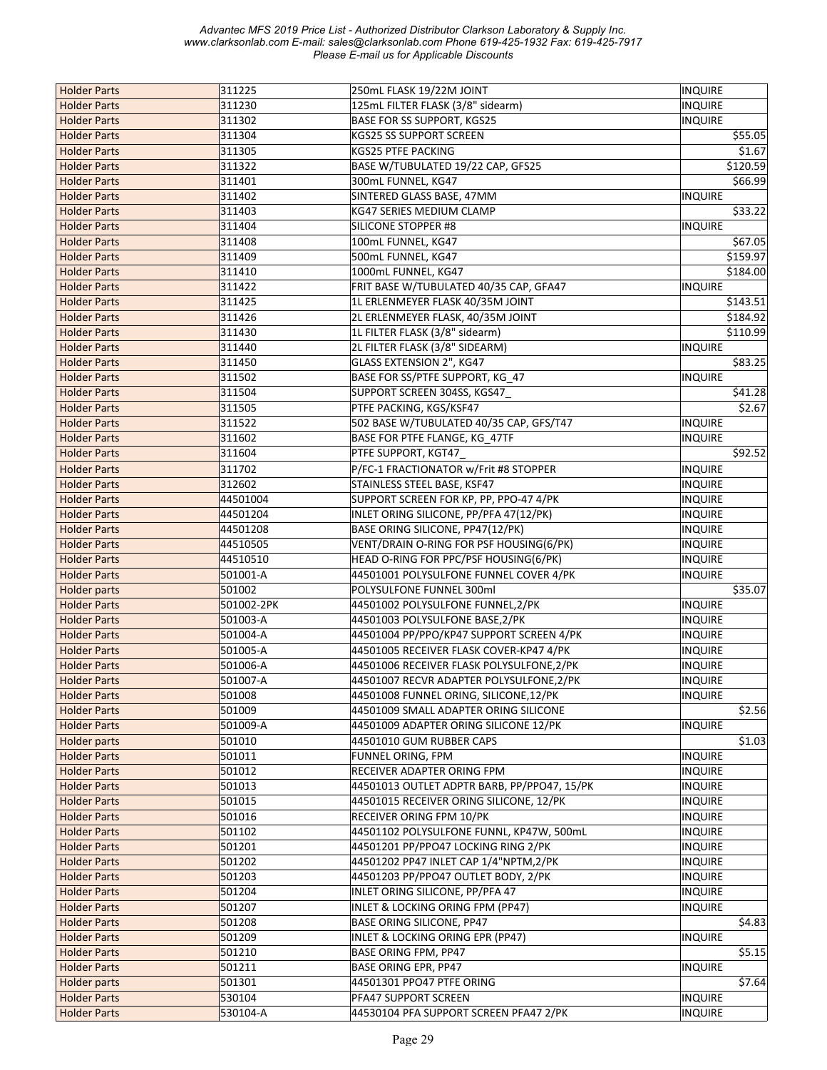| <b>Holder Parts</b> | 311225     | 250mL FLASK 19/22M JOINT                    | <b>INQUIRE</b> |
|---------------------|------------|---------------------------------------------|----------------|
| <b>Holder Parts</b> | 311230     | 125mL FILTER FLASK (3/8" sidearm)           | INQUIRE        |
| <b>Holder Parts</b> | 311302     | <b>BASE FOR SS SUPPORT, KGS25</b>           | <b>INQUIRE</b> |
| <b>Holder Parts</b> | 311304     | <b>KGS25 SS SUPPORT SCREEN</b>              | \$55.05        |
| <b>Holder Parts</b> | 311305     | KGS25 PTFE PACKING                          | \$1.67         |
| <b>Holder Parts</b> | 311322     | BASE W/TUBULATED 19/22 CAP, GFS25           | \$120.59       |
| <b>Holder Parts</b> | 311401     | 300mL FUNNEL, KG47                          | \$66.99        |
| <b>Holder Parts</b> | 311402     | SINTERED GLASS BASE, 47MM                   | INQUIRE        |
| <b>Holder Parts</b> | 311403     | KG47 SERIES MEDIUM CLAMP                    | \$33.22        |
| <b>Holder Parts</b> | 311404     | SILICONE STOPPER #8                         | <b>INQUIRE</b> |
| <b>Holder Parts</b> | 311408     | 100mL FUNNEL, KG47                          | \$67.05        |
| <b>Holder Parts</b> | 311409     | 500mL FUNNEL, KG47                          | \$159.97       |
| <b>Holder Parts</b> | 311410     | 1000mL FUNNEL, KG47                         | \$184.00       |
| <b>Holder Parts</b> | 311422     | FRIT BASE W/TUBULATED 40/35 CAP, GFA47      | INQUIRE        |
| <b>Holder Parts</b> | 311425     | 1L ERLENMEYER FLASK 40/35M JOINT            | \$143.51       |
| <b>Holder Parts</b> | 311426     | 2L ERLENMEYER FLASK, 40/35M JOINT           | \$184.92       |
| <b>Holder Parts</b> | 311430     | 1L FILTER FLASK (3/8" sidearm)              | \$110.99       |
| <b>Holder Parts</b> | 311440     | 2L FILTER FLASK (3/8" SIDEARM)              | <b>INQUIRE</b> |
| <b>Holder Parts</b> | 311450     | GLASS EXTENSION 2", KG47                    | \$83.25        |
| <b>Holder Parts</b> | 311502     | BASE FOR SS/PTFE SUPPORT, KG 47             | <b>INQUIRE</b> |
| <b>Holder Parts</b> | 311504     | SUPPORT SCREEN 304SS, KGS47                 | \$41.28        |
| <b>Holder Parts</b> | 311505     | PTFE PACKING, KGS/KSF47                     | \$2.67         |
| <b>Holder Parts</b> | 311522     | 502 BASE W/TUBULATED 40/35 CAP, GFS/T47     | <b>INQUIRE</b> |
| <b>Holder Parts</b> | 311602     | BASE FOR PTFE FLANGE, KG_47TF               | <b>INQUIRE</b> |
| <b>Holder Parts</b> | 311604     | PTFE SUPPORT, KGT47                         | \$92.52        |
| <b>Holder Parts</b> | 311702     | P/FC-1 FRACTIONATOR w/Frit #8 STOPPER       | <b>INQUIRE</b> |
| <b>Holder Parts</b> | 312602     | STAINLESS STEEL BASE, KSF47                 | <b>INQUIRE</b> |
| <b>Holder Parts</b> | 44501004   | SUPPORT SCREEN FOR KP, PP, PPO-47 4/PK      | <b>INQUIRE</b> |
| <b>Holder Parts</b> | 44501204   | INLET ORING SILICONE, PP/PFA 47(12/PK)      | <b>INQUIRE</b> |
| <b>Holder Parts</b> | 44501208   | BASE ORING SILICONE, PP47(12/PK)            | <b>INQUIRE</b> |
| <b>Holder Parts</b> | 44510505   | VENT/DRAIN O-RING FOR PSF HOUSING(6/PK)     | <b>INQUIRE</b> |
| <b>Holder Parts</b> | 44510510   | HEAD O-RING FOR PPC/PSF HOUSING(6/PK)       | <b>INQUIRE</b> |
| <b>Holder Parts</b> | 501001-A   | 44501001 POLYSULFONE FUNNEL COVER 4/PK      | <b>INQUIRE</b> |
| <b>Holder parts</b> | 501002     | POLYSULFONE FUNNEL 300ml                    | \$35.07        |
| <b>Holder Parts</b> | 501002-2PK | 44501002 POLYSULFONE FUNNEL, 2/PK           | <b>INQUIRE</b> |
| <b>Holder Parts</b> | 501003-A   | 44501003 POLYSULFONE BASE, 2/PK             | <b>INQUIRE</b> |
| <b>Holder Parts</b> | 501004-A   | 44501004 PP/PPO/KP47 SUPPORT SCREEN 4/PK    | <b>INQUIRE</b> |
| <b>Holder Parts</b> | 501005-A   | 44501005 RECEIVER FLASK COVER-KP47 4/PK     | <b>INQUIRE</b> |
| <b>Holder Parts</b> | 501006-A   | 44501006 RECEIVER FLASK POLYSULFONE, 2/PK   | <b>INQUIRE</b> |
| <b>Holder Parts</b> | 501007-A   | 44501007 RECVR ADAPTER POLYSULFONE, 2/PK    | <b>INQUIRE</b> |
| <b>Holder Parts</b> | 501008     | 44501008 FUNNEL ORING, SILICONE, 12/PK      | INQUIRE        |
| <b>Holder Parts</b> | 501009     | 44501009 SMALL ADAPTER ORING SILICONE       | \$2.56         |
| <b>Holder Parts</b> | 501009-A   | 44501009 ADAPTER ORING SILICONE 12/PK       | <b>INQUIRE</b> |
| <b>Holder parts</b> | 501010     | 44501010 GUM RUBBER CAPS                    | \$1.03         |
| <b>Holder Parts</b> | 501011     | FUNNEL ORING, FPM                           | <b>INQUIRE</b> |
| <b>Holder Parts</b> | 501012     | RECEIVER ADAPTER ORING FPM                  | <b>INQUIRE</b> |
| <b>Holder Parts</b> | 501013     | 44501013 OUTLET ADPTR BARB, PP/PPO47, 15/PK | <b>INQUIRE</b> |
| <b>Holder Parts</b> | 501015     | 44501015 RECEIVER ORING SILICONE, 12/PK     | <b>INQUIRE</b> |
| <b>Holder Parts</b> | 501016     | RECEIVER ORING FPM 10/PK                    | <b>INQUIRE</b> |
| <b>Holder Parts</b> | 501102     | 44501102 POLYSULFONE FUNNL, KP47W, 500mL    | <b>INQUIRE</b> |
| <b>Holder Parts</b> | 501201     | 44501201 PP/PPO47 LOCKING RING 2/PK         | <b>INQUIRE</b> |
| <b>Holder Parts</b> | 501202     | 44501202 PP47 INLET CAP 1/4"NPTM,2/PK       | <b>INQUIRE</b> |
| <b>Holder Parts</b> | 501203     | 44501203 PP/PPO47 OUTLET BODY, 2/PK         | <b>INQUIRE</b> |
| <b>Holder Parts</b> | 501204     | INLET ORING SILICONE, PP/PFA 47             | <b>INQUIRE</b> |
| <b>Holder Parts</b> | 501207     | INLET & LOCKING ORING FPM (PP47)            | <b>INQUIRE</b> |
| <b>Holder Parts</b> | 501208     | BASE ORING SILICONE, PP47                   | \$4.83         |
| <b>Holder Parts</b> | 501209     | INLET & LOCKING ORING EPR (PP47)            | <b>INQUIRE</b> |
| <b>Holder Parts</b> | 501210     | BASE ORING FPM, PP47                        | \$5.15         |
| <b>Holder Parts</b> | 501211     | <b>BASE ORING EPR, PP47</b>                 | <b>INQUIRE</b> |
| <b>Holder parts</b> | 501301     | 44501301 PPO47 PTFE ORING                   | \$7.64         |
| <b>Holder Parts</b> | 530104     | PFA47 SUPPORT SCREEN                        | <b>INQUIRE</b> |
| <b>Holder Parts</b> | 530104-A   | 44530104 PFA SUPPORT SCREEN PFA47 2/PK      | <b>INQUIRE</b> |